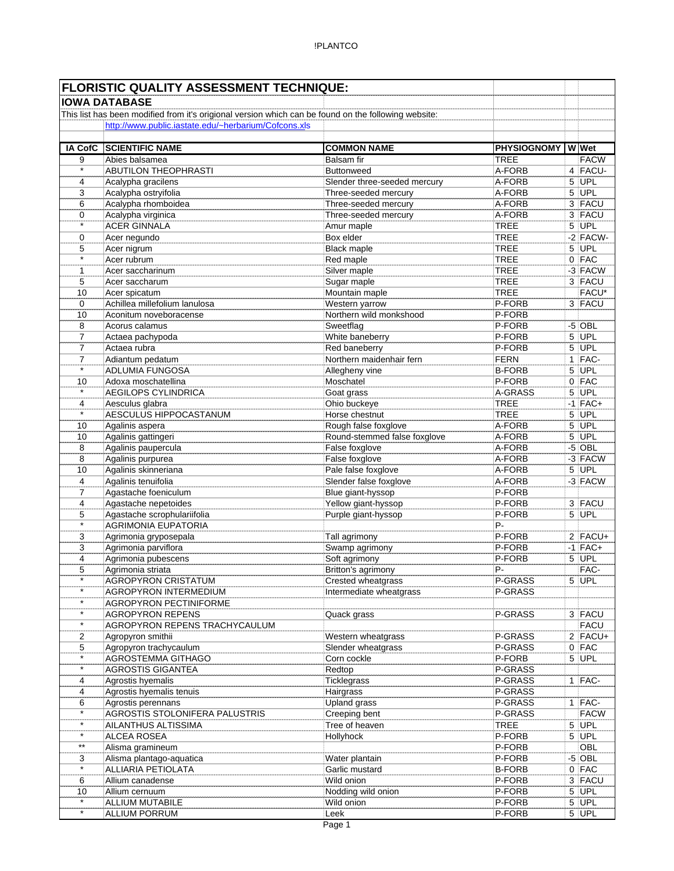|                     | <b>FLORISTIC QUALITY ASSESSMENT TECHNIQUE:</b>                                                       |                                  |                                        |   |                    |
|---------------------|------------------------------------------------------------------------------------------------------|----------------------------------|----------------------------------------|---|--------------------|
|                     | <b>IOWA DATABASE</b>                                                                                 |                                  |                                        |   |                    |
|                     | This list has been modified from it's origional version which can be found on the following website: |                                  |                                        |   |                    |
|                     | http://www.public.iastate.edu/~herbarium/Cofcons.xls                                                 |                                  |                                        |   |                    |
|                     | <b>SCIENTIFIC NAME</b>                                                                               |                                  |                                        |   |                    |
| <b>IA CofC</b><br>9 | Abies balsamea                                                                                       | <b>COMMON NAME</b><br>Balsam fir | <b>PHYSIOGNOMY WWet</b><br><b>TREE</b> |   | <b>FACW</b>        |
| $\star$             | <b>ABUTILON THEOPHRASTI</b>                                                                          | <b>Buttonweed</b>                | A-FORB                                 |   | 4 FACU-            |
| 4                   | Acalypha gracilens                                                                                   | Slender three-seeded mercury     | A-FORB                                 | 5 | UPL                |
| 3                   | Acalypha ostryifolia                                                                                 | Three-seeded mercury             | A-FORB                                 |   | $5$ UPL            |
| 6                   | Acalypha rhomboidea                                                                                  | Three-seeded mercury             | A-FORB                                 |   | 3 FACU             |
| 0                   | Acalypha virginica                                                                                   | Three-seeded mercury             | A-FORB                                 |   | 3 FACU             |
| $\star$             | <b>ACER GINNALA</b>                                                                                  | Amur maple                       | <b>TREE</b>                            |   | $5$ UPL            |
| 0                   | Acer negundo                                                                                         | Box elder                        | <b>TREE</b>                            |   | $-2$ FACW-         |
| 5                   | Acer nigrum                                                                                          | <b>Black maple</b>               | <b>TREE</b>                            |   | $5$ UPL            |
| $\star$             | Acer rubrum                                                                                          | Red maple                        | <b>TREE</b>                            |   | $0$ FAC            |
| 1                   | Acer saccharinum                                                                                     | Silver maple                     | <b>TREE</b>                            |   | -3 FACW            |
| 5                   | Acer saccharum                                                                                       | Sugar maple                      | <b>TREE</b>                            |   | 3 FACU             |
| 10                  | Acer spicatum                                                                                        | Mountain maple                   | <b>TREE</b>                            |   | FACU*              |
| 0                   | Achillea millefolium lanulosa                                                                        | Western yarrow                   | P-FORB                                 |   | 3 FACU             |
| 10                  | Aconitum noveboracense                                                                               | Northern wild monkshood          | P-FORB                                 |   |                    |
| 8                   | Acorus calamus                                                                                       | Sweetflag                        | P-FORB                                 |   | $-5$ OBL           |
| 7<br>7              | Actaea pachypoda<br>Actaea rubra                                                                     | White baneberry<br>Red baneberry | P-FORB<br>P-FORB                       |   | $5$ UPL<br>5 UPL   |
| $\overline{7}$      | Adiantum pedatum                                                                                     | Northern maidenhair fern         | <b>FERN</b>                            |   | $1$  FAC-          |
| $\star$             | ADLUMIA FUNGOSA                                                                                      | Allegheny vine                   | <b>B-FORB</b>                          |   | 5 UPL              |
| 10                  | Adoxa moschatellina                                                                                  | Moschatel                        | P-FORB                                 |   | $0$ FAC            |
| $\star$             | <b>AEGILOPS CYLINDRICA</b>                                                                           | Goat grass                       | A-GRASS                                | 5 | UPL                |
| 4                   | Aesculus glabra                                                                                      | Ohio buckeye                     | <b>TREE</b>                            |   | $-1$ FAC+          |
| $\star$             | AESCULUS HIPPOCASTANUM                                                                               | Horse chestnut                   | <b>TREE</b>                            | 5 | UPL                |
| 10                  | Agalinis aspera                                                                                      | Rough false foxglove             | A-FORB                                 | 5 | UPL                |
| 10                  | Agalinis gattingeri                                                                                  | Round-stemmed false foxglove     | A-FORB                                 |   | $5$ UPL            |
| 8                   | Agalinis paupercula                                                                                  | False foxglove                   | A-FORB                                 |   | $-5$ OBL           |
| 8                   | Agalinis purpurea                                                                                    | False foxglove                   | A-FORB                                 |   | -3 FACW            |
| 10                  | Agalinis skinneriana                                                                                 | Pale false foxglove              | A-FORB                                 |   | $5$ UPL            |
| 4                   | Agalinis tenuifolia                                                                                  | Slender false foxglove           | A-FORB                                 |   | $-3$ FACW          |
| $\overline{7}$      | Agastache foeniculum                                                                                 | Blue giant-hyssop                | P-FORB                                 |   |                    |
| 4                   | Agastache nepetoides                                                                                 | Yellow giant-hyssop              | P-FORB                                 |   | 3 FACU             |
| 5<br>$\star$        | Agastache scrophulariifolia                                                                          | Purple giant-hyssop              | P-FORB                                 |   | $5$ UPL            |
|                     | <b>AGRIMONIA EUPATORIA</b>                                                                           |                                  | Ρ-<br>P-FORB                           |   | $2$ FACU+          |
| 3<br>3              | Agrimonia gryposepala<br>Agrimonia parviflora                                                        | Tall agrimony<br>Swamp agrimony  | P-FORB                                 |   | $-1$ FAC+          |
| 4                   | Agrimonia pubescens                                                                                  | Soft agrimony                    | P-FORB                                 |   | $5$ UPL            |
| 5                   | Agrimonia striata                                                                                    | Britton's agrimony               | P-                                     |   | FAC-               |
| $\star$             | <b>AGROPYRON CRISTATUM</b>                                                                           | Crested wheatgrass               | P-GRASS                                |   | $5$ UPL            |
| $\star$             | AGROPYRON INTERMEDIUM                                                                                | Intermediate wheatgrass          | P-GRASS                                |   |                    |
| $\star$             | <b>AGROPYRON PECTINIFORME</b>                                                                        |                                  |                                        |   |                    |
| $\star$             | <b>AGROPYRON REPENS</b>                                                                              | Quack grass                      | P-GRASS                                |   | 3 FACU             |
| $\star$             | AGROPYRON REPENS TRACHYCAULUM                                                                        |                                  |                                        |   | <b>FACU</b>        |
| 2                   | Agropyron smithii                                                                                    | Western wheatgrass               | P-GRASS                                |   | $2$ FACU+          |
| 5                   | Agropyron trachycaulum                                                                               | Slender wheatgrass               | P-GRASS                                |   | $0$ FAC            |
|                     | AGROSTEMMA GITHAGO                                                                                   | Corn cockle                      | P-FORB                                 |   | $5$ UPL            |
| $\star$             | <b>AGROSTIS GIGANTEA</b>                                                                             | Redtop                           | P-GRASS                                |   |                    |
| 4                   | Agrostis hyemalis                                                                                    | Ticklegrass                      | P-GRASS                                |   | $1$  FAC-          |
| 4                   | Agrostis hyemalis tenuis                                                                             | Hairgrass                        | P-GRASS                                |   |                    |
| 6<br>$\star$        | Agrostis perennans                                                                                   | Upland grass                     | P-GRASS                                |   | $1$  FAC-          |
| $\star$             | AGROSTIS STOLONIFERA PALUSTRIS                                                                       | Creeping bent                    | P-GRASS                                |   | <b>FACW</b>        |
| $\star$             | AILANTHUS ALTISSIMA                                                                                  | Tree of heaven                   | <b>TREE</b><br>P-FORB                  |   | $5$ UPL<br>$5$ UPL |
| $\star\star$        | ALCEA ROSEA<br>Alisma gramineum                                                                      | Hollyhock                        | P-FORB                                 |   | OBL                |
| 3                   | Alisma plantago-aquatica                                                                             | Water plantain                   | P-FORB                                 |   | $-5$ OBL           |
| $\overline{\cdot}$  | ALLIARIA PETIOLATA                                                                                   | Garlic mustard                   | <b>B-FORB</b>                          |   | $0$ FAC            |
| 6                   | Allium canadense                                                                                     | Wild onion                       | P-FORB                                 |   | 3 FACU             |
| 10                  | Allium cernuum                                                                                       | Nodding wild onion               | P-FORB                                 |   | $5$ UPL            |
| $\star$             | ALLIUM MUTABILE                                                                                      | Wild onion                       | P-FORB                                 |   | $5$ UPL            |
| $\overline{\ast}$   | <b>ALLIUM PORRUM</b>                                                                                 | Leek                             | P-FORB                                 |   | $5$ UPL            |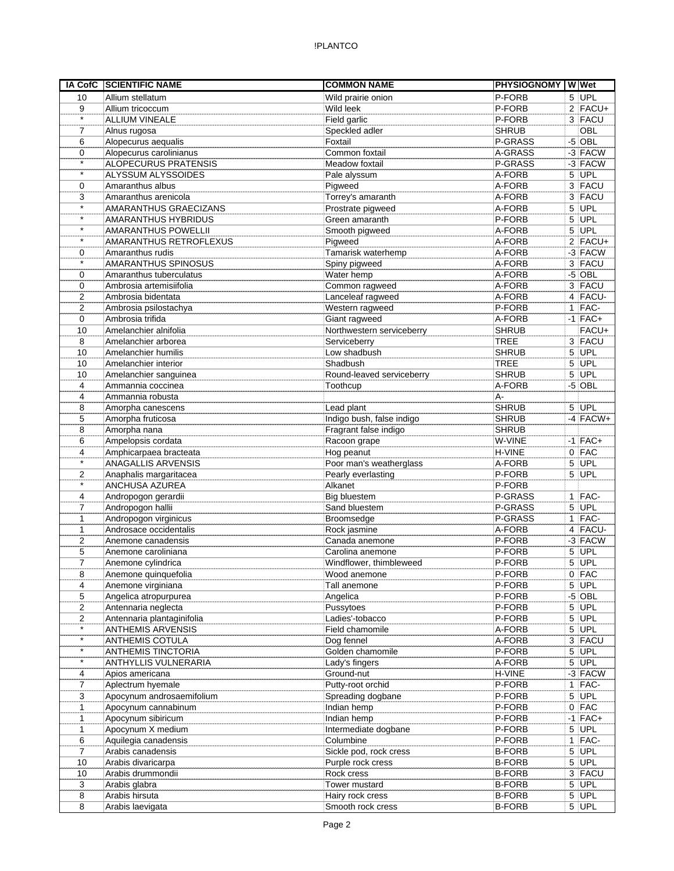|                     | <b>IA CofC SCIENTIFIC NAME</b>                         | <b>COMMON NAME</b>                  | PHYSIOGNOMY W Wet |                    |
|---------------------|--------------------------------------------------------|-------------------------------------|-------------------|--------------------|
| 10                  | Allium stellatum                                       | Wild prairie onion                  | P-FORB            | $5$ UPL            |
| 9                   | Allium tricoccum                                       | Wild leek                           | P-FORB            | $2$ FACU+          |
| $\star$             | <b>ALLIUM VINEALE</b>                                  | Field garlic                        | P-FORB            | 3 FACU             |
| 7                   | Alnus rugosa                                           | Speckled adler                      | <b>SHRUB</b>      | OBL                |
| 6                   | Alopecurus aequalis                                    | Foxtail                             | P-GRASS           | $-5$ OBL           |
| 0                   | Alopecurus carolinianus                                | Common foxtail                      | A-GRASS           | $-3$ FACW          |
| $\star$             | <b>ALOPECURUS PRATENSIS</b>                            | Meadow foxtail                      | P-GRASS           | $-3$ FACW          |
| $\star$             | ALYSSUM ALYSSOIDES                                     | Pale alyssum                        | A-FORB            | $5$ UPL            |
| 0                   | Amaranthus albus                                       | Pigweed                             | A-FORB            | 3 FACU             |
| 3                   | Amaranthus arenicola                                   | Torrey's amaranth                   | A-FORB            | 3 FACU             |
| $\star$             | <b>AMARANTHUS GRAECIZANS</b>                           | Prostrate pigweed                   | A-FORB            | $5$ UPL            |
| $\star$<br>$\star$  | AMARANTHUS HYBRIDUS                                    | Green amaranth                      | P-FORB            | $5$ UPL            |
| $\star$             | <b>AMARANTHUS POWELLII</b>                             | Smooth pigweed                      | A-FORB            | $5$ UPL            |
|                     | <b>AMARANTHUS RETROFLEXUS</b>                          | Pigweed                             | A-FORB            | $2$ FACU+          |
| 0<br>$\star$        | Amaranthus rudis                                       | Tamarisk waterhemp                  | A-FORB            | $-3$ FACW          |
|                     | AMARANTHUS SPINOSUS                                    | Spiny pigweed                       | A-FORB<br>A-FORB  | 3 FACU<br>$-5$ OBL |
| 0                   | Amaranthus tuberculatus                                | Water hemp                          | A-FORB            | 3 FACU             |
| 0                   | Ambrosia artemisiifolia<br>Ambrosia bidentata          | Common ragweed<br>Lanceleaf ragweed | A-FORB            | 4 FACU-            |
| 2<br>$\overline{2}$ | Ambrosia psilostachya                                  | Western ragweed                     | P-FORB            | $1$ FAC-           |
| 0                   | Ambrosia trifida                                       | Giant ragweed                       | A-FORB            | $-1$ FAC+          |
| 10                  | Amelanchier alnifolia                                  | Northwestern serviceberry           | <b>SHRUB</b>      | FACU+              |
| 8                   | Amelanchier arborea                                    | Serviceberry                        | <b>TREE</b>       | 3 FACU             |
| 10                  | Amelanchier humilis                                    | Low shadbush                        | <b>SHRUB</b>      | 5 UPL              |
| 10                  | Amelanchier interior                                   | Shadbush                            | <b>TREE</b>       | $5$ UPL            |
| 10                  | Amelanchier sanguinea                                  | Round-leaved serviceberry           | <b>SHRUB</b>      | $5$ UPL            |
| 4                   | Ammannia coccinea                                      | Toothcup                            | A-FORB            | $-5$ OBL           |
| 4                   | Ammannia robusta                                       |                                     | А-                |                    |
| 8                   | Amorpha canescens                                      | Lead plant                          | <b>SHRUB</b>      | $5$ UPL            |
| 5                   | Amorpha fruticosa                                      | Indigo bush, false indigo           | <b>SHRUB</b>      | $-4$ FACW+         |
| 8                   | Amorpha nana                                           | Fragrant false indigo               | <b>SHRUB</b>      |                    |
| 6                   | Ampelopsis cordata                                     | Racoon grape                        | W-VINE            | $-1$ FAC+          |
| 4                   | Amphicarpaea bracteata                                 | Hog peanut                          | H-VINE            | $0$ FAC            |
| $\star$             | <b>ANAGALLIS ARVENSIS</b>                              | Poor man's weatherglass             | A-FORB            | $5$ UPL            |
| 2                   | Anaphalis margaritacea                                 | Pearly everlasting                  | P-FORB            | $5$ UPL            |
| $\star$             | ANCHUSA AZUREA                                         | Alkanet                             | P-FORB            |                    |
| 4                   | Andropogon gerardii                                    | Big bluestem                        | P-GRASS           | $1$ FAC-           |
| $\overline{7}$      | Andropogon hallii                                      | Sand bluestem                       | P-GRASS           | $5$ UPL            |
| $\mathbf{1}$        | Andropogon virginicus                                  | Broomsedge                          | P-GRASS           | $1$ FAC-           |
| 1                   | Androsace occidentalis                                 | Rock jasmine                        | A-FORB            | 4 FACU-            |
| 2                   | Anemone canadensis                                     | Canada anemone                      | P-FORB            | $-3$ FACW          |
| 5                   | Anemone caroliniana                                    | Carolina anemone                    | P-FORB            | 5 UPL              |
| 7                   | Anemone cylindrica                                     | Windflower, thimbleweed             | P-FORB            | $5$ UPL            |
| 8                   | Anemone quinquefolia                                   | Wood anemone                        | P-FORB            | $0$ FAC            |
| 4                   | Anemone virginiana                                     | Tall anemone                        | P-FORB            | $5$ UPL            |
| 5                   | Angelica atropurpurea                                  | Angelica                            | P-FORB<br>P-FORB  | $-5$ OBL           |
| 2<br>$\overline{2}$ | Antennaria neglecta                                    | Pussytoes                           | P-FORB            | $5$ UPL<br>$5$ UPL |
| $\star$             | Antennaria plantaginifolia<br><b>ANTHEMIS ARVENSIS</b> | Ladies'-tobacco<br>Field chamomile  | A-FORB            | 5 UPL              |
| $\star$             | <b>ANTHEMIS COTULA</b>                                 | Dog fennel                          | A-FORB            | 3 FACU             |
| $\star$             | <b>ANTHEMIS TINCTORIA</b>                              | Golden chamomile                    | P-FORB            | 5 UPL              |
| $\star$             | ANTHYLLIS VULNERARIA                                   | Lady's fingers                      | A-FORB            | $5$ UPL            |
| 4                   | Apios americana                                        | Ground-nut                          | H-VINE            | $-3$ FACW          |
| $\overline{7}$      | Aplectrum hyemale                                      | Putty-root orchid                   | P-FORB            | $1$  FAC-          |
| 3                   | Apocynum androsaemifolium                              | Spreading dogbane                   | P-FORB            | $5$ UPL            |
| 1                   | Apocynum cannabinum                                    | Indian hemp                         | P-FORB            | $0$ FAC            |
| 1                   | Apocynum sibiricum                                     | Indian hemp                         | P-FORB            | $-1$ FAC+          |
| 1                   | Apocynum X medium                                      | Intermediate dogbane                | P-FORB            | $5$ UPL            |
| 6                   | Aquilegia canadensis                                   | Columbine                           | P-FORB            | $1$   FAC-         |
| $\overline{7}$      | Arabis canadensis                                      | Sickle pod, rock cress              | <b>B-FORB</b>     | $5$ UPL            |
| 10                  | Arabis divaricarpa                                     | Purple rock cress                   | <b>B-FORB</b>     | $5$ UPL            |
| 10                  | Arabis drummondii                                      | Rock cress                          | <b>B-FORB</b>     | 3 FACU             |
| 3                   | Arabis glabra                                          | Tower mustard                       | <b>B-FORB</b>     | $5$ UPL            |
| 8                   | Arabis hirsuta                                         | Hairy rock cress                    | <b>B-FORB</b>     | $5$ UPL            |
| 8                   | Arabis laevigata                                       | Smooth rock cress                   | <b>B-FORB</b>     | $5$ UPL            |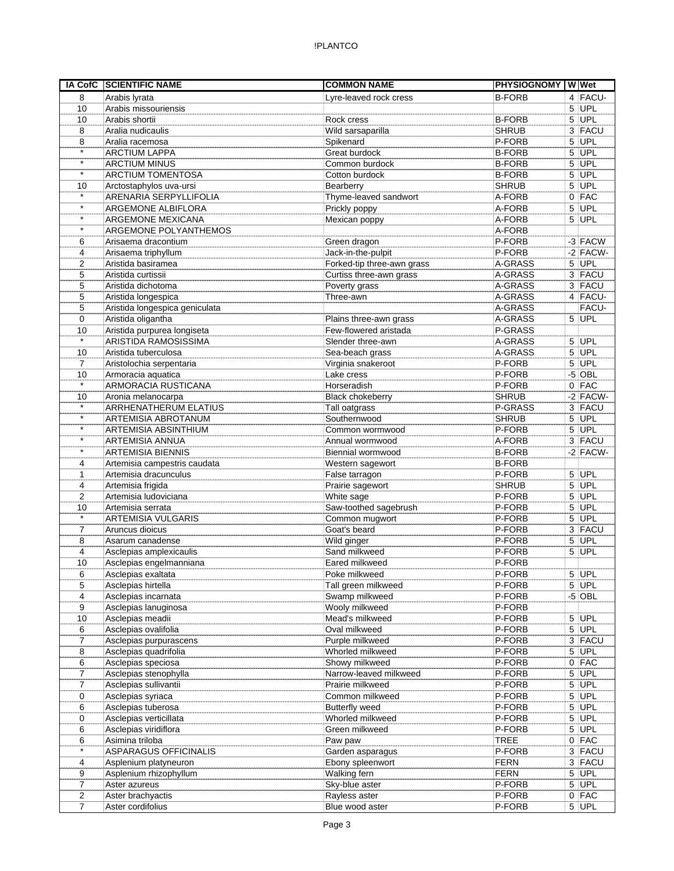|                | IA CofC SCIENTIFIC NAME                     | <b>COMMON NAME</b>                 | <b>PHYSIOGNOMY WWet</b> |   |                      |
|----------------|---------------------------------------------|------------------------------------|-------------------------|---|----------------------|
| 8              | Arabis lyrata                               | Lyre-leaved rock cress             | <b>B-FORB</b>           |   | 4 FACU-              |
| 10             | Arabis missouriensis                        |                                    |                         |   | $5$ UPL              |
| 10             | Arabis shortii                              | Rock cress                         | <b>B-FORB</b>           |   | $5$ UPL              |
| 8              | Aralia nudicaulis                           | Wild sarsaparilla                  | <b>SHRUB</b>            |   | 3 FACU               |
| 8              | Aralia racemosa                             | Spikenard                          | P-FORB                  | 5 | UPL                  |
| $\star$        | <b>ARCTIUM LAPPA</b>                        | Great burdock                      | <b>B-FORB</b>           |   | $5$ UPL              |
| $\star$        | <b>ARCTIUM MINUS</b>                        | Common burdock                     | <b>B-FORB</b>           |   | 5 UPL                |
| $\star$        | <b>ARCTIUM TOMENTOSA</b>                    | Cotton burdock                     | <b>B-FORB</b>           |   | $5$ UPL              |
| 10             | Arctostaphylos uva-ursi                     | Bearberry                          | <b>SHRUB</b>            |   | $5$ UPL              |
| $\star$        | ARENARIA SERPYLLIFOLIA                      | Thyme-leaved sandwort              | A-FORB                  |   | $0$ FAC              |
| $\star$        | <b>ARGEMONE ALBIFLORA</b>                   | Prickly poppy                      | A-FORB                  |   | 5 UPL                |
| $\star$        | ARGEMONE MEXICANA                           | Mexican poppy                      | A-FORB                  |   | 5 UPL                |
| $\star$        | ARGEMONE POLYANTHEMOS                       |                                    | A-FORB                  |   |                      |
| 6              | Arisaema dracontium                         | Green dragon                       | P-FORB                  |   | $-3$ FACW            |
| 4              | Arisaema triphyllum                         | Jack-in-the-pulpit                 | P-FORB                  |   | $-2$ FACW-           |
| 2              | Aristida basiramea                          | Forked-tip three-awn grass         | A-GRASS                 |   | $5$ UPL              |
| 5              | Aristida curtissii                          | Curtiss three-awn grass            | A-GRASS                 |   | 3 FACU               |
| 5              | Aristida dichotoma                          | Poverty grass                      | A-GRASS                 |   | 3 FACU               |
| 5              | Aristida longespica                         | Three-awn                          | A-GRASS                 |   | 4 FACU-              |
| 5              | Aristida longespica geniculata              |                                    | A-GRASS                 |   | FACU-                |
| 0              | Aristida oligantha                          | Plains three-awn grass             | A-GRASS                 |   | $5$ UPL              |
| 10<br>$\star$  | Aristida purpurea longiseta                 | Few-flowered aristada              | P-GRASS                 |   |                      |
|                | ARISTIDA RAMOSISSIMA                        | Slender three-awn                  | A-GRASS                 |   | $5$ UPL              |
| 10             | Aristida tuberculosa                        | Sea-beach grass                    | A-GRASS                 |   | $5$ UPL              |
| $\overline{7}$ | Aristolochia serpentaria                    | Virginia snakeroot                 | P-FORB                  |   | $5$ UPL<br>$-5$ OBL  |
| 10<br>$\star$  | Armoracia aquatica                          | Lake cress                         | P-FORB                  |   |                      |
|                | ARMORACIA RUSTICANA                         | Horseradish                        | P-FORB                  |   | $0$ FAC              |
| 10<br>$\star$  | Aronia melanocarpa<br>ARRHENATHERUM ELATIUS | <b>Black chokeberry</b>            | <b>SHRUB</b><br>P-GRASS |   | $-2$ FACW-<br>3 FACU |
| $\star$        | <b>ARTEMISIA ABROTANUM</b>                  | Tall oatgrass<br>Southernwood      | <b>SHRUB</b>            |   | $5$ UPL              |
| $\star$        |                                             |                                    | P-FORB                  |   | $5$ UPL              |
| $\star$        | ARTEMISIA ABSINTHIUM<br>ARTEMISIA ANNUA     | Common wormwood<br>Annual wormwood | A-FORB                  |   | 3 FACU               |
| $\star$        | <b>ARTEMISIA BIENNIS</b>                    | Biennial wormwood                  | <b>B-FORB</b>           |   | $-2$ FACW-           |
| 4              | Artemisia campestris caudata                | Western sagewort                   | <b>B-FORB</b>           |   |                      |
| $\mathbf{1}$   | Artemisia dracunculus                       | False tarragon                     | P-FORB                  |   | $5$ UPL              |
| 4              | Artemisia frigida                           | Prairie sagewort                   | <b>SHRUB</b>            |   | $5$ UPL              |
| 2              | Artemisia ludoviciana                       | White sage                         | P-FORB                  |   | $5$ UPL              |
| 10             | Artemisia serrata                           | Saw-toothed sagebrush              | P-FORB                  |   | $5$ UPL              |
| $\star$        | ARTEMISIA VULGARIS                          | Common mugwort                     | P-FORB                  |   | $5$ UPL              |
| 7              | Aruncus dioicus                             | Goat's beard                       | P-FORB                  |   | 3 FACU               |
| 8              | Asarum canadense                            | Wild ginger                        | P-FORB                  |   | $5$ UPL              |
| 4              | Asclepias amplexicaulis                     | Sand milkweed                      | P-FORB                  |   | $5$ UPL              |
| 10             | Asclepias engelmanniana                     | Eared milkweed                     | P-FORB                  |   |                      |
| 6              | Asclepias exaltata                          | Poke milkweed                      | P-FORB                  |   | $5$ UPL              |
| 5              | Asclepias hirtella                          | Tall green milkweed                | P-FORB                  |   | $5$ UPL              |
| 4              | Asclepias incarnata                         | Swamp milkweed                     | P-FORB                  |   | $-5$ OBL             |
| 9              | Asclepias lanuginosa                        | Wooly milkweed                     | P-FORB                  |   |                      |
| 10             | Asclepias meadii                            | Mead's milkweed                    | P-FORB                  |   | $5$ UPL              |
| 6              | Asclepias ovalifolia                        | Oval milkweed                      | P-FORB                  |   | 5 UPL                |
| 7              | Asclepias purpurascens                      | Purple milkweed                    | P-FORB                  |   | 3 FACU               |
| 8              | Asclepias quadrifolia                       | Whorled milkweed                   | P-FORB                  |   | 5 UPL                |
| 6              | Asclepias speciosa                          | Showy milkweed                     | P-FORB                  |   | $0$ FAC              |
| 7              | Asclepias stenophylla                       | Narrow-leaved milkweed             | P-FORB                  |   | $5$ UPL              |
| $\overline{7}$ | Asclepias sullivantii                       | Prairie milkweed                   | P-FORB                  |   | $5$ UPL              |
| 0              | Asclepias syriaca                           | Common milkweed                    | P-FORB                  |   | $5$ UPL              |
| 6              | Asclepias tuberosa                          | <b>Butterfly weed</b>              | P-FORB                  |   | $5$ UPL              |
| 0              | Asclepias verticillata                      | Whorled milkweed                   | P-FORB                  |   | $5$ UPL              |
| 6              | Asclepias viridiflora                       | Green milkweed                     | P-FORB                  |   | $5$ UPL              |
| 6              | Asimina triloba                             | Paw paw                            | <b>TREE</b>             |   | $0$ FAC              |
| $\star$        | ASPARAGUS OFFICINALIS                       | Garden asparagus                   | P-FORB                  |   | 3 FACU               |
| 4              | Asplenium platyneuron                       | Ebony spleenwort                   | <b>FERN</b>             |   | 3 FACU               |
| 9              | Asplenium rhizophyllum                      | Walking fern                       | <b>FERN</b>             |   | $5$ UPL              |
| $\overline{7}$ | Aster azureus                               | Sky-blue aster                     | P-FORB                  |   | $5$ UPL              |
| $\overline{2}$ | Aster brachyactis                           | Rayless aster                      | P-FORB                  |   | $0$ FAC              |
| 7              | Aster cordifolius                           | Blue wood aster                    | P-FORB                  |   | $5$ UPL              |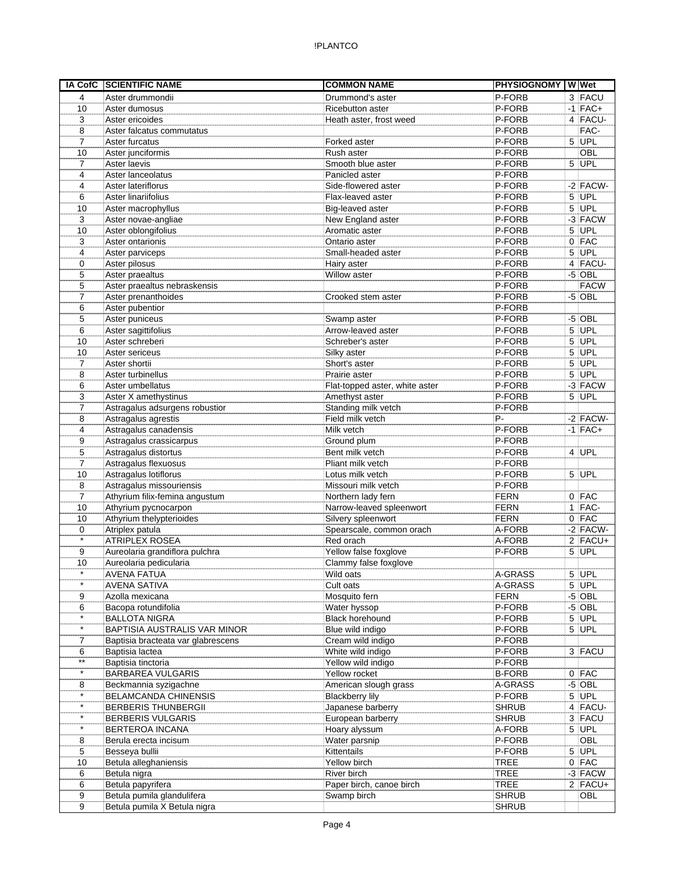|                      | <b>IA CofC SCIENTIFIC NAME</b>                      | <b>COMMON NAME</b>                          | <b>PHYSIOGNOMY WWW</b> |                         |
|----------------------|-----------------------------------------------------|---------------------------------------------|------------------------|-------------------------|
| 4                    | Aster drummondii                                    | Drummond's aster                            | P-FORB                 | 3 FACU                  |
| 10                   | Aster dumosus                                       | Ricebutton aster                            | P-FORB                 | $-1$ FAC+               |
| 3                    | Aster ericoides                                     | Heath aster, frost weed                     | P-FORB                 | $4$ FACU-               |
| 8                    | Aster falcatus commutatus                           |                                             | P-FORB                 | FAC-                    |
| 7                    | Aster furcatus                                      | Forked aster                                | P-FORB                 | $5$ UPL                 |
| 10                   | Aster junciformis                                   | Rush aster                                  | P-FORB                 | <b>OBL</b>              |
| 7                    | Aster laevis                                        | Smooth blue aster                           | P-FORB                 | $5$ UPL                 |
| 4                    | Aster lanceolatus                                   | Panicled aster                              | P-FORB                 |                         |
| 4                    | Aster lateriflorus                                  | Side-flowered aster                         | P-FORB                 | $-2$ FACW-              |
| 6                    | Aster linariifolius                                 | Flax-leaved aster                           | P-FORB                 | $5$ UPL                 |
| 10                   | Aster macrophyllus                                  | Big-leaved aster                            | P-FORB                 | $5$ UPL                 |
| 3                    | Aster novae-angliae                                 | New England aster                           | P-FORB                 | $-3$ FACW               |
| 10                   | Aster oblongifolius                                 | Aromatic aster                              | P-FORB                 | $5$ UPL                 |
| 3                    | Aster ontarionis                                    | Ontario aster                               | P-FORB                 | $0$ FAC                 |
| 4                    | Aster parviceps                                     | Small-headed aster                          | P-FORB                 | $5$ UPL                 |
| 0                    | Aster pilosus                                       | Hairy aster<br>Willow aster                 | P-FORB<br>P-FORB       | 4 FACU-<br>$-5$ OBL     |
| 5<br>5               | Aster praealtus                                     |                                             | P-FORB                 |                         |
| $\overline{7}$       | Aster praealtus nebraskensis<br>Aster prenanthoides | Crooked stem aster                          | P-FORB                 | <b>FACW</b><br>$-5$ OBL |
| 6                    | Aster pubentior                                     |                                             | P-FORB                 |                         |
| 5                    | Aster puniceus                                      | Swamp aster                                 | P-FORB                 | $-5$ OBL                |
| 6                    | Aster sagittifolius                                 | Arrow-leaved aster                          | P-FORB                 | 5 UPL                   |
| 10                   | Aster schreberi                                     | Schreber's aster                            | P-FORB                 | $5$ UPL                 |
| 10                   | Aster sericeus                                      | Silky aster                                 | P-FORB                 | 5 UPL                   |
| $\overline{7}$       | Aster shortii                                       | Short's aster                               | P-FORB                 | $5$ UPL                 |
| 8                    | Aster turbinellus                                   | Prairie aster                               | P-FORB                 | $5$ UPL                 |
| 6                    | Aster umbellatus                                    | Flat-topped aster, white aster              | P-FORB                 | $-3$ FACW               |
| 3                    | Aster X amethystinus                                | Amethyst aster                              | P-FORB                 | $5$ UPL                 |
| 7                    | Astragalus adsurgens robustior                      | Standing milk vetch                         | P-FORB                 |                         |
| 8                    | Astragalus agrestis                                 | Field milk vetch                            | P-                     | $-2$ FACW-              |
| 4                    | Astragalus canadensis                               | Milk vetch                                  | P-FORB                 | $-1$ FAC+               |
| 9                    | Astragalus crassicarpus                             | Ground plum                                 | P-FORB                 |                         |
| 5                    | Astragalus distortus                                | Bent milk vetch                             | P-FORB                 | $4$ UPL                 |
| 7                    | Astragalus flexuosus                                | Pliant milk vetch                           | P-FORB                 |                         |
| 10                   | Astragalus lotiflorus                               | Lotus milk vetch                            | P-FORB                 | $5$ UPL                 |
| 8                    | Astragalus missouriensis                            | Missouri milk vetch                         | P-FORB                 |                         |
| $\overline{7}$       | Athyrium filix-femina angustum                      | Northern lady fern                          | <b>FERN</b>            | 0 FAC                   |
| 10                   | Athyrium pycnocarpon                                | Narrow-leaved spleenwort                    | <b>FERN</b>            | $1$  FAC-               |
| 10                   | Athyrium thelypterioides                            | Silvery spleenwort                          | <b>FERN</b>            | $0$ FAC                 |
| 0                    | Atriplex patula                                     | Spearscale, common orach                    | A-FORB                 | $-2$ FACW-              |
| $\star$              | <b>ATRIPLEX ROSEA</b>                               | Red orach                                   | A-FORB                 | $2$ FACU+               |
| 9                    | Aureolaria grandiflora pulchra                      | Yellow false foxglove                       | P-FORB                 | $5$ UPL                 |
| 10                   | Aureolaria pedicularia                              | Clammy false foxglove                       |                        |                         |
| $\star$              | <b>AVENA FATUA</b>                                  | Wild oats                                   | A-GRASS                | $5$ UPL                 |
| $\star$              | <b>AVENA SATIVA</b>                                 | Cult oats                                   | A-GRASS                | $5$ UPL                 |
| 9                    | Azolla mexicana                                     | Mosquito fern                               | <b>FERN</b>            | $-5$ OBL                |
| 6                    | Bacopa rotundifolia                                 | Water hyssop                                | P-FORB                 | $-5$ OBL                |
| $\star$              | <b>BALLOTA NIGRA</b>                                | Black horehound                             | P-FORB                 | $5$ UPL                 |
| $\star$              | BAPTISIA AUSTRALIS VAR MINOR                        | Blue wild indigo                            | P-FORB                 | $5$ UPL                 |
| 7                    | Baptisia bracteata var glabrescens                  | Cream wild indigo                           | P-FORB                 |                         |
| 6<br>$^{\star\star}$ | Baptisia lactea                                     | White wild indigo                           | P-FORB                 | 3 FACU                  |
| $\star$              | Baptisia tinctoria                                  | Yellow wild indigo                          | P-FORB                 |                         |
|                      | BARBAREA VULGARIS                                   | Yellow rocket                               | <b>B-FORB</b>          | $0$ FAC                 |
| 8<br>$\star$         | Beckmannia syzigachne                               | American slough grass                       | A-GRASS                | $-5$ OBL                |
| $\star$              | BELAMCANDA CHINENSIS                                | <b>Blackberry lily</b><br>Japanese barberry | P-FORB                 | $5$ UPL<br>4 FACU-      |
| $\star$              | BERBERIS THUNBERGII                                 |                                             | <b>SHRUB</b>           |                         |
| $\star$              | <b>BERBERIS VULGARIS</b>                            | European barberry                           | <b>SHRUB</b>           | 3 FACU                  |
| 8                    | BERTEROA INCANA<br>Berula erecta incisum            | Hoary alyssum<br>Water parsnip              | A-FORB<br>P-FORB       | $5$ UPL<br>OBL          |
| 5                    | Besseya bullii                                      | Kittentails                                 | P-FORB                 | 5 UPL                   |
| 10                   | Betula alleghaniensis                               | Yellow birch                                | <b>TREE</b>            | $0$ FAC                 |
| 6                    | Betula nigra                                        | River birch                                 | <b>TREE</b>            | $-3$ FACW               |
| 6                    | Betula papyrifera                                   | Paper birch, canoe birch                    | <b>TREE</b>            | $2$ FACU+               |
| 9                    | Betula pumila glandulifera                          | Swamp birch                                 | <b>SHRUB</b>           | OBL                     |
| 9                    | Betula pumila X Betula nigra                        |                                             | <b>SHRUB</b>           |                         |
|                      |                                                     |                                             |                        |                         |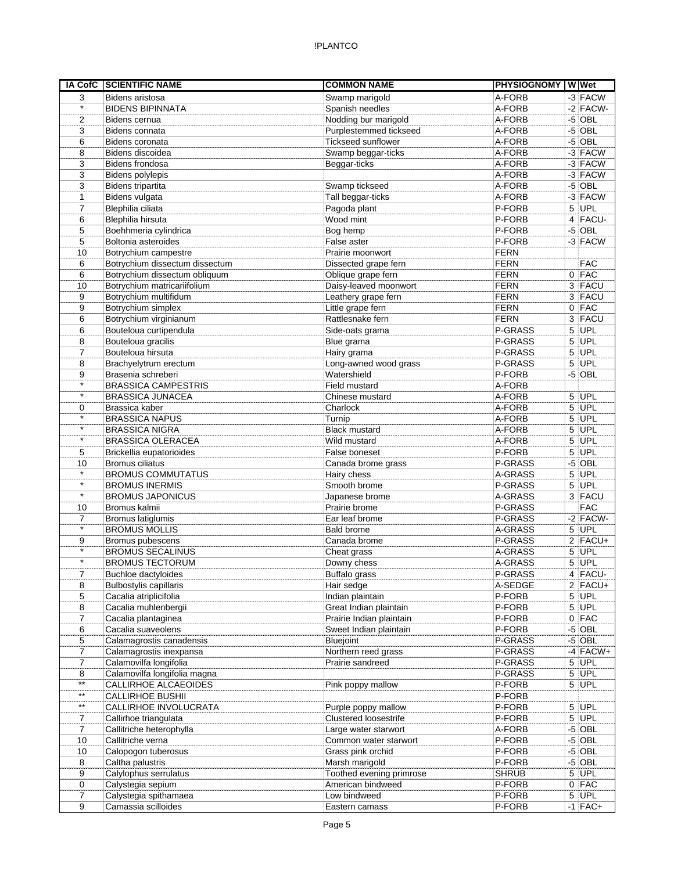## !PLANTCO

| <b>IA CofC</b>  | <b>SCIENTIFIC NAME</b>         | <b>COMMON NAME</b>           | <b>PHYSIOGNOMY WWet</b> |            |
|-----------------|--------------------------------|------------------------------|-------------------------|------------|
| 3               | <b>Bidens aristosa</b>         | Swamp marigold               | A-FORB                  | $-3$ FACW  |
| $\star$         | <b>BIDENS BIPINNATA</b>        | Spanish needles              | A-FORB                  | $-2$ FACW- |
| 2               | Bidens cernua                  | Nodding bur marigold         | A-FORB                  | $-5$ OBL   |
| 3               | Bidens connata                 | Purplestemmed tickseed       | A-FORB                  | $-5$ OBL   |
| 6               | Bidens coronata                | Tickseed sunflower           | A-FORB                  | $-5$ OBL   |
| 8               | Bidens discoidea               | Swamp beggar-ticks           | A-FORB                  | -3 FACW    |
| 3               | Bidens frondosa                | Beggar-ticks                 | A-FORB                  | -3 FACW    |
| 3               | <b>Bidens polylepis</b>        |                              | A-FORB                  | -3 FACW    |
| 3               | Bidens tripartita              | Swamp tickseed               | A-FORB                  | $-5$ OBL   |
| 1               | Bidens vulgata                 | Tall beggar-ticks            | A-FORB                  | $-3$ FACW  |
| $\overline{7}$  | Blephilia ciliata              | Pagoda plant                 | P-FORB                  | 5 UPL      |
| 6               | Blephilia hirsuta              | Wood mint                    | P-FORB                  | 4 FACU-    |
| 5               | Boehhmeria cylindrica          | Bog hemp                     | P-FORB                  | $-5$ OBL   |
| 5               | Boltonia asteroides            | False aster                  | P-FORB                  | $-3$ FACW  |
| 10              | Botrychium campestre           | Prairie moonwort             | <b>FERN</b>             |            |
| 6               | Botrychium dissectum dissectum | Dissected grape fern         | <b>FERN</b>             | <b>FAC</b> |
| 6               | Botrychium dissectum obliquum  | Oblique grape fern           | <b>FERN</b>             | $0$ FAC    |
| 10              | Botrychium matricariifolium    | Daisy-leaved moonwort        | <b>FERN</b>             | 3 FACU     |
| 9               | Botrychium multifidum          | Leathery grape fern          | <b>FERN</b>             | 3 FACU     |
| 9               | Botrychium simplex             | Little grape fern            | <b>FERN</b>             | $0$ FAC    |
| 6               | Botrychium virginianum         | Rattlesnake fern             | <b>FERN</b>             | 3 FACU     |
| 6               | Bouteloua curtipendula         | Side-oats grama              | P-GRASS                 | $5$ UPL    |
| 8               | Bouteloua gracilis             | Blue grama                   | P-GRASS                 | $5$ UPL    |
| 7               | Bouteloua hirsuta              | Hairy grama                  | P-GRASS                 | $5$ UPL    |
| 8               | Brachyelytrum erectum          | Long-awned wood grass        | P-GRASS                 | 5 UPL      |
| 9               | Brasenia schreberi             | Watershield                  | P-FORB                  | $-5$ OBL   |
| $\star$         | <b>BRASSICA CAMPESTRIS</b>     | Field mustard                | A-FORB                  |            |
| $\star$         | <b>BRASSICA JUNACEA</b>        | Chinese mustard              | A-FORB                  | 5 UPL      |
| 0               | Brassica kaber                 | Charlock                     | A-FORB                  | $5$ UPL    |
| $\star$         | <b>BRASSICA NAPUS</b>          | Turnip                       | A-FORB                  | $5$ UPL    |
| $\star$         | <b>BRASSICA NIGRA</b>          | <b>Black mustard</b>         | A-FORB                  | $5$ UPL    |
| $\star$         | <b>BRASSICA OLERACEA</b>       | Wild mustard                 | A-FORB                  | $5$ UPL    |
| 5               | Brickellia eupatorioides       | False boneset                | P-FORB                  | $5$ UPL    |
| 10              | <b>Bromus ciliatus</b>         | Canada brome grass           | P-GRASS                 | $-5$ OBL   |
| $\star$         | <b>BROMUS COMMUTATUS</b>       | Hairy chess                  | A-GRASS                 | 5 UPL      |
| $\star$         | <b>BROMUS INERMIS</b>          | Smooth brome                 | P-GRASS                 | $5$ UPL    |
| $\star$         | <b>BROMUS JAPONICUS</b>        | Japanese brome               | A-GRASS                 | 3 FACU     |
| 10              | Bromus kalmii                  | Prairie brome                | P-GRASS                 | <b>FAC</b> |
| $\overline{7}$  | Bromus latiglumis              | Ear leaf brome               | P-GRASS                 | $-2$ FACW- |
| $\star$         | <b>BROMUS MOLLIS</b>           | <b>Bald brome</b>            | A-GRASS                 | $5$ UPL    |
| 9               | Bromus pubescens               | Canada brome                 | P-GRASS                 | $2$ FACU+  |
| $\star$         | <b>BROMUS SECALINUS</b>        | Cheat grass                  | A-GRASS                 | $5$ UPL    |
| $\star$         | <b>BROMUS TECTORUM</b>         | Downy chess                  | A-GRASS                 | 5 UPL      |
| 7               | Buchloe dactyloides            | Buffalo grass                | P-GRASS                 | 4 FACU-    |
| 8               | <b>Bulbostylis capillaris</b>  | Hair sedge                   | A-SEDGE                 | $2$ FACU+  |
| 5               | Cacalia atriplicifolia         | Indian plaintain             | P-FORB                  | $5$ UPL    |
| 8               | Cacalia muhlenbergii           | Great Indian plaintain       | P-FORB                  | $5$ UPL    |
| 7               | Cacalia plantaginea            | Prairie Indian plaintain     | P-FORB                  | $0$ FAC    |
| 6               | Cacalia suaveolens             | Sweet Indian plaintain       | P-FORB                  | $-5$ OBL   |
| 5               | Calamagrostis canadensis       | Bluejoint                    | P-GRASS                 | $-5$ OBL   |
| 7               | Calamagrostis inexpansa        | Northern reed grass          | P-GRASS                 | $-4$ FACW+ |
| $\overline{7}$  | Calamovilfa longifolia         | Prairie sandreed             | P-GRASS                 | $5$ UPL    |
| 8               | Calamovilfa longifolia magna   |                              | P-GRASS                 | $5$ UPL    |
| $^{\star\star}$ | CALLIRHOE ALCAEOIDES           | Pink poppy mallow            | P-FORB                  | $5$ UPL    |
| $^{\star\star}$ | <b>CALLIRHOE BUSHII</b>        |                              | P-FORB                  |            |
| $^{\star\star}$ | CALLIRHOE INVOLUCRATA          | Purple poppy mallow          | P-FORB                  | 5 UPL      |
| 7               | Callirhoe triangulata          | <b>Clustered loosestrife</b> | P-FORB                  | $5$ UPL    |
| $\overline{7}$  | Callitriche heterophylla       | Large water starwort         | A-FORB                  | $-5$ OBL   |
| 10              | Callitriche verna              | Common water starwort        | P-FORB                  | $-5$ OBL   |
| 10              | Calopogon tuberosus            | Grass pink orchid            | P-FORB                  | $-5$ OBL   |
| 8               | Caltha palustris               | Marsh marigold               | P-FORB                  | $-5$ OBL   |
| 9               | Calylophus serrulatus          | Toothed evening primrose     | <b>SHRUB</b>            | $5$ UPL    |
| 0               | Calystegia sepium              | American bindweed            | P-FORB                  | $0$ FAC    |
| 7               | Calystegia spithamaea          | Low bindweed                 | P-FORB                  | $5$ UPL    |
| 9               | Camassia scilloides            | Eastern camass               | P-FORB                  | $-1$ FAC+  |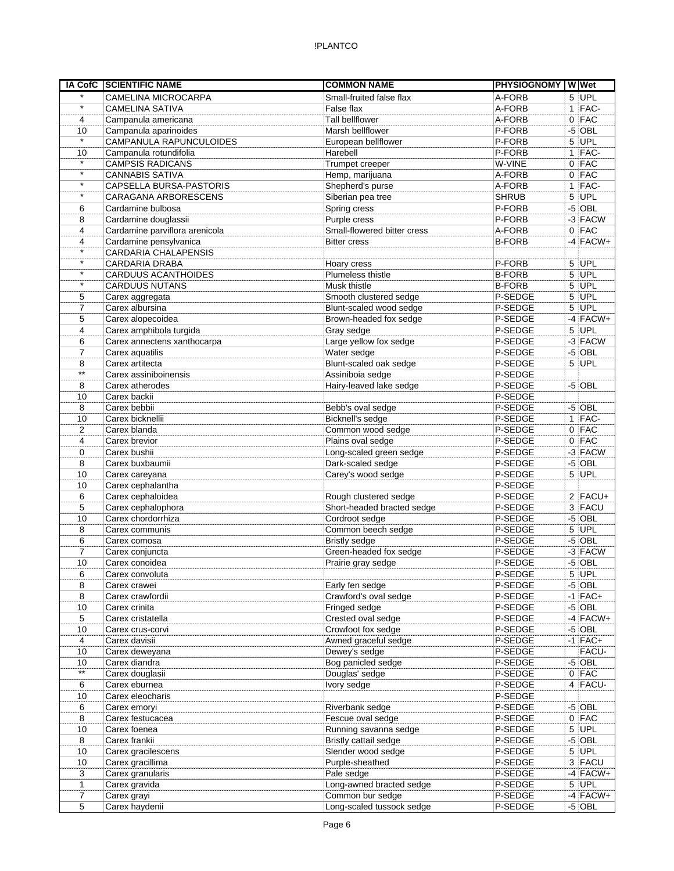|                 | IA CofC SCIENTIFIC NAME        | <b>COMMON NAME</b>          | PHYSIOGNOMY W Wet |            |
|-----------------|--------------------------------|-----------------------------|-------------------|------------|
| $\star$         | <b>CAMELINA MICROCARPA</b>     | Small-fruited false flax    | A-FORB            | $5$ UPL    |
| $\star$         | <b>CAMELINA SATIVA</b>         | False flax                  | A-FORB            | $1$ FAC-   |
| 4               | Campanula americana            | Tall bellflower             | A-FORB            | $0$ FAC    |
| 10              | Campanula aparinoides          | Marsh bellflower            | P-FORB            | $-5$ OBL   |
| $\star$         | CAMPANULA RAPUNCULOIDES        | European bellflower         | P-FORB            | 5 UPL      |
| 10              | Campanula rotundifolia         | Harebell                    | P-FORB            | $1$ FAC-   |
| $\star$         | <b>CAMPSIS RADICANS</b>        | Trumpet creeper             | W-VINE            | $0$ FAC    |
| $\star$         | <b>CANNABIS SATIVA</b>         | Hemp, marijuana             | A-FORB            | $0$ FAC    |
| $\star$         | CAPSELLA BURSA-PASTORIS        | Shepherd's purse            | A-FORB            | $1$ FAC-   |
| $\star$         | CARAGANA ARBORESCENS           | Siberian pea tree           | <b>SHRUB</b>      | $5$ UPL    |
| 6               | Cardamine bulbosa              | Spring cress                | P-FORB            | $-5$ OBL   |
| 8               | Cardamine douglassii           | Purple cress                | P-FORB            | $-3$ FACW  |
| 4               | Cardamine parviflora arenicola | Small-flowered bitter cress | A-FORB            | $0$ FAC    |
| 4               | Cardamine pensylvanica         | <b>Bitter cress</b>         | <b>B-FORB</b>     | $-4$ FACW+ |
| $\star$         | <b>CARDARIA CHALAPENSIS</b>    |                             |                   |            |
| $\star$         | CARDARIA DRABA                 | Hoary cress                 | P-FORB            | $5$ UPL    |
| $\star$         | <b>CARDUUS ACANTHOIDES</b>     | Plumeless thistle           | <b>B-FORB</b>     | $5$ UPL    |
| $\star$         | <b>CARDUUS NUTANS</b>          | Musk thistle                | <b>B-FORB</b>     | 5 UPL      |
| 5               | Carex aggregata                | Smooth clustered sedge      | P-SEDGE           | $5$ UPL    |
| 7               | Carex albursina                | Blunt-scaled wood sedge     | P-SEDGE           | $5$ UPL    |
| 5               | Carex alopecoidea              | Brown-headed fox sedge      | P-SEDGE           | $-4$ FACW+ |
| 4               | Carex amphibola turgida        | Gray sedge                  | P-SEDGE           | $5$ UPL    |
| 6               | Carex annectens xanthocarpa    | Large yellow fox sedge      | P-SEDGE           | $-3$ FACW  |
| 7               | Carex aquatilis                | Water sedge                 | P-SEDGE           | $-5$ OBL   |
| 8               | Carex artitecta                | Blunt-scaled oak sedge      | P-SEDGE           | $5$ UPL    |
| $***$           | Carex assiniboinensis          | Assiniboia sedge            | P-SEDGE           |            |
| 8               | Carex atherodes                | Hairy-leaved lake sedge     | P-SEDGE           | $-5$ OBL   |
| 10              | Carex backii                   |                             | P-SEDGE           |            |
| 8               | Carex bebbii                   | Bebb's oval sedge           | P-SEDGE           | $-5$ OBL   |
| 10              | Carex bicknellii               | Bicknell's sedge            | P-SEDGE           | $1$ FAC-   |
| 2               | Carex blanda                   | Common wood sedge           | P-SEDGE           | $0$ FAC    |
| 4               |                                |                             | P-SEDGE           | $0$ FAC    |
|                 | Carex brevior                  | Plains oval sedge           |                   |            |
| 0               | Carex bushii                   | Long-scaled green sedge     | P-SEDGE           | $-3$ FACW  |
| 8               | Carex buxbaumii                | Dark-scaled sedge           | P-SEDGE           | $-5$ OBL   |
| 10              | Carex careyana                 | Carey's wood sedge          | P-SEDGE           | $5$ UPL    |
| 10              | Carex cephalantha              |                             | P-SEDGE           |            |
| 6               | Carex cephaloidea              | Rough clustered sedge       | P-SEDGE           | $2$ FACU+  |
| 5               | Carex cephalophora             | Short-headed bracted sedge  | P-SEDGE           | $3$ FACU   |
| 10              | Carex chordorrhiza             | Cordroot sedge              | P-SEDGE           | $-5$ OBL   |
| 8               | Carex communis                 | Common beech sedge          | P-SEDGE           | $5$ UPL    |
| 6               | Carex comosa                   | <b>Bristly sedge</b>        | P-SEDGE           | $-5$ OBL   |
| $\overline{7}$  | Carex conjuncta                | Green-headed fox sedge      | P-SEDGE           | $-3$ FACW  |
| 10              | Carex conoidea                 | Prairie gray sedge          | P-SEDGE           | $-5$ OBL   |
| 6               | Carex convoluta                |                             | P-SEDGE           | $5$ UPL    |
| 8               | Carex crawei                   | Early fen sedge             | P-SEDGE           | $-5$ OBL   |
| 8               | Carex crawfordii               | Crawford's oval sedge       | P-SEDGE           | $-1$ FAC+  |
| 10              | Carex crinita                  | Fringed sedge               | P-SEDGE           | $-5$ OBL   |
| 5               | Carex cristatella              | Crested oval sedge          | P-SEDGE           | $-4$ FACW+ |
| 10              | Carex crus-corvi               | Crowfoot fox sedge          | P-SEDGE           | $-5$ OBL   |
| 4               | Carex davisii                  | Awned graceful sedge        | P-SEDGE           | $-1$ FAC+  |
| 10              | Carex deweyana                 | Dewey's sedge               | P-SEDGE           | FACU-      |
| 10              | Carex diandra                  | Bog panicled sedge          | P-SEDGE           | $-5$ OBL   |
| $\overline{**}$ | Carex douglasii                | Douglas' sedge              | P-SEDGE           | $0$ FAC    |
| 6               | Carex eburnea                  | Ivory sedge                 | P-SEDGE           | 4 FACU-    |
| 10              | Carex eleocharis               |                             | P-SEDGE           |            |
| 6               | Carex emoryi                   | Riverbank sedge             | P-SEDGE           | $-5$ OBL   |
| 8               | Carex festucacea               | Fescue oval sedge           | P-SEDGE           | $0$ FAC    |
| 10              | Carex foenea                   | Running savanna sedge       | P-SEDGE           | $5$ UPL    |
| 8               | Carex frankii                  | Bristly cattail sedge       | P-SEDGE           | $-5$ OBL   |
| 10              | Carex gracilescens             | Slender wood sedge          | P-SEDGE           | $5$ UPL    |
| 10              | Carex gracillima               | Purple-sheathed             | P-SEDGE           | 3 FACU     |
| 3               | Carex granularis               | Pale sedge                  | P-SEDGE           | $-4$ FACW+ |
| $\mathbf{1}$    | Carex gravida                  | Long-awned bracted sedge    | P-SEDGE           | $5$ UPL    |
| 7               | Carex grayi                    | Common bur sedge            | P-SEDGE           | $-4$ FACW+ |
| 5               | Carex haydenii                 | Long-scaled tussock sedge   | P-SEDGE           | $-5$ OBL   |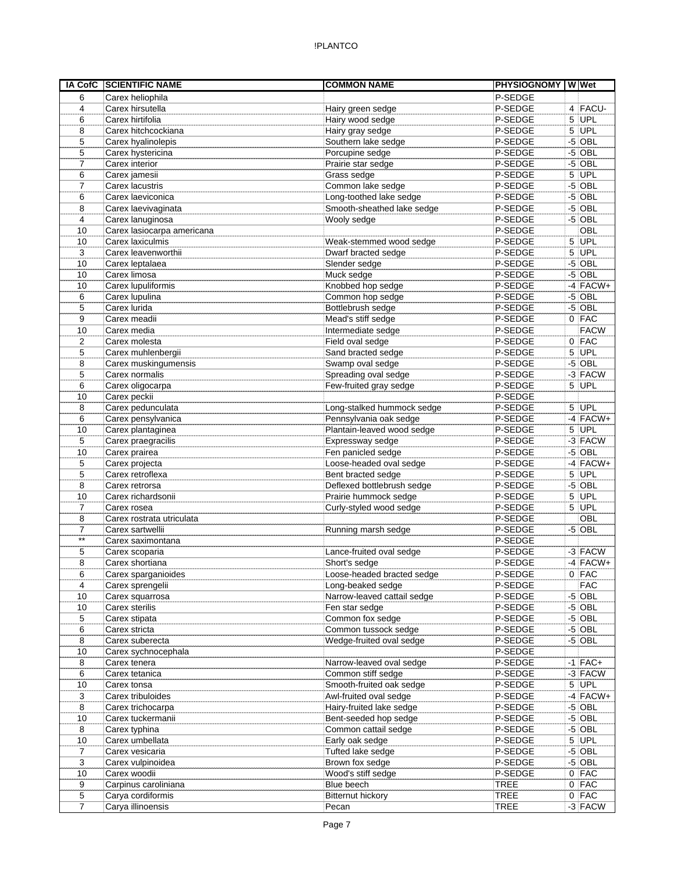| <b>IA CofC</b> | <b>SCIENTIFIC NAME</b>     | <b>COMMON NAME</b>          | <b>PHYSIOGNOMY</b> |      | W Wet       |
|----------------|----------------------------|-----------------------------|--------------------|------|-------------|
| 6              | Carex heliophila           |                             | P-SEDGE            |      |             |
| 4              | Carex hirsutella           | Hairy green sedge           | P-SEDGE            |      | $4$ FACU-   |
| 6              | Carex hirtifolia           | Hairy wood sedge            | P-SEDGE            |      | $5$ UPL     |
| 8              | Carex hitchcockiana        | Hairy gray sedge            | P-SEDGE            | 5    | UPL         |
| 5              | Carex hyalinolepis         | Southern lake sedge         | P-SEDGE            | $-5$ | OBL         |
| 5              | Carex hystericina          | Porcupine sedge             | P-SEDGE            |      | $-5$ OBL    |
| $\overline{7}$ | Carex interior             | Prairie star sedge          | P-SEDGE            |      | $-5$ OBL    |
| 6              | Carex jamesii              | Grass sedge                 | P-SEDGE            | 5    | UPL         |
| 7              | Carex lacustris            | Common lake sedge           | P-SEDGE            | $-5$ | OBL         |
| 6              | Carex laeviconica          | Long-toothed lake sedge     | P-SEDGE            |      | $-5$ OBL    |
| 8              | Carex laevivaginata        | Smooth-sheathed lake sedge  | P-SEDGE            |      | $-5$ OBL    |
| 4              | Carex lanuginosa           | Wooly sedge                 | P-SEDGE            |      | $-5$ OBL    |
| 10             | Carex lasiocarpa americana |                             | P-SEDGE            |      | OBL         |
| 10             | Carex laxiculmis           | Weak-stemmed wood sedge     | P-SEDGE            |      | 5 UPL       |
| 3              | Carex leavenworthii        | Dwarf bracted sedge         | P-SEDGE            | 5    | UPL         |
| 10             | Carex leptalaea            | Slender sedge               | P-SEDGE            | $-5$ | OBL         |
| 10             | Carex limosa               | Muck sedge                  | P-SEDGE            |      | $-5$ OBL    |
| 10             | Carex lupuliformis         | Knobbed hop sedge           | P-SEDGE            |      | $-4$ FACW+  |
| 6              | Carex lupulina             | Common hop sedge            | P-SEDGE            |      | $-5$ OBL    |
| 5              | Carex lurida               | Bottlebrush sedge           | P-SEDGE            |      | $-5$ OBL    |
| 9              | Carex meadii               | Mead's stiff sedge          | P-SEDGE            |      | $0$ FAC     |
| 10             | Carex media                | Intermediate sedge          | P-SEDGE            |      | <b>FACW</b> |
| 2              | Carex molesta              | Field oval sedge            | P-SEDGE            |      | $0$ FAC     |
| 5              | Carex muhlenbergii         | Sand bracted sedge          | P-SEDGE            |      | $5$ UPL     |
| 8              | Carex muskingumensis       | Swamp oval sedge            | P-SEDGE            |      | $-5$ OBL    |
| 5              | Carex normalis             | Spreading oval sedge        | P-SEDGE            |      | -3 FACW     |
| 6              | Carex oligocarpa           | Few-fruited gray sedge      | P-SEDGE            |      | 5 UPL       |
| 10             | Carex peckii               |                             | P-SEDGE            |      |             |
| 8              | Carex pedunculata          | Long-stalked hummock sedge  | P-SEDGE            |      | $5$ UPL     |
| 6              | Carex pensylvanica         | Pennsylvania oak sedge      | P-SEDGE            |      | $-4$ FACW+  |
| 10             | Carex plantaginea          | Plantain-leaved wood sedge  | P-SEDGE            |      | 5 UPL       |
|                |                            |                             | P-SEDGE            |      | $-3$ FACW   |
| 5              | Carex praegracilis         | Expressway sedge            |                    |      | $-5$ OBL    |
| 10             | Carex prairea              | Fen panicled sedge          | P-SEDGE            |      |             |
| 5              | Carex projecta             | Loose-headed oval sedge     | P-SEDGE            |      | $-4$ FACW+  |
| 5              | Carex retroflexa           | Bent bracted sedge          | P-SEDGE            |      | $5$ UPL     |
| 8              | Carex retrorsa             | Deflexed bottlebrush sedge  | P-SEDGE            |      | $-5$ OBL    |
| 10             | Carex richardsonii         | Prairie hummock sedge       | P-SEDGE            |      | $5$ UPL     |
| $\overline{7}$ | Carex rosea                | Curly-styled wood sedge     | P-SEDGE            | 5    | UPL         |
| 8              | Carex rostrata utriculata  |                             | P-SEDGE            |      | <b>OBL</b>  |
| 7              | Carex sartwellii           | Running marsh sedge         | P-SEDGE            |      | $-5$ OBL    |
| $***$          | Carex saximontana          |                             | P-SEDGE            |      |             |
| 5              | Carex scoparia             | Lance-fruited oval sedge    | P-SEDGE            |      | $-3$ FACW   |
| 8              | Carex shortiana            | Short's sedge               | P-SEDGE            |      | $-4$ FACW+  |
| 6              | Carex sparganioides        | Loose-headed bracted sedge  | P-SEDGE            |      | $0$ FAC     |
| 4              | Carex sprengelii           | Long-beaked sedge           | P-SEDGE            |      | <b>FAC</b>  |
| 10             | Carex squarrosa            | Narrow-leaved cattail sedge | P-SEDGE            |      | $-5$ OBL    |
| 10             | Carex sterilis             | Fen star sedge              | P-SEDGE            |      | $-5$ OBL    |
| 5              | Carex stipata              | Common fox sedge            | P-SEDGE            |      | $-5$ OBL    |
| 6              | Carex stricta              | Common tussock sedge        | P-SEDGE            |      | $-5$ OBL    |
| 8              | Carex suberecta            | Wedge-fruited oval sedge    | P-SEDGE            |      | $-5$ OBL    |
| 10             | Carex sychnocephala        |                             | P-SEDGE            |      |             |
| 8              | Carex tenera               | Narrow-leaved oval sedge    | P-SEDGE            |      | $-1$ FAC+   |
| 6              | Carex tetanica             | Common stiff sedge          | P-SEDGE            |      | $-3$ FACW   |
| 10             | Carex tonsa                | Smooth-fruited oak sedge    | P-SEDGE            |      | $5$ UPL     |
| 3              | Carex tribuloides          | Awl-fruited oval sedge      | P-SEDGE            |      | $-4$ FACW+  |
| 8              | Carex trichocarpa          | Hairy-fruited lake sedge    | P-SEDGE            |      | $-5$ OBL    |
| 10             | Carex tuckermanii          | Bent-seeded hop sedge       | P-SEDGE            |      | $-5$ OBL    |
| 8              | Carex typhina              | Common cattail sedge        | P-SEDGE            |      | $-5$ OBL    |
| 10             | Carex umbellata            | Early oak sedge             | P-SEDGE            |      | $5$ UPL     |
| 7              | Carex vesicaria            | Tufted lake sedge           | P-SEDGE            |      | $-5$ OBL    |
| 3              | Carex vulpinoidea          | Brown fox sedge             | P-SEDGE            |      | $-5$ OBL    |
| 10             | Carex woodii               | Wood's stiff sedge          | P-SEDGE            |      | $0$ FAC     |
| 9              | Carpinus caroliniana       | Blue beech                  | <b>TREE</b>        |      | $0$ FAC     |
| 5              | Carya cordiformis          | <b>Bitternut hickory</b>    | <b>TREE</b>        |      | $0$ FAC     |
| $\overline{7}$ | Carya illinoensis          | Pecan                       | <b>TREE</b>        |      | $-3$ FACW   |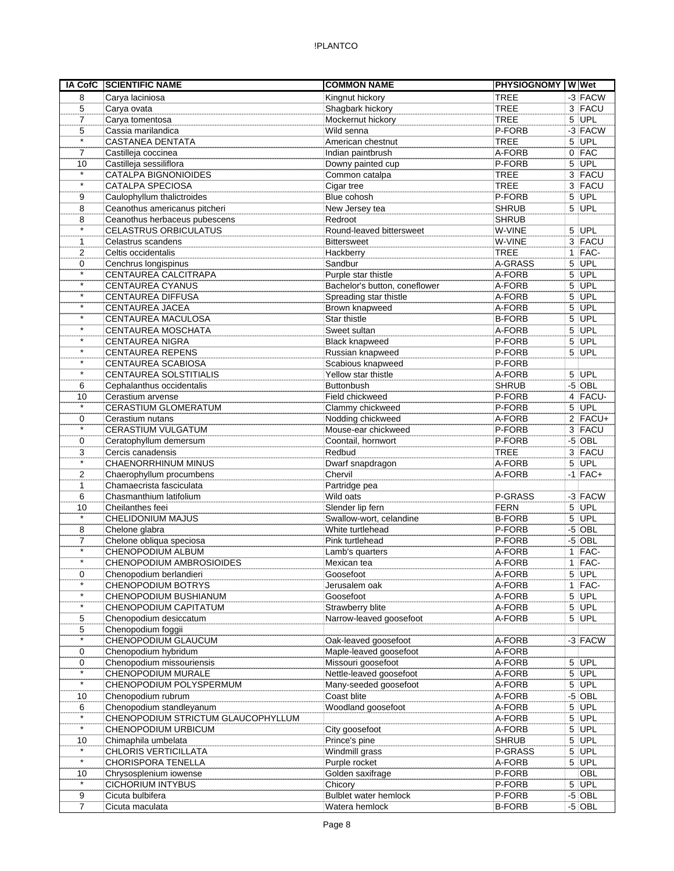| IA CofC           | <b>SCIENTIFIC NAME</b>                             | <b>COMMON NAME</b>                               | PHYSIOGNOMY W Wet |                |                      |
|-------------------|----------------------------------------------------|--------------------------------------------------|-------------------|----------------|----------------------|
| 8                 | Carya laciniosa                                    | Kingnut hickory                                  | <b>TREE</b>       |                | $-3$ FACW            |
| 5                 | Carya ovata                                        | Shagbark hickory                                 | <b>TREE</b>       |                | 3 FACU               |
| $\overline{7}$    | Carya tomentosa                                    | Mockernut hickory                                | <b>TREE</b>       |                | $5$ UPL              |
| 5                 | Cassia marilandica                                 | Wild senna                                       | P-FORB            |                | $-3$ FACW            |
| $\star$           | <b>CASTANEA DENTATA</b>                            | American chestnut                                | <b>TREE</b>       |                | $5$ UPL              |
| $\overline{7}$    | Castilleja coccinea                                | Indian paintbrush                                | A-FORB            |                | $0$ FAC              |
| 10                | Castilleja sessiliflora                            | Downy painted cup                                | P-FORB            |                | 5 UPL                |
| $\star$           | CATALPA BIGNONIOIDES                               | Common catalpa                                   | <b>TREE</b>       |                | 3 FACU               |
| $\star$           | CATALPA SPECIOSA                                   | Cigar tree                                       | <b>TREE</b>       |                | 3 FACU               |
| 9                 | Caulophyllum thalictroides                         | Blue cohosh                                      | P-FORB            |                | $5$ UPL              |
| 8                 | Ceanothus americanus pitcheri                      | New Jersey tea                                   | <b>SHRUB</b>      |                | $5$ UPL              |
| 8                 | Ceanothus herbaceus pubescens                      | Redroot                                          | <b>SHRUB</b>      |                |                      |
| $\star$           | <b>CELASTRUS ORBICULATUS</b>                       | Round-leaved bittersweet                         | W-VINE            |                | $5$ UPL              |
| $\mathbf{1}$      | Celastrus scandens                                 | <b>Bittersweet</b>                               | W-VINE            |                | 3 FACU               |
| 2                 | Celtis occidentalis                                | Hackberry                                        | <b>TREE</b>       |                | $1$ FAC-             |
| $\mathbf 0$       | Cenchrus longispinus                               | Sandbur                                          | A-GRASS           |                | $5$ UPL              |
| $\star$           | CENTAUREA CALCITRAPA                               | Purple star thistle                              | A-FORB            |                | $5$ UPL              |
| $\star$           | <b>CENTAUREA CYANUS</b>                            | Bachelor's button, coneflower                    | A-FORB            |                | 5 UPL                |
| $\star$           | CENTAUREA DIFFUSA                                  | Spreading star thistle                           | A-FORB            |                | $5$ UPL              |
| $\star$           | CENTAUREA JACEA                                    | Brown knapweed                                   | A-FORB            |                | $5$ UPL              |
| $\star$           | CENTAUREA MACULOSA                                 | Star thistle                                     | <b>B-FORB</b>     |                | $5$ UPL              |
| $\star$           | CENTAUREA MOSCHATA                                 | Sweet sultan                                     | A-FORB            | $\overline{5}$ | UPL                  |
| $\star$           | <b>CENTAUREA NIGRA</b>                             | <b>Black knapweed</b>                            | P-FORB            |                | $5$ UPL              |
| $\star$           | <b>CENTAUREA REPENS</b>                            | Russian knapweed                                 | P-FORB            |                | 5 UPL                |
| $\star$           | CENTAUREA SCABIOSA                                 | Scabious knapweed                                | P-FORB            |                |                      |
| $\star$           | <b>CENTAUREA SOLSTITIALIS</b>                      | Yellow star thistle                              | A-FORB            |                | $5$ UPL              |
| 6                 | Cephalanthus occidentalis                          | Buttonbush                                       | <b>SHRUB</b>      |                | $-5$ OBL             |
| 10                | Cerastium arvense                                  | Field chickweed                                  | P-FORB            |                | 4 FACU-              |
| $\star$           | CERASTIUM GLOMERATUM                               | Clammy chickweed                                 | P-FORB            |                | $5$ UPL              |
| 0                 | Cerastium nutans                                   | Nodding chickweed                                | A-FORB            |                | $2$ FACU+            |
| $\star$           | CERASTIUM VULGATUM                                 | Mouse-ear chickweed                              | P-FORB            |                | 3 FACU               |
| 0                 | Ceratophyllum demersum                             | Coontail, hornwort                               | P-FORB            |                | $-5$ OBL             |
| 3                 | Cercis canadensis                                  | Redbud                                           | <b>TREE</b>       |                | 3 FACU               |
| $\star$           | CHAENORRHINUM MINUS                                | Dwarf snapdragon                                 | A-FORB            |                | $5$ UPL              |
| 2                 | Chaerophyllum procumbens                           | Chervil                                          | A-FORB            |                | $-1$ FAC+            |
| $\mathbf{1}$      | Chamaecrista fasciculata                           | Partridge pea                                    |                   |                |                      |
| 6                 | Chasmanthium latifolium                            | Wild oats                                        | P-GRASS           |                | $-3$ FACW            |
| 10                | Cheilanthes feei                                   | Slender lip fern                                 | FERN              |                | $5$ UPL              |
| $\star$           | <b>CHELIDONIUM MAJUS</b>                           | Swallow-wort, celandine                          | <b>B-FORB</b>     |                | $5$ UPL              |
| 8                 | Chelone glabra                                     | White turtlehead                                 | P-FORB            |                | $-5$ OBL             |
| $\overline{7}$    | Chelone obliqua speciosa                           | Pink turtlehead                                  | P-FORB            |                | $-5$ OBL             |
| $\overline{\ast}$ | CHENOPODIUM ALBUM                                  | Lamb's quarters                                  | A-FORB            |                | $1$  FAC-            |
| $\star$           | <b>CHENOPODIUM AMBROSIOIDES</b>                    | Mexican tea                                      | A-FORB            |                | $1$ FAC-             |
| 0                 | Chenopodium berlandieri                            | Goosefoot                                        | A-FORB            |                | $5$ UPL              |
| $\star$           |                                                    |                                                  |                   |                |                      |
| $\star$           | <b>CHENOPODIUM BOTRYS</b><br>CHENOPODIUM BUSHIANUM | Jerusalem oak<br>Goosefoot                       | A-FORB<br>A-FORB  |                | $1$  FAC-<br>$5$ UPL |
| $\star$           |                                                    |                                                  |                   |                | $5$ UPL              |
|                   | CHENOPODIUM CAPITATUM                              | Strawberry blite<br>Narrow-leaved goosefoot      | A-FORB<br>A-FORB  |                | $5$ UPL              |
| 5                 | Chenopodium desiccatum<br>Chenopodium foggii       |                                                  |                   |                |                      |
| 5<br>$\star$      |                                                    |                                                  |                   |                |                      |
|                   | CHENOPODIUM GLAUCUM<br>Chenopodium hybridum        | Oak-leaved goosefoot                             | A-FORB            |                | $-3$ FACW            |
| 0                 |                                                    | Maple-leaved goosefoot                           | A-FORB            |                |                      |
| 0<br>$\star$      | Chenopodium missouriensis                          | Missouri goosefoot                               | A-FORB            |                | $5$ UPL              |
| $\star$           | CHENOPODIUM MURALE<br>CHENOPODIUM POLYSPERMUM      | Nettle-leaved goosefoot<br>Many-seeded goosefoot | A-FORB            |                | $5$ UPL              |
|                   |                                                    |                                                  | A-FORB            |                | $5$ UPL              |
| 10                | Chenopodium rubrum                                 | Coast blite                                      | A-FORB            |                | $-5$ OBL             |
| 6<br>$\star$      | Chenopodium standleyanum                           | Woodland goosefoot                               | A-FORB            |                | $5$ UPL              |
| $\star$           | CHENOPODIUM STRICTUM GLAUCOPHYLLUM                 |                                                  | A-FORB            |                | $5$ UPL              |
|                   | CHENOPODIUM URBICUM                                | City goosefoot                                   | A-FORB            |                | $5$ UPL              |
| 10<br>$\star$     | Chimaphila umbelata                                | Prince's pine                                    | <b>SHRUB</b>      |                | $5$ UPL              |
|                   | CHLORIS VERTICILLATA                               | Windmill grass                                   | P-GRASS           |                | $5$ UPL              |
| $\star$           | <b>CHORISPORA TENELLA</b>                          | Purple rocket                                    | A-FORB            |                | $5$ UPL              |
| 10<br>$\star$     | Chrysosplenium iowense                             | Golden saxifrage                                 | P-FORB            |                | OBL                  |
|                   | <b>CICHORIUM INTYBUS</b>                           | Chicory                                          | P-FORB            |                | $5$ UPL              |
| 9                 | Cicuta bulbifera                                   | Bulblet water hemlock                            | P-FORB            |                | $-5$ OBL             |
| 7                 | Cicuta maculata                                    | Watera hemlock                                   | <b>B-FORB</b>     |                | $-5$ OBL             |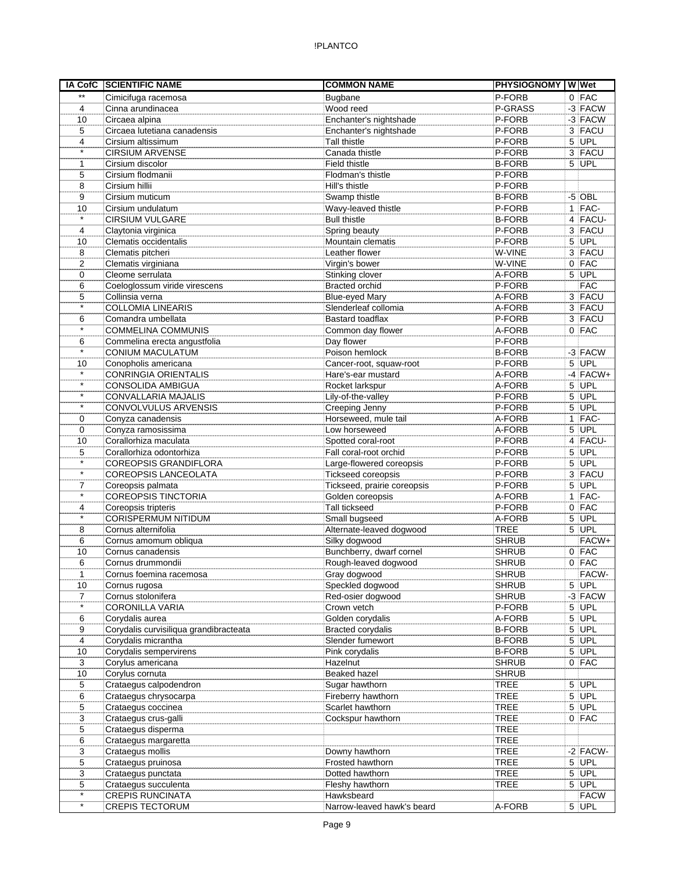## !PLANTCO

| <b>IA CofC</b> | <b>SCIENTIFIC NAME</b>                 | <b>COMMON NAME</b>          | <b>PHYSIOGNOMY WWet</b> |                |             |
|----------------|----------------------------------------|-----------------------------|-------------------------|----------------|-------------|
| $\star\star$   | Cimicifuga racemosa                    | <b>Bugbane</b>              | P-FORB                  |                | $0$ FAC     |
| 4              | Cinna arundinacea                      | Wood reed                   | P-GRASS                 |                | $-3$ FACW   |
| 10             | Circaea alpina                         | Enchanter's nightshade      | P-FORB                  |                | -3 FACW     |
| 5              | Circaea lutetiana canadensis           | Enchanter's nightshade      | P-FORB                  |                | 3 FACU      |
| 4              | Cirsium altissimum                     | Tall thistle                | P-FORB                  |                | 5 UPL       |
| $\star$        | <b>CIRSIUM ARVENSE</b>                 | Canada thistle              | P-FORB                  |                | 3 FACU      |
| 1              | Cirsium discolor                       | Field thistle               | <b>B-FORB</b>           |                | 5 UPL       |
| 5              | Cirsium flodmanii                      | Flodman's thistle           | P-FORB                  |                |             |
| 8              | Cirsium hillii                         | Hill's thistle              | P-FORB                  |                |             |
| 9              | Cirsium muticum                        | Swamp thistle               | <b>B-FORB</b>           |                | $-5$ OBL    |
| 10             | Cirsium undulatum                      | Wavy-leaved thistle         | P-FORB                  |                | $1$ FAC-    |
| $\star$        | <b>CIRSIUM VULGARE</b>                 | <b>Bull thistle</b>         | <b>B-FORB</b>           |                | $4$ FACU-   |
| 4              | Claytonia virginica                    | Spring beauty               | P-FORB                  |                | 3 FACU      |
| 10             | Clematis occidentalis                  | Mountain clematis           | P-FORB                  |                | $5$ UPL     |
| 8              | Clematis pitcheri                      | Leather flower              | W-VINE                  |                | 3 FACU      |
| 2              | Clematis virginiana                    | Virgin's bower              | W-VINE                  |                | $0$ FAC     |
| 0              | Cleome serrulata                       | Stinking clover             | A-FORB                  |                | $5$ UPL     |
| 6              | Coeloglossum viride virescens          | <b>Bracted orchid</b>       | P-FORB                  |                | <b>FAC</b>  |
| 5              | Collinsia verna                        | <b>Blue-eyed Mary</b>       | A-FORB                  |                | 3 FACU      |
| $\star$        | <b>COLLOMIA LINEARIS</b>               | Slenderleaf collomia        | A-FORB                  |                | 3 FACU      |
| 6              | Comandra umbellata                     | Bastard toadflax            | P-FORB                  |                | 3 FACU      |
| $\star$        | <b>COMMELINA COMMUNIS</b>              | Common day flower           | A-FORB                  |                | $0$ FAC     |
| 6              | Commelina erecta angustfolia           | Day flower                  | P-FORB                  |                |             |
| $\star$        | CONIUM MACULATUM                       | Poison hemlock              | <b>B-FORB</b>           |                | -3 FACW     |
| 10             | Conopholis americana                   | Cancer-root, squaw-root     | P-FORB                  |                | $5$ UPL     |
| $\star$        | <b>CONRINGIA ORIENTALIS</b>            | Hare's-ear mustard          | A-FORB                  |                | $-4$ FACW+  |
| $\star$        | CONSOLIDA AMBIGUA                      | Rocket larkspur             | A-FORB                  | 5              | UPL         |
| $\star$        | <b>CONVALLARIA MAJALIS</b>             | Lily-of-the-valley          | P-FORB                  |                | $5$ UPL     |
| $\star$        | CONVOLVULUS ARVENSIS                   | Creeping Jenny              | P-FORB                  | 5 <sup>1</sup> | <b>UPL</b>  |
| 0              | Conyza canadensis                      | Horseweed, mule tail        | A-FORB                  |                | $1$ FAC-    |
| 0              | Conyza ramosissima                     | Low horseweed               | A-FORB                  |                | 5 UPL       |
| 10             | Corallorhiza maculata                  | Spotted coral-root          | P-FORB                  |                | 4 FACU-     |
| 5              | Corallorhiza odontorhiza               | Fall coral-root orchid      | P-FORB                  |                | $5$ UPL     |
| $\star$        | <b>COREOPSIS GRANDIFLORA</b>           | Large-flowered coreopsis    | P-FORB                  |                | 5 UPL       |
| $\star$        | <b>COREOPSIS LANCEOLATA</b>            | Tickseed coreopsis          | P-FORB                  |                | 3 FACU      |
| $\overline{7}$ | Coreopsis palmata                      | Tickseed, prairie coreopsis | P-FORB                  |                | $5$ UPL     |
|                | <b>COREOPSIS TINCTORIA</b>             | Golden coreopsis            | A-FORB                  |                | $1$   FAC-  |
| 4              | Coreopsis tripteris                    | <b>Tall tickseed</b>        | P-FORB                  |                | $0$ FAC     |
| $^\star$       | <b>CORISPERMUM NITIDUM</b>             | Small bugseed               | A-FORB                  |                | $5$ UPL     |
| 8              | Cornus alternifolia                    | Alternate-leaved dogwood    | <b>TREE</b>             |                | $5$ UPL     |
| 6              | Cornus amomum obliqua                  | Silky dogwood               | <b>SHRUB</b>            |                | FACW+       |
| 10             | Cornus canadensis                      | Bunchberry, dwarf cornel    | <b>SHRUB</b>            |                | $0$ FAC     |
| 6              | Cornus drummondii                      | Rough-leaved dogwood        | <b>SHRUB</b>            |                | $0$ FAC     |
| 1              | Cornus foemina racemosa                | Gray dogwood                | <b>SHRUB</b>            |                | FACW-       |
| 10             | Cornus rugosa                          | Speckled dogwood            | <b>SHRUB</b>            |                | 5 UPL       |
| 7              | Cornus stolonifera                     | Red-osier dogwood           | <b>SHRUB</b>            |                | $-3$ FACW   |
| $\star$        | CORONILLA VARIA                        | Crown vetch                 | P-FORB                  |                | $5$ UPL     |
| 6              | Corydalis aurea                        | Golden corydalis            | A-FORB                  |                | $5$ UPL     |
| 9              | Corydalis curvisiliqua grandibracteata | Bracted corydalis           | <b>B-FORB</b>           |                | 5 UPL       |
| 4              | Corydalis micrantha                    | Slender fumewort            | <b>B-FORB</b>           |                | $5$ UPL     |
| 10             | Corydalis sempervirens                 | Pink corydalis              | <b>B-FORB</b>           |                | $5$ UPL     |
| 3              | Corylus americana                      | Hazelnut                    | <b>SHRUB</b>            |                | $0$ FAC     |
| 10             | Corylus cornuta                        | Beaked hazel                | <b>SHRUB</b>            |                |             |
| 5              | Crataegus calpodendron                 | Sugar hawthorn              | <b>TREE</b>             |                | $5$ UPL     |
| 6              | Crataegus chrysocarpa                  | Fireberry hawthorn          | <b>TREE</b>             |                | $5$ UPL     |
| 5              | Crataegus coccinea                     | Scarlet hawthorn            | <b>TREE</b>             |                | 5 UPL       |
| 3              | Crataegus crus-galli                   | Cockspur hawthorn           | <b>TREE</b>             |                | $0$ FAC     |
| 5              | Crataegus disperma                     |                             | <b>TREE</b>             |                |             |
| 6              | Crataegus margaretta                   |                             | <b>TREE</b>             |                |             |
| 3              | Crataegus mollis                       | Downy hawthorn              | <b>TREE</b>             |                | $-2$ FACW-  |
| 5              | Crataegus pruinosa                     | Frosted hawthorn            | <b>TREE</b>             |                | $5$ UPL     |
| 3              | Crataegus punctata                     | Dotted hawthorn             | <b>TREE</b>             |                | $5$ UPL     |
| 5              | Crataegus succulenta                   | Fleshy hawthorn             | <b>TREE</b>             |                | $5$ UPL     |
| $\star$        | <b>CREPIS RUNCINATA</b>                | Hawksbeard                  |                         |                | <b>FACW</b> |
| $\star$        | <b>CREPIS TECTORUM</b>                 | Narrow-leaved hawk's beard  | A-FORB                  |                | 5 UPL       |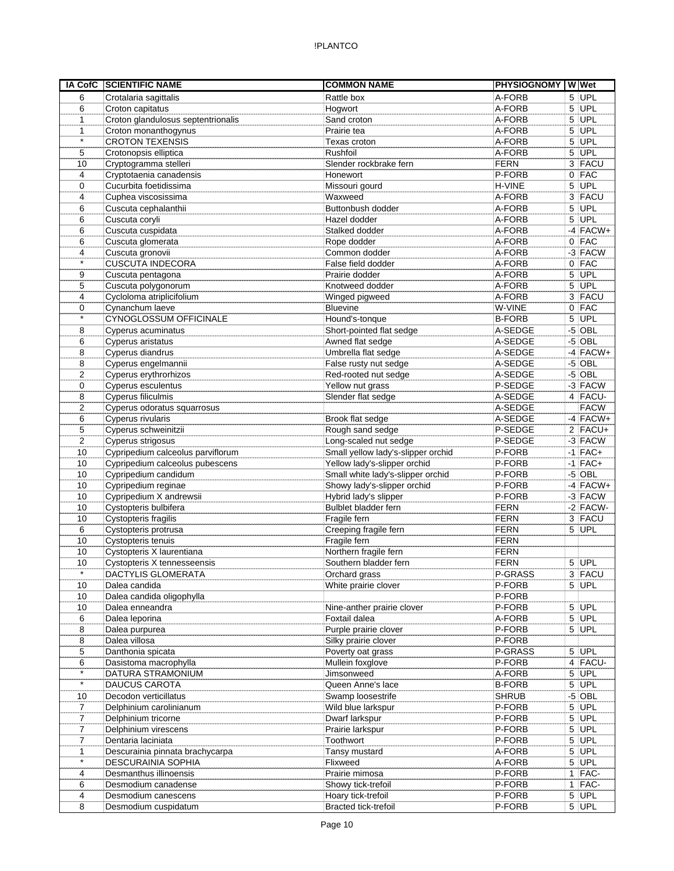| IA CofC        | <b>SCIENTIFIC NAME</b>             | <b>COMMON NAME</b>                 | <b>PHYSIOGNOMY WWet</b> |   |             |
|----------------|------------------------------------|------------------------------------|-------------------------|---|-------------|
| 6              | Crotalaria sagittalis              | Rattle box                         | A-FORB                  |   | $5$ UPL     |
| 6              | Croton capitatus                   | Hogwort                            | A-FORB                  |   | $5$ UPL     |
| 1              | Croton glandulosus septentrionalis | Sand croton                        | A-FORB                  |   | $5$ UPL     |
| $\mathbf{1}$   | Croton monanthogynus               | Prairie tea                        | A-FORB                  |   | $5$ UPL     |
| $\star$        | <b>CROTON TEXENSIS</b>             | Texas croton                       | A-FORB                  | 5 | UPL         |
| 5              | Crotonopsis elliptica              | Rushfoil                           | A-FORB                  |   | $5$ UPL     |
| 10             | Cryptogramma stelleri              | Slender rockbrake fern             | <b>FERN</b>             |   | 3 FACU      |
| 4              | Cryptotaenia canadensis            | Honewort                           | P-FORB                  |   | $0$ FAC     |
| 0              | Cucurbita foetidissima             | Missouri gourd                     | H-VINE                  |   | $5$ UPL     |
| 4              | Cuphea viscosissima                | Waxweed                            | A-FORB                  |   | 3 FACU      |
| 6              | Cuscuta cephalanthii               | Buttonbush dodder                  | A-FORB                  |   | $5$ UPL     |
| 6              | Cuscuta coryli                     | Hazel dodder                       | A-FORB                  |   | 5 UPL       |
| 6              | Cuscuta cuspidata                  | Stalked dodder                     | A-FORB                  |   | $-4$ FACW+  |
| 6              | Cuscuta glomerata                  | Rope dodder                        | A-FORB                  |   | $0$ FAC     |
| 4              | Cuscuta gronovii                   | Common dodder                      | A-FORB                  |   | $-3$ FACW   |
| $\star$        | <b>CUSCUTA INDECORA</b>            | False field dodder                 | A-FORB                  |   | $0$ FAC     |
| 9              | Cuscuta pentagona                  | Prairie dodder                     | A-FORB                  |   | 5 UPL       |
| 5              | Cuscuta polygonorum                | Knotweed dodder                    | A-FORB                  |   | 5 UPL       |
| 4              | Cycloloma atriplicifolium          | Winged pigweed                     | A-FORB                  |   | 3 FACU      |
| 0              | Cynanchum laeve                    | <b>Bluevine</b>                    | W-VINE                  |   | $0$ FAC     |
| $\star$        | CYNOGLOSSUM OFFICINALE             | Hound's-tonque                     | <b>B-FORB</b>           | 5 | <b>UPL</b>  |
| 8              | Cyperus acuminatus                 | Short-pointed flat sedge           | A-SEDGE                 |   | $-5$ OBL    |
| 6              | Cyperus aristatus                  | Awned flat sedge                   | A-SEDGE                 |   | $-5$ OBL    |
| 8              | Cyperus diandrus                   | Umbrella flat sedge                | A-SEDGE                 |   | $-4$ FACW+  |
| 8              | Cyperus engelmannii                | False rusty nut sedge              | A-SEDGE                 |   | $-5$ OBL    |
| 2              | Cyperus erythrorhizos              | Red-rooted nut sedge               | A-SEDGE                 |   | $-5$ OBL    |
| 0              | Cyperus esculentus                 | Yellow nut grass                   | P-SEDGE                 |   | -3 FACW     |
| 8              | Cyperus filiculmis                 | Slender flat sedge                 | A-SEDGE                 |   | 4 FACU-     |
| 2              | Cyperus odoratus squarrosus        |                                    | A-SEDGE                 |   | <b>FACW</b> |
| 6              | Cyperus rivularis                  | Brook flat sedge                   | A-SEDGE                 |   | $-4$ FACW+  |
| 5              | Cyperus schweinitzii               | Rough sand sedge                   | P-SEDGE                 |   | $2$ FACU+   |
| 2              | Cyperus strigosus                  | Long-scaled nut sedge              | P-SEDGE                 |   | $-3$ FACW   |
| 10             | Cypripedium calceolus parviflorum  | Small yellow lady's-slipper orchid | P-FORB                  |   | $-1$ FAC+   |
| 10             | Cypripedium calceolus pubescens    | Yellow lady's-slipper orchid       | P-FORB                  |   | $-1$ FAC+   |
| 10             | Cypripedium candidum               | Small white lady's-slipper orchid  | P-FORB                  |   | $-5$ OBL    |
| 10             | Cypripedium reginae                | Showy lady's-slipper orchid        | P-FORB                  |   | $-4$ FACW+  |
| 10             | Cypripedium X andrewsii            | Hybrid lady's slipper              | P-FORB                  |   | $-3$ FACW   |
| 10             | Cystopteris bulbifera              | Bulblet bladder fern               | <b>FERN</b>             |   | $-2$ FACW-  |
| 10             | Cystopteris fragilis               | Fragile fern                       | <b>FERN</b>             |   | 3 FACU      |
| 6              | Cystopteris protrusa               | Creeping fragile fern              | <b>FERN</b>             |   | 5 UPL       |
| 10             | Cystopteris tenuis                 | Fragile fern                       | <b>FERN</b>             |   |             |
| 10             | Cystopteris X laurentiana          | Northern fragile fern              | FERN                    |   |             |
| 10             | Cystopteris X tennesseensis        | Southern bladder fern              | <b>FERN</b>             |   | 5 UPL       |
| $\star$        | <b>DACTYLIS GLOMERATA</b>          | Orchard grass                      | P-GRASS                 |   | $3$ FACU    |
| 10             | Dalea candida                      | White prairie clover               | P-FORB                  |   | $5$ UPL     |
| 10             | Dalea candida oligophylla          |                                    | P-FORB                  |   |             |
| 10             | Dalea enneandra                    | Nine-anther prairie clover         | P-FORB                  |   | $5$ UPL     |
| 6              | Dalea leporina                     | Foxtail dalea                      | A-FORB                  |   | $5$ UPL     |
| 8              | Dalea purpurea                     | Purple prairie clover              | P-FORB                  |   | $5$ UPL     |
| 8              | Dalea villosa                      | Silky prairie clover               | P-FORB                  |   |             |
| 5              | Danthonia spicata                  | Poverty oat grass                  | P-GRASS                 |   | 5 UPL       |
| 6              | Dasistoma macrophylla              | Mullein foxglove                   | P-FORB                  |   | 4 FACU-     |
| $\star$        | DATURA STRAMONIUM                  | Jimsonweed                         | A-FORB                  |   | $5$ UPL     |
| $\star$        | <b>DAUCUS CAROTA</b>               | Queen Anne's lace                  | <b>B-FORB</b>           |   | $5$ UPL     |
| 10             | Decodon verticillatus              | Swamp loosestrife                  | <b>SHRUB</b>            |   | $-5$ OBL    |
| 7              | Delphinium carolinianum            | Wild blue larkspur                 | P-FORB                  |   | $5$ UPL     |
| $\overline{7}$ | Delphinium tricorne                | Dwarf larkspur                     | P-FORB                  |   | $5$ UPL     |
| 7              | Delphinium virescens               | Prairie larkspur                   | P-FORB                  |   | $5$ UPL     |
| $\overline{7}$ | Dentaria laciniata                 | Toothwort                          | P-FORB                  |   | $5$ UPL     |
| $\mathbf{1}$   | Descurainia pinnata brachycarpa    | Tansy mustard                      | A-FORB                  |   | 5 UPL       |
| $\star$        | DESCURAINIA SOPHIA                 | Flixweed                           | A-FORB                  |   | $5$ UPL     |
| 4              | Desmanthus illinoensis             | Prairie mimosa                     | P-FORB                  |   | $1$  FAC-   |
| 6              | Desmodium canadense                | Showy tick-trefoil                 | P-FORB                  |   | $1$  FAC-   |
| 4              | Desmodium canescens                | Hoary tick-trefoil                 | P-FORB                  |   | $5$ UPL     |
| 8              | Desmodium cuspidatum               | Bracted tick-trefoil               | P-FORB                  |   | $5$ UPL     |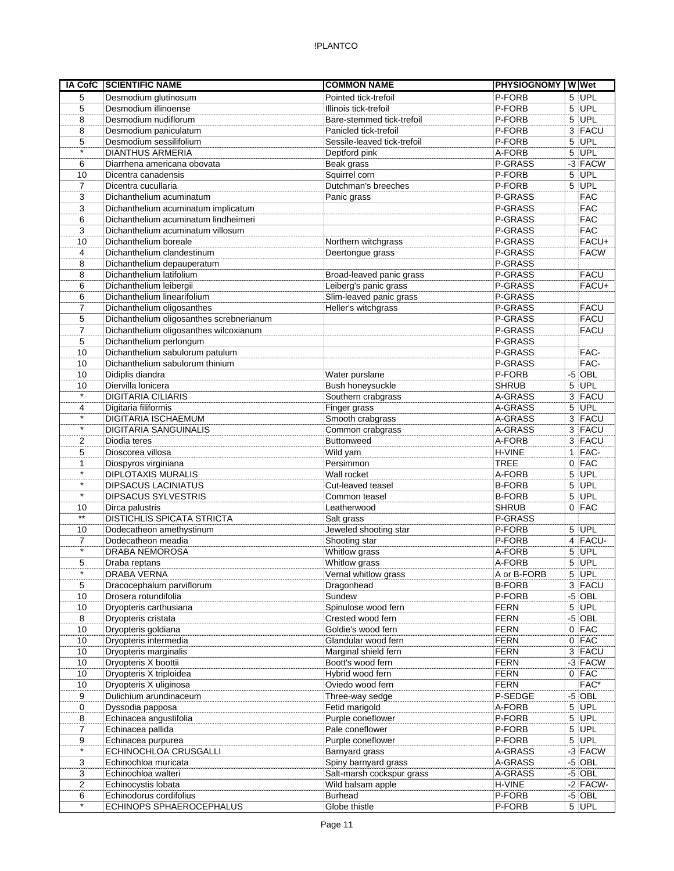| <b>IA CofC</b>            | <b>SCIENTIFIC NAME</b>                            | <b>COMMON NAME</b>                        | <b>PHYSIOGNOMY WWet</b>    |                      |
|---------------------------|---------------------------------------------------|-------------------------------------------|----------------------------|----------------------|
| 5                         | Desmodium glutinosum                              | Pointed tick-trefoil                      | P-FORB                     | $5$ UPL              |
| 5                         | Desmodium illinoense                              | Illinois tick-trefoil                     | P-FORB                     | $5$ UPL              |
| 8                         | Desmodium nudiflorum                              | Bare-stemmed tick-trefoil                 | P-FORB                     | $5$ UPL              |
| 8                         | Desmodium paniculatum                             | Panicled tick-trefoil                     | P-FORB                     | 3 FACU               |
| 5                         | Desmodium sessilifolium                           | Sessile-leaved tick-trefoil               | P-FORB                     | $5$ UPL              |
| $\star$                   | <b>DIANTHUS ARMERIA</b>                           | Deptford pink                             | A-FORB                     | $5$ UPL              |
| 6                         | Diarrhena americana obovata                       | Beak grass                                | P-GRASS                    | $-3$ FACW            |
| 10                        | Dicentra canadensis                               | Squirrel corn                             | P-FORB                     | $5$ UPL              |
| $\overline{7}$            | Dicentra cucullaria                               | Dutchman's breeches                       | P-FORB                     | $5$ UPL              |
| 3                         | Dichanthelium acuminatum                          | Panic grass                               | P-GRASS                    | <b>FAC</b>           |
| 3                         | Dichanthelium acuminatum implicatum               |                                           | P-GRASS                    | <b>FAC</b>           |
| 6                         | Dichanthelium acuminatum lindheimeri              |                                           | P-GRASS                    | <b>FAC</b>           |
| 3                         | Dichanthelium acuminatum villosum                 |                                           | P-GRASS                    | <b>FAC</b>           |
| 10                        | Dichanthelium boreale                             | Northern witchgrass                       | P-GRASS                    | FACU+                |
| 4                         | Dichanthelium clandestinum                        | Deertongue grass                          | P-GRASS                    | <b>FACW</b>          |
| 8                         | Dichanthelium depauperatum                        |                                           | P-GRASS                    |                      |
| 8                         | Dichanthelium latifolium                          | Broad-leaved panic grass                  | P-GRASS                    | <b>FACU</b>          |
| 6                         | Dichanthelium leibergii                           | Leiberg's panic grass                     | P-GRASS                    | FACU+                |
| 6                         | Dichanthelium linearifolium                       | Slim-leaved panic grass                   | P-GRASS                    |                      |
| $\overline{7}$            | Dichanthelium oligosanthes                        | Heller's witchgrass                       | P-GRASS                    | <b>FACU</b>          |
| 5                         | Dichanthelium oligosanthes screbnerianum          |                                           | P-GRASS                    | <b>FACU</b>          |
| $\overline{7}$            | Dichanthelium oligosanthes wilcoxianum            |                                           | P-GRASS                    | <b>FACU</b>          |
| 5                         | Dichanthelium perlongum                           |                                           | P-GRASS                    |                      |
| 10                        | Dichanthelium sabulorum patulum                   |                                           | P-GRASS                    | FAC-                 |
| 10                        | Dichanthelium sabulorum thinium                   |                                           | P-GRASS                    | FAC-                 |
| 10                        | Didiplis diandra                                  | Water purslane                            | P-FORB                     | $-5$ OBL             |
| 10                        | Diervilla lonicera                                | Bush honeysuckle                          | <b>SHRUB</b>               | 5 UPL                |
| $\star$                   | <b>DIGITARIA CILIARIS</b>                         | Southern crabgrass                        | A-GRASS                    | 3 FACU               |
| 4                         | Digitaria filiformis                              | Finger grass                              | A-GRASS                    | $5$ UPL              |
| $\star$                   | <b>DIGITARIA ISCHAEMUM</b>                        | Smooth crabgrass                          | A-GRASS                    | 3 FACU               |
| $\star$                   | <b>DIGITARIA SANGUINALIS</b>                      | Common crabgrass                          | A-GRASS                    | 3 FACU               |
| 2                         | Diodia teres                                      | <b>Buttonweed</b>                         | A-FORB                     | 3 FACU               |
| 5                         | Dioscorea villosa                                 | Wild yam                                  | H-VINE                     | $1$ FAC-             |
| 1<br>$\star$              | Diospyros virginiana                              | Persimmon                                 | <b>TREE</b>                | $0$ FAC              |
| $\star$                   | <b>DIPLOTAXIS MURALIS</b>                         | Wall rocket                               | A-FORB                     | $5$ UPL              |
| $\overline{\cdot}$        | <b>DIPSACUS LACINIATUS</b>                        | Cut-leaved teasel                         | <b>B-FORB</b>              | $5$ UPL              |
|                           | <b>DIPSACUS SYLVESTRIS</b>                        | Common teasel                             | <b>B-FORB</b>              | 5 UPL                |
| 10<br>$^{\star\star}$     | Dirca palustris                                   | Leatherwood                               | <b>SHRUB</b>               | $0$ FAC              |
|                           | <b>DISTICHLIS SPICATA STRICTA</b>                 | Salt grass                                | P-GRASS                    |                      |
| 10                        | Dodecatheon amethystinum                          | Jeweled shooting star                     | P-FORB                     | 5 UPL                |
| $\overline{7}$<br>$\star$ | Dodecatheon meadia                                | Shooting star                             | P-FORB                     | $4$ FACU-            |
|                           | <b>DRABA NEMOROSA</b>                             | Whitlow grass                             | A-FORB                     | 5 UPL                |
| 5<br>$\star$              | Draba reptans                                     | Whitlow grass                             | A-FORB                     | 5 UPL                |
|                           | <b>DRABA VERNA</b>                                | Vernal whitlow grass                      | A or B-FORB                | $5$ UPL              |
| 5                         | Dracocephalum parviflorum                         | Dragonhead                                | <b>B-FORB</b>              | 3 FACU               |
| 10                        | Drosera rotundifolia                              | Sundew                                    | P-FORB                     | $-5$ OBL             |
| 10                        | Dryopteris carthusiana                            | Spinulose wood fern                       | <b>FERN</b>                | $5$ UPL<br>$-5$ OBL  |
| 8                         | Dryopteris cristata                               | Crested wood fern<br>Goldie's wood fern   | <b>FERN</b><br><b>FERN</b> | $0$ FAC              |
| 10                        | Dryopteris goldiana                               | Glandular wood fern                       | <b>FERN</b>                | $0$ FAC              |
| 10                        | Dryopteris intermedia                             |                                           | <b>FERN</b>                | 3 FACU               |
| 10                        | Dryopteris marginalis<br>Dryopteris X boottii     | Marginal shield fern<br>Boott's wood fern |                            |                      |
| 10                        |                                                   |                                           | <b>FERN</b><br><b>FERN</b> | $-3$ FACW<br>$0$ FAC |
| 10<br>10                  | Dryopteris X triploidea<br>Dryopteris X uliginosa | Hybrid wood fern<br>Oviedo wood fern      | <b>FERN</b>                | FAC*                 |
| 9                         | Dulichium arundinaceum                            | Three-way sedge                           | P-SEDGE                    | $-5$ OBL             |
| 0                         | Dyssodia papposa                                  | Fetid marigold                            | A-FORB                     | $5$ UPL              |
| 8                         | Echinacea angustifolia                            | Purple coneflower                         | P-FORB                     | 5 UPL                |
| 7                         | Echinacea pallida                                 | Pale coneflower                           | P-FORB                     | $5$ UPL              |
| 9                         | Echinacea purpurea                                | Purple coneflower                         | P-FORB                     | $5$ UPL              |
| $\star$                   | ECHINOCHLOA CRUSGALLI                             | Barnyard grass                            | A-GRASS                    | $-3$ FACW            |
| 3                         | Echinochloa muricata                              | Spiny barnyard grass                      | A-GRASS                    | $-5$ OBL             |
| 3                         | Echinochloa walteri                               | Salt-marsh cockspur grass                 | A-GRASS                    | $-5$ OBL             |
| 2                         | Echinocystis lobata                               | Wild balsam apple                         | H-VINE                     | $-2$ FACW-           |
| 6                         | Echinodorus cordifolius                           | <b>Burhead</b>                            | P-FORB                     | $-5$ OBL             |
| $\star$                   | ECHINOPS SPHAEROCEPHALUS                          | Globe thistle                             | P-FORB                     | $5$ UPL              |
|                           |                                                   |                                           |                            |                      |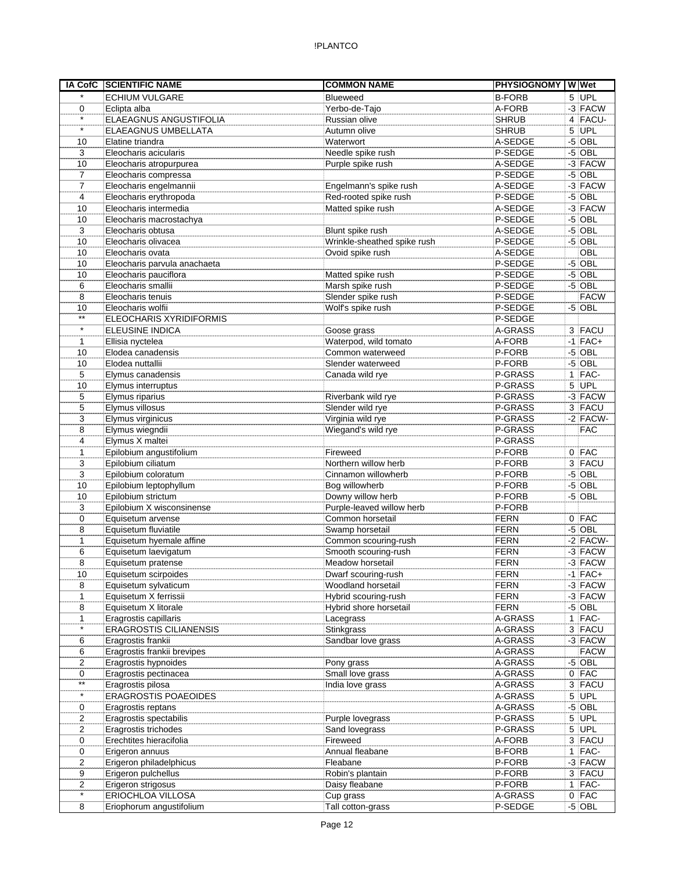| <b>IA CofC</b>     | <b>SCIENTIFIC NAME</b>                        | <b>COMMON NAME</b>                  | <b>PHYSIOGNOMY WWet</b> |    |                         |
|--------------------|-----------------------------------------------|-------------------------------------|-------------------------|----|-------------------------|
| $\star$            | <b>ECHIUM VULGARE</b>                         | <b>Blueweed</b>                     | <b>B-FORB</b>           |    | 5 UPL                   |
| 0                  | Eclipta alba                                  | Yerbo-de-Tajo                       | A-FORB                  |    | $-3$ FACW               |
| $\star$            | ELAEAGNUS ANGUSTIFOLIA                        | Russian olive                       | <b>SHRUB</b>            |    | 4 FACU-                 |
| $\star$            | ELAEAGNUS UMBELLATA                           | Autumn olive                        | <b>SHRUB</b>            |    | $5$ UPL                 |
| 10                 | Elatine triandra                              | Waterwort                           | A-SEDGE                 | -5 | OBL                     |
| 3                  | Eleocharis acicularis                         | Needle spike rush                   | P-SEDGE                 |    | $-5$ OBL                |
| 10                 | Eleocharis atropurpurea                       | Purple spike rush                   | A-SEDGE                 |    | $-3$ FACW               |
| 7                  | Eleocharis compressa                          |                                     | P-SEDGE                 |    | $-5$ OBL                |
| $\overline{7}$     | Eleocharis engelmannii                        | Engelmann's spike rush              | A-SEDGE                 |    | $-3$ FACW               |
| 4                  | Eleocharis erythropoda                        | Red-rooted spike rush               | P-SEDGE                 |    | $-5$ OBL                |
| 10                 | Eleocharis intermedia                         | Matted spike rush                   | A-SEDGE                 |    | $-3$ FACW               |
| 10                 | Eleocharis macrostachya                       |                                     | P-SEDGE                 | -5 | OBL                     |
| 3                  | Eleocharis obtusa                             | Blunt spike rush                    | A-SEDGE                 |    | $-5$ OBL                |
| 10                 | Eleocharis olivacea                           | Wrinkle-sheathed spike rush         | P-SEDGE                 |    | $-5$ OBL                |
| 10                 | Eleocharis ovata                              | Ovoid spike rush                    | A-SEDGE                 |    | OBL                     |
| 10                 | Eleocharis parvula anachaeta                  |                                     | P-SEDGE                 |    | $-5$ OBL                |
| 10                 | Eleocharis pauciflora                         | Matted spike rush                   | P-SEDGE                 |    | $-5$ OBL                |
| 6                  | Eleocharis smallii                            | Marsh spike rush                    | P-SEDGE                 |    | $-5$ OBL<br><b>FACW</b> |
| 8                  | Eleocharis tenuis                             | Slender spike rush                  | P-SEDGE                 |    |                         |
| 10<br>$\star\star$ | Eleocharis wolfii<br>ELEOCHARIS XYRIDIFORMIS  | Wolf's spike rush                   | P-SEDGE<br>P-SEDGE      |    | $-5$ OBL                |
| $\star$            | <b>ELEUSINE INDICA</b>                        | Goose grass                         | A-GRASS                 |    | 3 FACU                  |
| 1                  | Ellisia nyctelea                              | Waterpod, wild tomato               | A-FORB                  |    | $-1$ FAC+               |
| 10                 | Elodea canadensis                             | Common waterweed                    | P-FORB                  |    | $-5$ OBL                |
| 10                 | Elodea nuttallii                              | Slender waterweed                   | P-FORB                  |    | $-5$ OBL                |
| 5                  | Elymus canadensis                             | Canada wild rye                     | P-GRASS                 |    | $1$  FAC-               |
| 10                 | Elymus interruptus                            |                                     | P-GRASS                 |    | 5 UPL                   |
| 5                  | Elymus riparius                               | Riverbank wild rye                  | P-GRASS                 |    | $-3$ FACW               |
| 5                  | Elymus villosus                               | Slender wild rye                    | P-GRASS                 |    | 3 FACU                  |
| 3                  | Elymus virginicus                             | Virginia wild rye                   | P-GRASS                 |    | $-2$ FACW-              |
| 8                  | Elymus wiegndii                               | Wiegand's wild rye                  | P-GRASS                 |    | <b>FAC</b>              |
| 4                  | Elymus X maltei                               |                                     | P-GRASS                 |    |                         |
| 1                  | Epilobium angustifolium                       | Fireweed                            | P-FORB                  |    | $0$ FAC                 |
| 3                  | Epilobium ciliatum                            | Northern willow herb                | P-FORB                  |    | 3 FACU                  |
| 3                  | Epilobium coloratum                           | Cinnamon willowherb                 | P-FORB                  |    | $-5$ OBL                |
| 10                 | Epilobium leptophyllum                        | Bog willowherb                      | P-FORB                  |    | $-5$ OBL                |
| 10                 | Epilobium strictum                            | Downy willow herb                   | P-FORB                  |    | $-5$ OBL                |
| 3                  | Epilobium X wisconsinense                     | Purple-leaved willow herb           | P-FORB                  |    |                         |
| 0                  | Equisetum arvense                             | Common horsetail                    | <b>FERN</b>             |    | $0$ FAC                 |
| 8                  | Equisetum fluviatile                          | Swamp horsetail                     | <b>FERN</b>             |    | $-5$ OBL                |
| 1                  | Equisetum hyemale affine                      | Common scouring-rush                | <b>FERN</b>             |    | $-2$ FACW-              |
| 6                  | Equisetum laevigatum                          | Smooth scouring-rush                | <b>FERN</b>             |    | $-3$ FACW               |
| 8                  | Equisetum pratense                            | Meadow horsetail                    | <b>FERN</b>             |    | $-3$ FACW               |
| 10                 | Equisetum scirpoides                          | Dwarf scouring-rush                 | FERN                    |    | $-1$ FAC+               |
| 8                  | Equisetum sylvaticum                          | Woodland horsetail                  | <b>FERN</b>             |    | $-3$ FACW               |
| 1                  | Equisetum X ferrissii                         | Hybrid scouring-rush                | <b>FERN</b>             |    | $-3$ FACW<br>$-5$ OBL   |
| 8<br>1             | Equisetum X litorale<br>Eragrostis capillaris | Hybrid shore horsetail<br>Lacegrass | <b>FERN</b><br>A-GRASS  |    | $1$ FAC-                |
| $\star$            | <b>ERAGROSTIS CILIANENSIS</b>                 | Stinkgrass                          | A-GRASS                 |    | 3 FACU                  |
| 6                  | Eragrostis frankii                            | Sandbar love grass                  | A-GRASS                 |    | $-3$ FACW               |
| 6                  | Eragrostis frankii brevipes                   |                                     | A-GRASS                 |    | <b>FACW</b>             |
| 2                  | Eragrostis hypnoides                          | Pony grass                          | A-GRASS                 |    | $-5$ OBL                |
| 0                  | Eragrostis pectinacea                         | Small love grass                    | A-GRASS                 |    | $0$ FAC                 |
| $^{\star\star}$    | Eragrostis pilosa                             | India love grass                    | A-GRASS                 |    | 3 FACU                  |
| $\star$            | ERAGROSTIS POAEOIDES                          |                                     | A-GRASS                 |    | $5$ UPL                 |
| 0                  | Eragrostis reptans                            |                                     | A-GRASS                 |    | $-5$ OBL                |
| 2                  | Eragrostis spectabilis                        | Purple lovegrass                    | P-GRASS                 |    | 5 UPL                   |
| 2                  | Eragrostis trichodes                          | Sand lovegrass                      | P-GRASS                 |    | $5$ UPL                 |
| 0                  | Erechtites hieracifolia                       | Fireweed                            | A-FORB                  |    | 3 FACU                  |
| 0                  | Erigeron annuus                               | Annual fleabane                     | <b>B-FORB</b>           |    | $1$ FAC-                |
| 2                  | Erigeron philadelphicus                       | Fleabane                            | P-FORB                  |    | $-3$ FACW               |
| 9                  | Erigeron pulchellus                           | Robin's plantain                    | P-FORB                  |    | 3 FACU                  |
| 2                  | Erigeron strigosus                            | Daisy fleabane                      | P-FORB                  |    | $1$ FAC-                |
| $\star$            | ERIOCHLOA VILLOSA                             | Cup grass                           | A-GRASS                 |    | $0$ FAC                 |
| 8                  | Eriophorum angustifolium                      | Tall cotton-grass                   | P-SEDGE                 |    | $-5$ OBL                |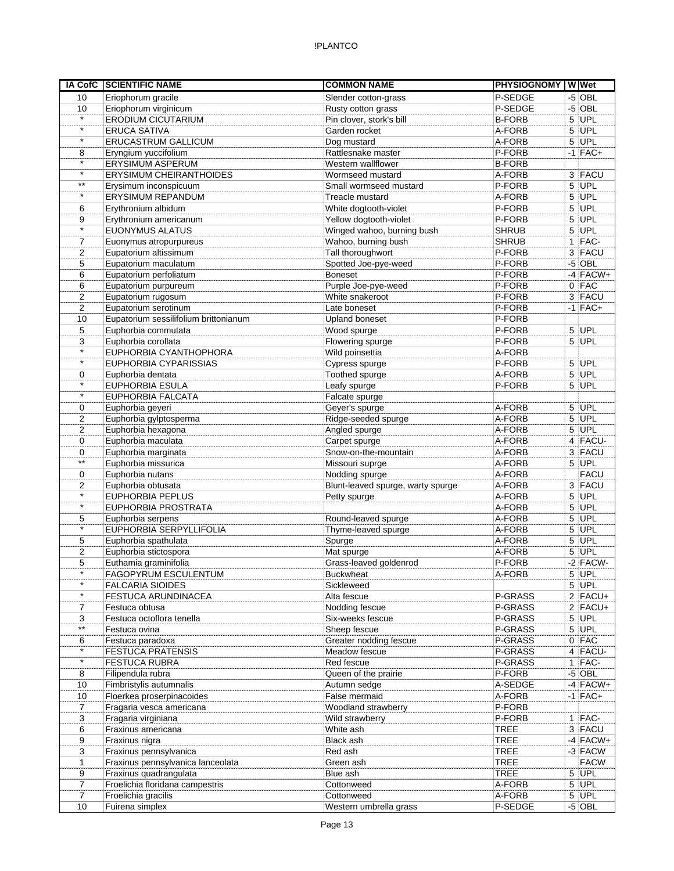| IA CofC         | <b>SCIENTIFIC NAME</b>                | <b>COMMON NAME</b>                | <b>PHYSIOGNOMY</b> |   | W Wet       |
|-----------------|---------------------------------------|-----------------------------------|--------------------|---|-------------|
| 10              | Eriophorum gracile                    | Slender cotton-grass              | P-SEDGE            |   | $-5$ OBL    |
| 10              | Eriophorum virginicum                 | Rusty cotton grass                | P-SEDGE            |   | $-5$ OBL    |
| $\star$         | <b>ERODIUM CICUTARIUM</b>             | Pin clover, stork's bill          | <b>B-FORB</b>      |   | $5$ UPL     |
| $\star$         | <b>ERUCA SATIVA</b>                   | Garden rocket                     | A-FORB             | 5 | UPL         |
| $\star$         | <b>ERUCASTRUM GALLICUM</b>            | Dog mustard                       | A-FORB             | 5 | UPL         |
| 8               | Eryngium yuccifolium                  | Rattlesnake master                | P-FORB             |   | $-1$ FAC+   |
| $\star$         | ERYSIMUM ASPERUM                      | Western wallflower                | <b>B-FORB</b>      |   |             |
| $\star$         | <b>ERYSIMUM CHEIRANTHOIDES</b>        | Wormseed mustard                  | A-FORB             |   | 3 FACU      |
| $^{\star\star}$ | Erysimum inconspicuum                 | Small wormseed mustard            | P-FORB             |   | $5$ UPL     |
| $\star$         | ERYSIMUM REPANDUM                     | Treacle mustard                   | A-FORB             |   | $5$ UPL     |
| 6               | Erythronium albidum                   | White dogtooth-violet             | P-FORB             |   | $5$ UPL     |
| 9               | Erythronium americanum                | Yellow dogtooth-violet            | P-FORB             |   | 5 UPL       |
| $\star$         | EUONYMUS ALATUS                       | Winged wahoo, burning bush        | <b>SHRUB</b>       |   | $5$ UPL     |
| 7               | Euonymus atropurpureus                | Wahoo, burning bush               | <b>SHRUB</b>       |   | $1$ FAC-    |
| 2               | Eupatorium altissimum                 | Tall thoroughwort                 | P-FORB             |   | 3 FACU      |
| 5               | Eupatorium maculatum                  | Spotted Joe-pye-weed              | P-FORB             |   | $-5$ OBL    |
| 6               | Eupatorium perfoliatum                | <b>Boneset</b>                    | P-FORB             |   | $-4$ FACW+  |
| 6               | Eupatorium purpureum                  | Purple Joe-pye-weed               | P-FORB             |   | $0$ FAC     |
| 2               | Eupatorium rugosum                    | White snakeroot                   | P-FORB             |   | 3 FACU      |
| 2               | Eupatorium serotinum                  | Late boneset                      | P-FORB             |   | $-1$ FAC+   |
| 10              | Eupatorium sessilifolium brittonianum | <b>Upland boneset</b>             | P-FORB             |   |             |
| 5               | Euphorbia commutata                   | Wood spurge                       | P-FORB             |   | $5$ UPL     |
| 3               | Euphorbia corollata                   | Flowering spurge                  | P-FORB             |   | 5 UPL       |
| $\star$         | EUPHORBIA CYANTHOPHORA                | Wild poinsettia                   | A-FORB             |   |             |
| $\star$         | EUPHORBIA CYPARISSIAS                 | Cypress spurge                    | P-FORB             |   | 5 UPL       |
| 0               | Euphorbia dentata                     | Toothed spurge                    | A-FORB             |   | $5$ UPL     |
| $\star$         | <b>EUPHORBIA ESULA</b>                | Leafy spurge                      | P-FORB             |   | $5$ UPL     |
| $\star$         | EUPHORBIA FALCATA                     | Falcate spurge                    |                    |   |             |
| 0               | Euphorbia geyeri                      | Geyer's spurge                    | A-FORB             |   | $5$ UPL     |
| 2               | Euphorbia gylptosperma                | Ridge-seeded spurge               | A-FORB             |   | 5 UPL       |
| 2               | Euphorbia hexagona                    | Angled spurge                     | A-FORB             |   | $5$ UPL     |
| 0               | Euphorbia maculata                    | Carpet spurge                     | A-FORB             |   | 4 FACU-     |
| 0               | Euphorbia marginata                   | Snow-on-the-mountain              | A-FORB             |   | 3 FACU      |
| $***$           | Euphorbia missurica                   | Missouri suprge                   | A-FORB             |   | $5$ UPL     |
| 0               | Euphorbia nutans                      | Nodding spurge                    | A-FORB             |   | <b>FACU</b> |
| 2               | Euphorbia obtusata                    | Blunt-leaved spurge, warty spurge | A-FORB             |   | 3 FACU      |
| $\star$         | <b>EUPHORBIA PEPLUS</b>               | Petty spurge                      | A-FORB             |   | $5$ UPL     |
| $\star$         | EUPHORBIA PROSTRATA                   |                                   | A-FORB             |   | $5$ UPL     |
| 5               | Euphorbia serpens                     | Round-leaved spurge               | A-FORB             |   | $5$ UPL     |
| $\star$         | EUPHORBIA SERPYLLIFOLIA               | Thyme-leaved spurge               | A-FORB             |   | $5$ UPL     |
| 5               | Euphorbia spathulata                  | Spurge                            | A-FORB             |   | $5$ UPL     |
| $\overline{2}$  | Euphorbia stictospora                 | Mat spurge                        | A-FORB             |   | 5 UPL       |
| 5               | Euthamia graminifolia                 | Grass-leaved goldenrod            | P-FORB             |   | $-2$ FACW-  |
| $\star$         | <b>FAGOPYRUM ESCULENTUM</b>           | <b>Buckwheat</b>                  | A-FORB             |   | $5$ UPL     |
| $\star$         | <b>FALCARIA SIOIDES</b>               | Sickleweed                        |                    |   | $5$ UPL     |
| $\star$         | FESTUCA ARUNDINACEA                   | Alta fescue                       | P-GRASS            |   | $2$ FACU+   |
| 7               | Festuca obtusa                        | Nodding fescue                    | P-GRASS            |   | $2$ FACU+   |
| 3               | Festuca octoflora tenella             | Six-weeks fescue                  | P-GRASS            |   | $5$ UPL     |
| $^{\star\star}$ | Festuca ovina                         | Sheep fescue                      | P-GRASS            |   | $5$ UPL     |
| 6               | Festuca paradoxa                      | Greater nodding fescue            | P-GRASS            |   | $0$ FAC     |
| $\star$         | <b>FESTUCA PRATENSIS</b>              | Meadow fescue                     | P-GRASS            |   | 4 FACU-     |
| $\star$         | <b>FESTUCA RUBRA</b>                  | Red fescue                        | P-GRASS            |   | $1$ FAC-    |
| 8               | Filipendula rubra                     | Queen of the prairie              | P-FORB             |   | $-5$ OBL    |
| 10              | Fimbristylis autumnalis               | Autumn sedge                      | A-SEDGE            |   | $-4$ FACW+  |
| 10              | Floerkea proserpinacoides             | False mermaid                     | A-FORB             |   | $-1$ FAC+   |
| 7               | Fragaria vesca americana              | Woodland strawberry               | P-FORB             |   |             |
| 3               | Fragaria virginiana                   | Wild strawberry                   | P-FORB             |   | $1$ FAC-    |
| 6               | Fraxinus americana                    | White ash                         | <b>TREE</b>        |   | 3 FACU      |
| 9               | Fraxinus nigra                        | Black ash                         | <b>TREE</b>        |   | $-4$ FACW+  |
| 3               | Fraxinus pennsylvanica                | Red ash                           | <b>TREE</b>        |   | $-3$ FACW   |
| 1               | Fraxinus pennsylvanica lanceolata     | Green ash                         | <b>TREE</b>        |   | <b>FACW</b> |
| 9               | Fraxinus quadrangulata                | Blue ash                          | <b>TREE</b>        |   | $5$ UPL     |
| $\overline{7}$  | Froelichia floridana campestris       | Cottonweed                        | A-FORB             |   | $5$ UPL     |
| $\overline{7}$  | Froelichia gracilis                   | Cottonweed                        | A-FORB             |   | $5$ UPL     |
| 10              | Fuirena simplex                       | Western umbrella grass            | P-SEDGE            |   | $-5$ OBL    |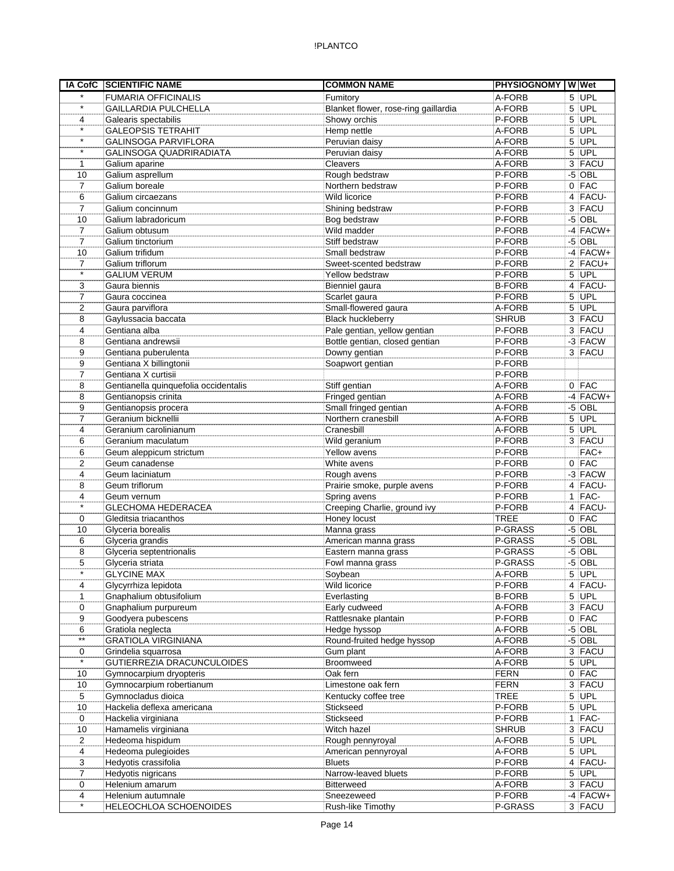|                     | IA CofC SCIENTIFIC NAME                | <b>COMMON NAME</b>                   | PHYSIOGNOMY W Wet |    |                        |
|---------------------|----------------------------------------|--------------------------------------|-------------------|----|------------------------|
| $\star$             | <b>FUMARIA OFFICINALIS</b>             | Fumitory                             | A-FORB            |    | $5$ UPL                |
| $\star$             | <b>GAILLARDIA PULCHELLA</b>            | Blanket flower, rose-ring gaillardia | A-FORB            |    | $5$ UPL                |
| 4                   | Galearis spectabilis                   | Showy orchis                         | P-FORB            |    | $5$ UPL                |
| $\star$             | <b>GALEOPSIS TETRAHIT</b>              | Hemp nettle                          | A-FORB            |    | $5$ UPL                |
| $\star$             | <b>GALINSOGA PARVIFLORA</b>            | Peruvian daisy                       | A-FORB            | 5  | UPL                    |
| $\star$             | GALINSOGA QUADRIRADIATA                | Peruvian daisy                       | A-FORB            |    | $5$ UPL                |
| 1                   | Galium aparine                         | Cleavers                             | A-FORB            |    | 3 FACU                 |
| 10                  | Galium asprellum                       | Rough bedstraw                       | P-FORB            |    | $-5$ OBL               |
| 7                   | Galium boreale                         | Northern bedstraw                    | P-FORB            |    | $0$ FAC                |
| 6                   | Galium circaezans                      | Wild licorice                        | P-FORB            |    | 4 FACU-                |
| 7                   | Galium concinnum                       | Shining bedstraw                     | P-FORB            |    | 3 FACU                 |
| 10                  | Galium labradoricum                    | Bog bedstraw                         | P-FORB            |    | $-5$ OBL<br>$-4$ FACW+ |
| $\overline{7}$<br>7 | Galium obtusum<br>Galium tinctorium    | Wild madder<br>Stiff bedstraw        | P-FORB<br>P-FORB  |    | $-5$ OBL               |
| 10                  | Galium trifidum                        | Small bedstraw                       | P-FORB            |    | $-4$ FACW+             |
| $\overline{7}$      | Galium triflorum                       | Sweet-scented bedstraw               | P-FORB            |    | $2$ FACU+              |
| $\star$             | <b>GALIUM VERUM</b>                    | Yellow bedstraw                      | P-FORB            |    | $5$ UPL                |
| 3                   | Gaura biennis                          | Bienniel gaura                       | <b>B-FORB</b>     |    | 4 FACU-                |
| $\overline{7}$      | Gaura coccinea                         | Scarlet gaura                        | P-FORB            |    | $5$ UPL                |
| $\overline{2}$      | Gaura parviflora                       | Small-flowered gaura                 | A-FORB            |    | 5 UPL                  |
| 8                   | Gaylussacia baccata                    | <b>Black huckleberry</b>             | <b>SHRUB</b>      |    | 3 FACU                 |
| 4                   | Gentiana alba                          | Pale gentian, yellow gentian         | P-FORB            |    | 3 FACU                 |
| 8                   | Gentiana andrewsii                     | Bottle gentian, closed gentian       | P-FORB            |    | $-3$ FACW              |
| 9                   | Gentiana puberulenta                   | Downy gentian                        | P-FORB            |    | 3 FACU                 |
| 9                   | Gentiana X billingtonii                | Soapwort gentian                     | P-FORB            |    |                        |
| $\overline{7}$      | Gentiana X curtisii                    |                                      | P-FORB            |    |                        |
| 8                   | Gentianella quinquefolia occidentalis  | Stiff gentian                        | A-FORB            |    | $0$ FAC                |
| 8                   | Gentianopsis crinita                   | Fringed gentian                      | A-FORB            |    | $-4$ FACW+             |
| 9                   | Gentianopsis procera                   | Small fringed gentian                | A-FORB            |    | $-5$ OBL               |
| 7                   | Geranium bicknellii                    | Northern cranesbill                  | A-FORB            |    | $5$ UPL                |
| 4                   | Geranium carolinianum                  | Cranesbill                           | A-FORB            |    | $5$ UPL                |
| 6                   | Geranium maculatum                     | Wild geranium                        | P-FORB            |    | 3 FACU                 |
| 6                   | Geum aleppicum strictum                | Yellow avens                         | P-FORB            |    | FAC+                   |
| $\overline{2}$      | Geum canadense                         | White avens                          | P-FORB            |    | $0$ FAC                |
| 4                   | Geum laciniatum                        | Rough avens                          | P-FORB            |    | $-3$ FACW              |
| 8                   | Geum triflorum                         | Prairie smoke, purple avens          | P-FORB            |    | 4 FACU-                |
| 4<br>$\star$        | Geum vernum                            | Spring avens                         | P-FORB            |    | $1$ FAC-               |
|                     | <b>GLECHOMA HEDERACEA</b>              | Creeping Charlie, ground ivy         | P-FORB            |    | 4 FACU-                |
| 0                   | Gleditsia triacanthos                  | Honey locust                         | <b>TREE</b>       |    | $0$ FAC                |
| 10                  | Glyceria borealis                      | Manna grass                          | P-GRASS           |    | $-5$ OBL               |
| 6                   | Glyceria grandis                       | American manna grass                 | P-GRASS           |    | $-5$ OBL               |
| 8                   | Glyceria septentrionalis               | Eastern manna grass                  | P-GRASS           | -5 | <b>OBL</b>             |
| 5<br>$\star$        | Glyceria striata<br><b>GLYCINE MAX</b> | Fowl manna grass<br>Soybean          | P-GRASS<br>A-FORB |    | $-5$ OBL<br>$5$ UPL    |
| 4                   | Glycyrrhiza lepidota                   | <b>Wild licorice</b>                 | P-FORB            |    | $4$ FACU-              |
| 1                   | Gnaphalium obtusifolium                | Everlasting                          | <b>B-FORB</b>     |    | $5$ UPL                |
| 0                   | Gnaphalium purpureum                   | Early cudweed                        | A-FORB            |    | 3 FACU                 |
| 9                   | Goodyera pubescens                     | Rattlesnake plantain                 | P-FORB            |    | $0$ FAC                |
| 6                   | Gratiola neglecta                      | Hedge hyssop                         | A-FORB            |    | $-5$ OBL               |
| $\star\star$        | <b>GRATIOLA VIRGINIANA</b>             | Round-fruited hedge hyssop           | A-FORB            |    | $-5$ OBL               |
| 0                   | Grindelia squarrosa                    | Gum plant                            | A-FORB            |    | 3 FACU                 |
| $\star$             | GUTIERREZIA DRACUNCULOIDES             | Broomweed                            | A-FORB            |    | $5$ UPL                |
| 10                  | Gymnocarpium dryopteris                | Oak fern                             | <b>FERN</b>       |    | $0$ FAC                |
| 10                  | Gymnocarpium robertianum               | Limestone oak fern                   | <b>FERN</b>       |    | 3 FACU                 |
| 5                   | Gymnocladus dioica                     | Kentucky coffee tree                 | <b>TREE</b>       |    | $5$ UPL                |
| 10                  | Hackelia deflexa americana             | Stickseed                            | P-FORB            |    | $5$ UPL                |
| 0                   | Hackelia virginiana                    | Stickseed                            | P-FORB            |    | $1$  FAC-              |
| 10                  | Hamamelis virginiana                   | Witch hazel                          | <b>SHRUB</b>      |    | 3 FACU                 |
| 2                   | Hedeoma hispidum                       | Rough pennyroyal                     | A-FORB            |    | $5$ UPL                |
| 4                   | Hedeoma pulegioides                    | American pennyroyal                  | A-FORB            |    | $5$ UPL                |
| 3                   | Hedyotis crassifolia                   | <b>Bluets</b>                        | P-FORB            |    | 4 FACU-                |
| 7                   | Hedyotis nigricans                     | Narrow-leaved bluets                 | P-FORB            |    | $5$ UPL                |
| 0                   | Helenium amarum                        | <b>Bitterweed</b>                    | A-FORB            |    | 3 FACU                 |
| 4                   | Helenium autumnale                     | Sneezeweed                           | P-FORB            |    | $-4$ FACW+             |
| $\star$             | HELEOCHLOA SCHOENOIDES                 | Rush-like Timothy                    | P-GRASS           |    | 3 FACU                 |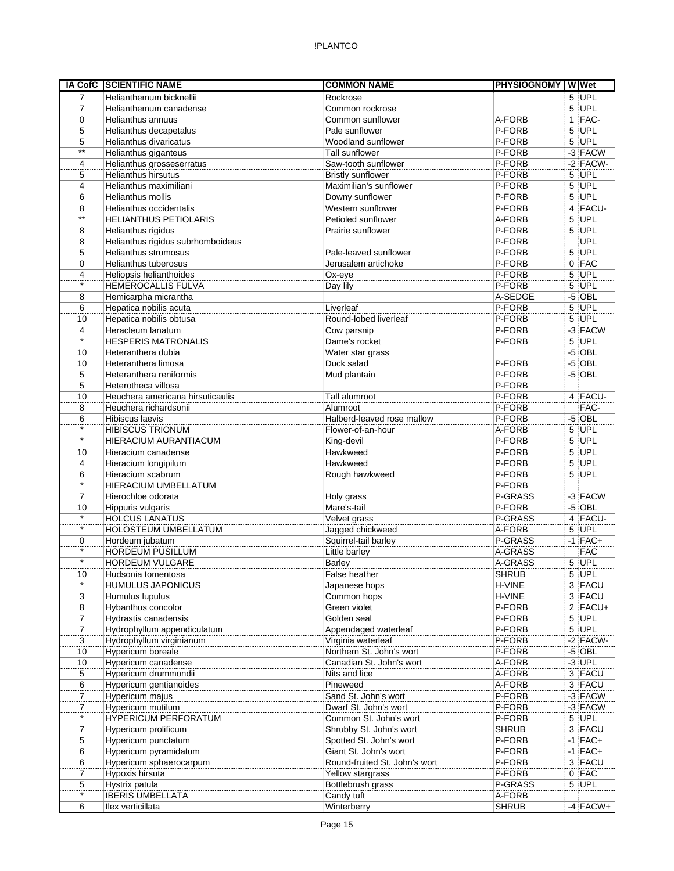| <b>IA CofC</b> | <b>SCIENTIFIC NAME</b>                     | <b>COMMON NAME</b>            | <b>PHYSIOGNOMY WWW</b> |            |
|----------------|--------------------------------------------|-------------------------------|------------------------|------------|
| $\overline{7}$ | Helianthemum bicknellii                    | Rockrose                      |                        | 5 UPL      |
| 7              | Helianthemum canadense                     | Common rockrose               |                        | $5$ UPL    |
| 0              | Helianthus annuus                          | Common sunflower              | A-FORB                 | $1$ FAC-   |
| 5              | Helianthus decapetalus                     | Pale sunflower                | P-FORB                 | $5$ UPL    |
| 5              | Helianthus divaricatus                     | Woodland sunflower            | P-FORB                 | 5 UPL      |
| $***$          | Helianthus giganteus                       | <b>Tall sunflower</b>         | P-FORB                 | -3 FACW    |
| 4              | Helianthus grosseserratus                  | Saw-tooth sunflower           | P-FORB                 | $-2$ FACW- |
| 5              | <b>Helianthus hirsutus</b>                 | <b>Bristly sunflower</b>      | P-FORB                 | $5$ UPL    |
| 4              | Helianthus maximiliani                     | Maximilian's sunflower        | P-FORB                 | $5$ UPL    |
| 6              | Helianthus mollis                          | Downy sunflower               | P-FORB                 | $5$ UPL    |
| 8              | Helianthus occidentalis                    | Western sunflower             | P-FORB                 | 4 FACU-    |
| $***$          | <b>HELIANTHUS PETIOLARIS</b>               | Petioled sunflower            | A-FORB                 | 5 UPL      |
| 8              | Helianthus rigidus                         | Prairie sunflower             | P-FORB                 | $5$ UPL    |
| 8              | Helianthus rigidus subrhomboideus          |                               | P-FORB                 | <b>UPL</b> |
| 5              | <b>Helianthus strumosus</b>                | Pale-leaved sunflower         | P-FORB                 | $5$ UPL    |
| 0              | Helianthus tuberosus                       | Jerusalem artichoke           | P-FORB                 | $0$ FAC    |
| 4              | Heliopsis helianthoides                    | Ox-eye                        | P-FORB                 | $5$ UPL    |
| $\star$        | HEMEROCALLIS FULVA                         | Day lily                      | P-FORB                 | $5$ UPL    |
| 8              | Hemicarpha micrantha                       |                               | A-SEDGE                | $-5$ OBL   |
| 6              | Hepatica nobilis acuta                     | Liverleaf                     | P-FORB                 | $5$ UPL    |
| 10             | Hepatica nobilis obtusa                    | Round-lobed liverleaf         | P-FORB                 | $5$ UPL    |
| 4<br>$\star$   | Heracleum lanatum                          | Cow parsnip                   | P-FORB                 | $-3$ FACW  |
|                | <b>HESPERIS MATRONALIS</b>                 | Dame's rocket                 | P-FORB                 | 5 UPL      |
| 10             | Heteranthera dubia                         | Water star grass              |                        | $-5$ OBL   |
| 10             | Heteranthera limosa                        | Duck salad                    | P-FORB                 | $-5$ OBL   |
| 5              | Heteranthera reniformis                    | Mud plantain                  | P-FORB                 | $-5$ OBL   |
| 5              | Heterotheca villosa                        |                               | P-FORB                 |            |
| 10             | Heuchera americana hirsuticaulis           | Tall alumroot                 | P-FORB                 | 4 FACU-    |
| 8              | Heuchera richardsonii                      | Alumroot                      | P-FORB                 | FAC-       |
| 6<br>$\star$   | <b>Hibiscus laevis</b>                     | Halberd-leaved rose mallow    | P-FORB                 | $-5$ OBL   |
| $\star$        | <b>HIBISCUS TRIONUM</b>                    | Flower-of-an-hour             | A-FORB                 | $5$ UPL    |
|                | HIERACIUM AURANTIACUM                      | King-devil                    | P-FORB                 | $5$ UPL    |
| 10             | Hieracium canadense                        | Hawkweed                      | P-FORB                 | $5$ UPL    |
| 4              | Hieracium longipilum                       | Hawkweed                      | P-FORB                 | 5 UPL      |
| 6<br>$\star$   | Hieracium scabrum                          | Rough hawkweed                | P-FORB<br>P-FORB       | 5 UPL      |
| 7              | HIERACIUM UMBELLATUM<br>Hierochloe odorata |                               | P-GRASS                | $-3$ FACW  |
| 10             | Hippuris vulgaris                          | Holy grass<br>Mare's-tail     | P-FORB                 | $-5$ OBL   |
| $\star$        | <b>HOLCUS LANATUS</b>                      | Velvet grass                  | P-GRASS                | 4 FACU-    |
| $\star$        | HOLOSTEUM UMBELLATUM                       | Jagged chickweed              | A-FORB                 | $5$ UPL    |
| 0              | Hordeum jubatum                            | Squirrel-tail barley          | P-GRASS                | $-1$ FAC+  |
| $\star$        | <b>HORDEUM PUSILLUM</b>                    | Little barley                 | A-GRASS                | <b>FAC</b> |
| $\star$        | HORDEUM VULGARE                            | <b>Barley</b>                 | A-GRASS                | $5$ UPL    |
| 10             | Hudsonia tomentosa                         | False heather                 | <b>SHRUB</b>           | $5$ UPL    |
| $\star$        | <b>HUMULUS JAPONICUS</b>                   | Japanese hops                 | H-VINE                 | 3 FACU     |
| 3              | Humulus lupulus                            | Common hops                   | H-VINE                 | 3 FACU     |
| 8              | Hybanthus concolor                         | Green violet                  | P-FORB                 | $2$ FACU+  |
| $\overline{7}$ | Hydrastis canadensis                       | Golden seal                   | P-FORB                 | 5 UPL      |
| 7              | Hydrophyllum appendiculatum                | Appendaged waterleaf          | P-FORB                 | 5 UPL      |
| 3              | Hydrophyllum virginianum                   | Virginia waterleaf            | P-FORB                 | $-2$ FACW- |
| 10             | Hypericum boreale                          | Northern St. John's wort      | P-FORB                 | $-5$ OBL   |
| 10             | Hypericum canadense                        | Canadian St. John's wort      | A-FORB                 | $-3$ UPL   |
| 5              | Hypericum drummondii                       | Nits and lice                 | A-FORB                 | $3$ FACU   |
| 6              | Hypericum gentianoides                     | Pineweed                      | A-FORB                 | 3 FACU     |
| 7              | Hypericum majus                            | Sand St. John's wort          | P-FORB                 | $-3$ FACW  |
| 7              | Hypericum mutilum                          | Dwarf St. John's wort         | P-FORB                 | $-3$ FACW  |
| $\star$        | <b>HYPERICUM PERFORATUM</b>                | Common St. John's wort        | P-FORB                 | $5$ UPL    |
| $\overline{7}$ | Hypericum prolificum                       | Shrubby St. John's wort       | <b>SHRUB</b>           | 3 FACU     |
| 5              | Hypericum punctatum                        | Spotted St. John's wort       | P-FORB                 | $-1$ FAC+  |
| 6              | Hypericum pyramidatum                      | Giant St. John's wort         | P-FORB                 | $-1$ FAC+  |
| 6              | Hypericum sphaerocarpum                    | Round-fruited St. John's wort | P-FORB                 | 3 FACU     |
| 7              | Hypoxis hirsuta                            | Yellow stargrass              | P-FORB                 | $0$ FAC    |
| 5              | Hystrix patula                             | Bottlebrush grass             | P-GRASS                | $5$ UPL    |
| $\star$        | <b>IBERIS UMBELLATA</b>                    | Candy tuft                    | A-FORB                 |            |
| 6              | llex verticillata                          | Winterberry                   | <b>SHRUB</b>           | $-4$ FACW+ |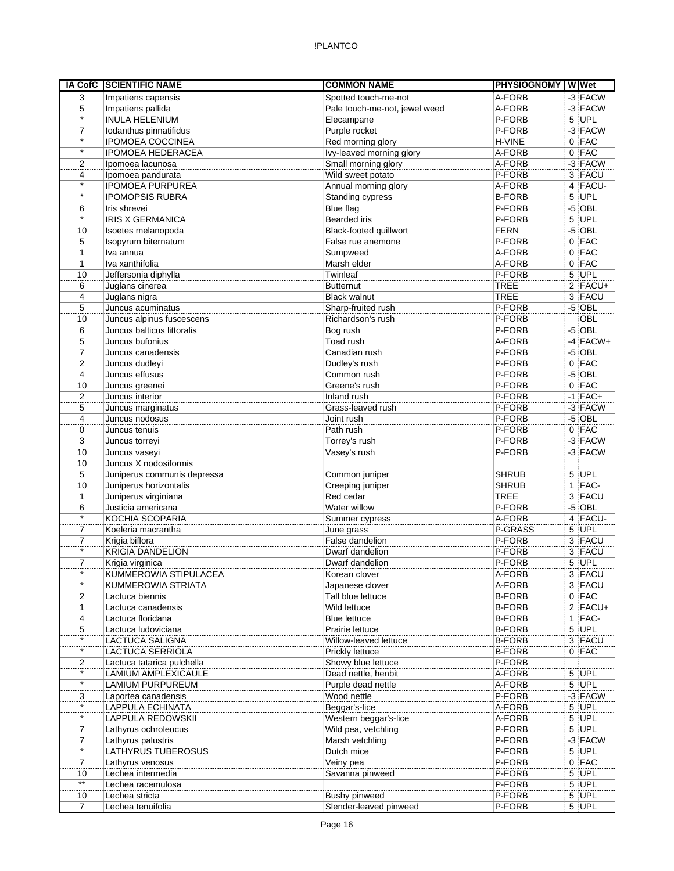| A-FORB<br>3<br>Spotted touch-me-not<br>Impatiens capensis<br>Pale touch-me-not, jewel weed<br>A-FORB<br>5<br>Impatiens pallida<br>$\star$<br><b>INULA HELENIUM</b><br>P-FORB<br>Elecampane<br>Purple rocket<br>P-FORB<br>$\overline{7}$<br>Iodanthus pinnatifidus<br>$\star$<br><b>IPOMOEA COCCINEA</b><br>Red morning glory<br>H-VINE<br>$\star$<br><b>IPOMOEA HEDERACEA</b><br>Ivy-leaved morning glory<br>A-FORB<br>Small morning glory<br>A-FORB<br>2<br>Ipomoea lacunosa<br>Wild sweet potato<br>P-FORB<br>4<br>Ipomoea pandurata<br>$\star$<br><b>IPOMOEA PURPUREA</b><br>Annual morning glory<br>A-FORB<br>$\star$<br><b>IPOMOPSIS RUBRA</b><br>Standing cypress<br><b>B-FORB</b><br>Blue flag<br>P-FORB<br>Iris shrevei<br>6<br>$\star$<br><b>Bearded</b> iris<br><b>IRIS X GERMANICA</b><br>P-FORB<br>Black-footed quillwort<br><b>FERN</b><br>10<br>Isoetes melanopoda<br>5<br>P-FORB<br>Isopyrum biternatum<br>False rue anemone<br>Iva annua<br>A-FORB<br>Sumpweed<br>1<br>Iva xanthifolia<br>Marsh elder<br>A-FORB<br>$\mathbf{1}$ | $0$ FAC | -3 FACW<br>$-3$ FACW<br>$5$ UPL<br>$-3$ FACW<br>$0$ FAC |
|-------------------------------------------------------------------------------------------------------------------------------------------------------------------------------------------------------------------------------------------------------------------------------------------------------------------------------------------------------------------------------------------------------------------------------------------------------------------------------------------------------------------------------------------------------------------------------------------------------------------------------------------------------------------------------------------------------------------------------------------------------------------------------------------------------------------------------------------------------------------------------------------------------------------------------------------------------------------------------------------------------------------------------------------------|---------|---------------------------------------------------------|
|                                                                                                                                                                                                                                                                                                                                                                                                                                                                                                                                                                                                                                                                                                                                                                                                                                                                                                                                                                                                                                                 |         |                                                         |
|                                                                                                                                                                                                                                                                                                                                                                                                                                                                                                                                                                                                                                                                                                                                                                                                                                                                                                                                                                                                                                                 |         |                                                         |
|                                                                                                                                                                                                                                                                                                                                                                                                                                                                                                                                                                                                                                                                                                                                                                                                                                                                                                                                                                                                                                                 |         |                                                         |
|                                                                                                                                                                                                                                                                                                                                                                                                                                                                                                                                                                                                                                                                                                                                                                                                                                                                                                                                                                                                                                                 |         |                                                         |
|                                                                                                                                                                                                                                                                                                                                                                                                                                                                                                                                                                                                                                                                                                                                                                                                                                                                                                                                                                                                                                                 |         |                                                         |
|                                                                                                                                                                                                                                                                                                                                                                                                                                                                                                                                                                                                                                                                                                                                                                                                                                                                                                                                                                                                                                                 |         |                                                         |
|                                                                                                                                                                                                                                                                                                                                                                                                                                                                                                                                                                                                                                                                                                                                                                                                                                                                                                                                                                                                                                                 |         | $-3$ FACW                                               |
|                                                                                                                                                                                                                                                                                                                                                                                                                                                                                                                                                                                                                                                                                                                                                                                                                                                                                                                                                                                                                                                 |         | 3 FACU                                                  |
|                                                                                                                                                                                                                                                                                                                                                                                                                                                                                                                                                                                                                                                                                                                                                                                                                                                                                                                                                                                                                                                 |         | 4 FACU-                                                 |
|                                                                                                                                                                                                                                                                                                                                                                                                                                                                                                                                                                                                                                                                                                                                                                                                                                                                                                                                                                                                                                                 |         | $5$ UPL                                                 |
|                                                                                                                                                                                                                                                                                                                                                                                                                                                                                                                                                                                                                                                                                                                                                                                                                                                                                                                                                                                                                                                 |         | $-5$ OBL                                                |
|                                                                                                                                                                                                                                                                                                                                                                                                                                                                                                                                                                                                                                                                                                                                                                                                                                                                                                                                                                                                                                                 |         | 5 UPL                                                   |
|                                                                                                                                                                                                                                                                                                                                                                                                                                                                                                                                                                                                                                                                                                                                                                                                                                                                                                                                                                                                                                                 |         | $-5$ OBL                                                |
|                                                                                                                                                                                                                                                                                                                                                                                                                                                                                                                                                                                                                                                                                                                                                                                                                                                                                                                                                                                                                                                 |         | $0$ FAC                                                 |
|                                                                                                                                                                                                                                                                                                                                                                                                                                                                                                                                                                                                                                                                                                                                                                                                                                                                                                                                                                                                                                                 |         | $0$ FAC                                                 |
|                                                                                                                                                                                                                                                                                                                                                                                                                                                                                                                                                                                                                                                                                                                                                                                                                                                                                                                                                                                                                                                 |         | $0$ FAC                                                 |
| Jeffersonia diphylla<br>Twinleaf<br>P-FORB<br>10                                                                                                                                                                                                                                                                                                                                                                                                                                                                                                                                                                                                                                                                                                                                                                                                                                                                                                                                                                                                |         | $5$ UPL                                                 |
| Juglans cinerea<br><b>Butternut</b><br>TREE<br>6                                                                                                                                                                                                                                                                                                                                                                                                                                                                                                                                                                                                                                                                                                                                                                                                                                                                                                                                                                                                |         | $2$ FACU+                                               |
| 4<br>Juglans nigra<br><b>TREE</b><br><b>Black walnut</b>                                                                                                                                                                                                                                                                                                                                                                                                                                                                                                                                                                                                                                                                                                                                                                                                                                                                                                                                                                                        |         | 3 FACU                                                  |
| P-FORB<br>5<br>Juncus acuminatus<br>Sharp-fruited rush                                                                                                                                                                                                                                                                                                                                                                                                                                                                                                                                                                                                                                                                                                                                                                                                                                                                                                                                                                                          |         | $-5$ OBL                                                |
| Juncus alpinus fuscescens<br>Richardson's rush<br>P-FORB<br>10                                                                                                                                                                                                                                                                                                                                                                                                                                                                                                                                                                                                                                                                                                                                                                                                                                                                                                                                                                                  |         | OBL                                                     |
| 6<br>Juncus balticus littoralis<br>P-FORB<br>Bog rush                                                                                                                                                                                                                                                                                                                                                                                                                                                                                                                                                                                                                                                                                                                                                                                                                                                                                                                                                                                           |         | $-5$ OBL<br>$-4$ FACW+                                  |
| Juncus bufonius<br>Toad rush<br>A-FORB<br>5                                                                                                                                                                                                                                                                                                                                                                                                                                                                                                                                                                                                                                                                                                                                                                                                                                                                                                                                                                                                     |         |                                                         |
| Juncus canadensis<br>Canadian rush<br>P-FORB<br>7                                                                                                                                                                                                                                                                                                                                                                                                                                                                                                                                                                                                                                                                                                                                                                                                                                                                                                                                                                                               |         | $-5$ OBL                                                |
| 2<br>Juncus dudleyi<br>P-FORB<br>Dudley's rush                                                                                                                                                                                                                                                                                                                                                                                                                                                                                                                                                                                                                                                                                                                                                                                                                                                                                                                                                                                                  |         | $0$ FAC                                                 |
| P-FORB<br>$\overline{\mathbf{4}}$<br>Juncus effusus<br>Common rush                                                                                                                                                                                                                                                                                                                                                                                                                                                                                                                                                                                                                                                                                                                                                                                                                                                                                                                                                                              |         | $-5$ OBL                                                |
| P-FORB<br>10<br>Juncus greenei<br>Greene's rush                                                                                                                                                                                                                                                                                                                                                                                                                                                                                                                                                                                                                                                                                                                                                                                                                                                                                                                                                                                                 |         | $0$ FAC                                                 |
| $\overline{2}$<br>Juncus interior<br>P-FORB<br>Inland rush                                                                                                                                                                                                                                                                                                                                                                                                                                                                                                                                                                                                                                                                                                                                                                                                                                                                                                                                                                                      |         | $-1$ FAC+                                               |
| 5<br>P-FORB<br>Juncus marginatus<br>Grass-leaved rush                                                                                                                                                                                                                                                                                                                                                                                                                                                                                                                                                                                                                                                                                                                                                                                                                                                                                                                                                                                           |         | $-3$ FACW                                               |
| P-FORB<br>4<br>Juncus nodosus<br>Joint rush                                                                                                                                                                                                                                                                                                                                                                                                                                                                                                                                                                                                                                                                                                                                                                                                                                                                                                                                                                                                     |         | $-5$ OBL                                                |
| Path rush<br>P-FORB<br>0<br>Juncus tenuis                                                                                                                                                                                                                                                                                                                                                                                                                                                                                                                                                                                                                                                                                                                                                                                                                                                                                                                                                                                                       |         | $0$ FAC                                                 |
| P-FORB<br>3<br>Juncus torreyi<br>Torrey's rush                                                                                                                                                                                                                                                                                                                                                                                                                                                                                                                                                                                                                                                                                                                                                                                                                                                                                                                                                                                                  |         | $-3$ FACW                                               |
| 10<br>Juncus vaseyi<br>P-FORB<br>Vasey's rush                                                                                                                                                                                                                                                                                                                                                                                                                                                                                                                                                                                                                                                                                                                                                                                                                                                                                                                                                                                                   |         | $-3$ FACW                                               |
| Juncus X nodosiformis<br>10                                                                                                                                                                                                                                                                                                                                                                                                                                                                                                                                                                                                                                                                                                                                                                                                                                                                                                                                                                                                                     |         |                                                         |
| 5<br>Juniperus communis depressa<br><b>SHRUB</b><br>Common juniper<br><b>SHRUB</b>                                                                                                                                                                                                                                                                                                                                                                                                                                                                                                                                                                                                                                                                                                                                                                                                                                                                                                                                                              |         | $5$ UPL<br>$1$ FAC-                                     |
| Juniperus horizontalis<br>Creeping juniper<br>10<br>Juniperus virginiana<br>Red cedar<br><b>TREE</b><br>$\mathbf{1}$                                                                                                                                                                                                                                                                                                                                                                                                                                                                                                                                                                                                                                                                                                                                                                                                                                                                                                                            |         | 3 FACU                                                  |
| Water willow<br>P-FORB<br>6<br>Justicia americana                                                                                                                                                                                                                                                                                                                                                                                                                                                                                                                                                                                                                                                                                                                                                                                                                                                                                                                                                                                               |         | $-5$ OBL                                                |
| $\star$<br>KOCHIA SCOPARIA<br>A-FORB                                                                                                                                                                                                                                                                                                                                                                                                                                                                                                                                                                                                                                                                                                                                                                                                                                                                                                                                                                                                            |         | $4$ FACU-                                               |
| Summer cypress<br>Koeleria macrantha<br>P-GRASS<br>7                                                                                                                                                                                                                                                                                                                                                                                                                                                                                                                                                                                                                                                                                                                                                                                                                                                                                                                                                                                            |         | 5 UPL                                                   |
| June grass<br>$\overline{7}$<br>Krigia biflora<br>False dandelion<br>P-FORB                                                                                                                                                                                                                                                                                                                                                                                                                                                                                                                                                                                                                                                                                                                                                                                                                                                                                                                                                                     |         | 3 FACU                                                  |
| $\star$<br><b>KRIGIA DANDELION</b><br>Dwarf dandelion<br>P-FORB                                                                                                                                                                                                                                                                                                                                                                                                                                                                                                                                                                                                                                                                                                                                                                                                                                                                                                                                                                                 |         | 3 FACU                                                  |
| 7<br>Krigia virginica<br>P-FORB<br>Dwarf dandelion                                                                                                                                                                                                                                                                                                                                                                                                                                                                                                                                                                                                                                                                                                                                                                                                                                                                                                                                                                                              |         | $5$ UPL                                                 |
| KUMMEROWIA STIPULACEA<br>A-FORB<br>$\star$<br>Korean clover                                                                                                                                                                                                                                                                                                                                                                                                                                                                                                                                                                                                                                                                                                                                                                                                                                                                                                                                                                                     |         | $3$ FACU                                                |
| $\star$<br>KUMMEROWIA STRIATA<br>A-FORB                                                                                                                                                                                                                                                                                                                                                                                                                                                                                                                                                                                                                                                                                                                                                                                                                                                                                                                                                                                                         |         | 3 FACU                                                  |
| Japanese clover<br>Tall blue lettuce<br><b>B-FORB</b><br>2<br>Lactuca biennis                                                                                                                                                                                                                                                                                                                                                                                                                                                                                                                                                                                                                                                                                                                                                                                                                                                                                                                                                                   |         | $0$ FAC                                                 |
| 1<br>Lactuca canadensis<br>Wild lettuce<br><b>B-FORB</b>                                                                                                                                                                                                                                                                                                                                                                                                                                                                                                                                                                                                                                                                                                                                                                                                                                                                                                                                                                                        |         | $2$ FACU+                                               |
| <b>B-FORB</b><br>4<br>Lactuca floridana<br><b>Blue lettuce</b>                                                                                                                                                                                                                                                                                                                                                                                                                                                                                                                                                                                                                                                                                                                                                                                                                                                                                                                                                                                  |         | $1$ FAC-                                                |
| Lactuca ludoviciana<br>Prairie lettuce<br><b>B-FORB</b><br>5                                                                                                                                                                                                                                                                                                                                                                                                                                                                                                                                                                                                                                                                                                                                                                                                                                                                                                                                                                                    |         | $5$ UPL                                                 |
| $\star$<br>LACTUCA SALIGNA<br>Willow-leaved lettuce<br><b>B-FORB</b>                                                                                                                                                                                                                                                                                                                                                                                                                                                                                                                                                                                                                                                                                                                                                                                                                                                                                                                                                                            |         | 3 FACU                                                  |
| $\star$<br><b>B-FORB</b><br>LACTUCA SERRIOLA<br>Prickly lettuce                                                                                                                                                                                                                                                                                                                                                                                                                                                                                                                                                                                                                                                                                                                                                                                                                                                                                                                                                                                 |         | $0$ FAC                                                 |
| Showy blue lettuce<br>P-FORB<br>2<br>Lactuca tatarica pulchella                                                                                                                                                                                                                                                                                                                                                                                                                                                                                                                                                                                                                                                                                                                                                                                                                                                                                                                                                                                 |         |                                                         |
| $\star$<br>Dead nettle, henbit<br>A-FORB<br>LAMIUM AMPLEXICAULE                                                                                                                                                                                                                                                                                                                                                                                                                                                                                                                                                                                                                                                                                                                                                                                                                                                                                                                                                                                 |         | $5$ UPL                                                 |
| $\star$<br>A-FORB<br>LAMIUM PURPUREUM<br>Purple dead nettle                                                                                                                                                                                                                                                                                                                                                                                                                                                                                                                                                                                                                                                                                                                                                                                                                                                                                                                                                                                     |         | $5$ UPL                                                 |
| Wood nettle<br>P-FORB<br>3<br>Laportea canadensis                                                                                                                                                                                                                                                                                                                                                                                                                                                                                                                                                                                                                                                                                                                                                                                                                                                                                                                                                                                               |         | $-3$ FACW                                               |
| $\star$<br>Beggar's-lice<br>LAPPULA ECHINATA<br>A-FORB                                                                                                                                                                                                                                                                                                                                                                                                                                                                                                                                                                                                                                                                                                                                                                                                                                                                                                                                                                                          |         | $5$ UPL                                                 |
| $\overline{\phantom{a}}$<br>Western beggar's-lice<br>A-FORB<br>LAPPULA REDOWSKII                                                                                                                                                                                                                                                                                                                                                                                                                                                                                                                                                                                                                                                                                                                                                                                                                                                                                                                                                                |         | $5$ UPL                                                 |
| P-FORB<br>7<br>Lathyrus ochroleucus<br>Wild pea, vetchling                                                                                                                                                                                                                                                                                                                                                                                                                                                                                                                                                                                                                                                                                                                                                                                                                                                                                                                                                                                      |         | $5$ UPL                                                 |
| Marsh vetchling<br>P-FORB<br>Lathyrus palustris<br>7                                                                                                                                                                                                                                                                                                                                                                                                                                                                                                                                                                                                                                                                                                                                                                                                                                                                                                                                                                                            |         | $-3$ FACW                                               |
| $\star$<br>LATHYRUS TUBEROSUS<br>P-FORB<br>Dutch mice                                                                                                                                                                                                                                                                                                                                                                                                                                                                                                                                                                                                                                                                                                                                                                                                                                                                                                                                                                                           |         | $5$ UPL                                                 |
| $\overline{7}$<br>P-FORB<br>Lathyrus venosus<br>Veiny pea                                                                                                                                                                                                                                                                                                                                                                                                                                                                                                                                                                                                                                                                                                                                                                                                                                                                                                                                                                                       |         | $0$ FAC                                                 |
| P-FORB<br>Lechea intermedia<br>Savanna pinweed<br>10                                                                                                                                                                                                                                                                                                                                                                                                                                                                                                                                                                                                                                                                                                                                                                                                                                                                                                                                                                                            |         | $5$ UPL                                                 |
| $\star\star$<br>P-FORB<br>Lechea racemulosa                                                                                                                                                                                                                                                                                                                                                                                                                                                                                                                                                                                                                                                                                                                                                                                                                                                                                                                                                                                                     |         | $5$ UPL                                                 |
| P-FORB<br>Lechea stricta<br>Bushy pinweed<br>10                                                                                                                                                                                                                                                                                                                                                                                                                                                                                                                                                                                                                                                                                                                                                                                                                                                                                                                                                                                                 |         | $5$ UPL                                                 |
| Slender-leaved pinweed<br>P-FORB<br>Lechea tenuifolia<br>7                                                                                                                                                                                                                                                                                                                                                                                                                                                                                                                                                                                                                                                                                                                                                                                                                                                                                                                                                                                      |         | $5$ UPL                                                 |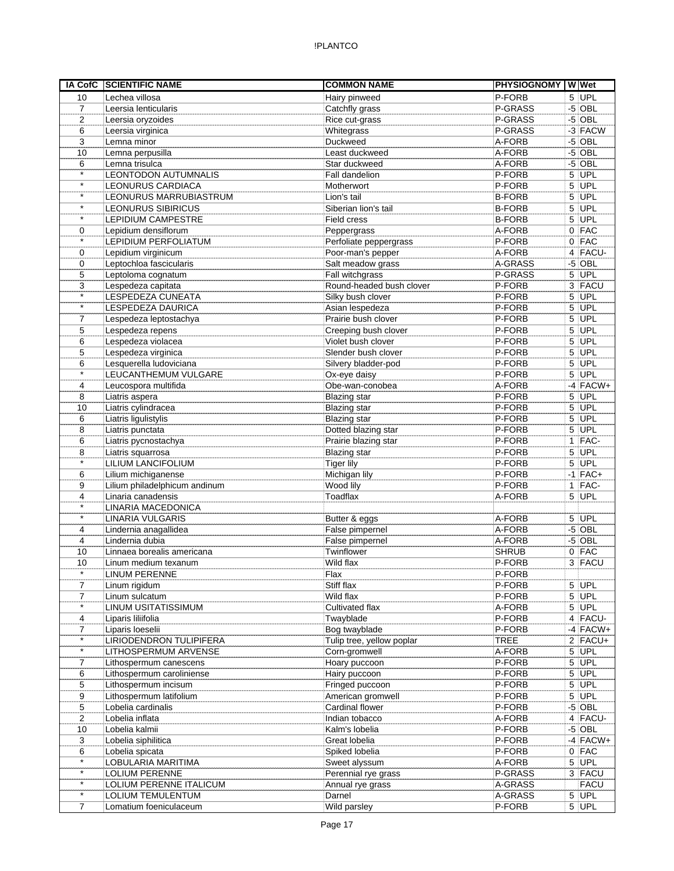| IA CofC        | <b>SCIENTIFIC NAME</b>                              | <b>COMMON NAME</b>         | <b>PHYSIOGNOMY WWet</b> |    |                        |
|----------------|-----------------------------------------------------|----------------------------|-------------------------|----|------------------------|
| 10             | Lechea villosa                                      | Hairy pinweed              | P-FORB                  |    | 5 UPL                  |
| $\overline{7}$ | Leersia lenticularis                                | Catchfly grass             | P-GRASS                 |    | $-5$ OBL               |
| $\overline{2}$ | Leersia oryzoides                                   | Rice cut-grass             | P-GRASS                 |    | $-5$ OBL               |
| 6              | Leersia virginica                                   | Whitegrass                 | P-GRASS                 |    | $-3$ FACW              |
| 3              | Lemna minor                                         | Duckweed                   | A-FORB                  | -5 | <b>OBL</b>             |
| 10             | Lemna perpusilla                                    | Least duckweed             | A-FORB                  |    | $-5$ OBL               |
| 6              | Lemna trisulca                                      | Star duckweed              | A-FORB                  |    | $-5$ OBL               |
| $\star$        | LEONTODON AUTUMNALIS                                | Fall dandelion             | P-FORB                  |    | $5$ UPL                |
| $\star$        | LEONURUS CARDIACA                                   | Motherwort                 | P-FORB                  |    | $5$ UPL                |
| $\star$        | LEONURUS MARRUBIASTRUM                              | Lion's tail                | <b>B-FORB</b>           |    | $5$ UPL                |
| $\star$        | LEONURUS SIBIRICUS                                  | Siberian lion's tail       | <b>B-FORB</b>           |    | $5$ UPL                |
| $\star$        | <b>LEPIDIUM CAMPESTRE</b>                           | Field cress                | <b>B-FORB</b>           |    | $5$ UPL                |
| 0              | Lepidium densiflorum                                | Peppergrass                | A-FORB                  |    | $0$ FAC                |
| $\star$        | LEPIDIUM PERFOLIATUM                                | Perfoliate peppergrass     | P-FORB                  |    | $0$ FAC                |
| 0              | Lepidium virginicum                                 | Poor-man's pepper          | A-FORB                  |    | $4$ FACU-              |
| $\mathbf 0$    | Leptochloa fascicularis                             | Salt meadow grass          | A-GRASS                 |    | $-5$ OBL               |
| 5              | Leptoloma cognatum                                  | Fall witchgrass            | P-GRASS                 |    | $5$ UPL                |
| 3              | Lespedeza capitata                                  | Round-headed bush clover   | P-FORB                  |    | 3 FACU                 |
| $\star$        | LESPEDEZA CUNEATA                                   | Silky bush clover          | P-FORB                  |    | $5$ UPL                |
| $\star$        | LESPEDEZA DAURICA                                   | Asian lespedeza            | P-FORB                  |    | $5$ UPL                |
| $\overline{7}$ | Lespedeza leptostachya                              | Prairie bush clover        | P-FORB                  |    | $5$ UPL                |
| 5              | Lespedeza repens                                    | Creeping bush clover       | P-FORB                  | 5  | UPL                    |
| 6              | Lespedeza violacea                                  | Violet bush clover         | P-FORB                  |    | $5$ UPL                |
| 5              | Lespedeza virginica                                 | Slender bush clover        | P-FORB                  |    | $5$ UPL                |
| 6              | Lesquerella ludoviciana                             | Silvery bladder-pod        | P-FORB                  |    | $5$ UPL                |
| $\star$        | LEUCANTHEMUM VULGARE                                | Ox-eye daisy               | P-FORB                  |    | $5$ UPL                |
|                | Leucospora multifida                                | Obe-wan-conobea            | A-FORB                  |    | $-4$ FACW+             |
| 4              |                                                     |                            |                         |    |                        |
| 8              | Liatris aspera                                      | <b>Blazing</b> star        | P-FORB                  |    | $5$ UPL                |
| 10             | Liatris cylindracea                                 | <b>Blazing star</b>        | P-FORB                  |    | $5$ UPL                |
| 6              | Liatris ligulistylis                                | <b>Blazing star</b>        | P-FORB                  |    | 5 UPL                  |
| 8              | Liatris punctata                                    | Dotted blazing star        | P-FORB                  |    | $5$ UPL                |
| 6              | Liatris pycnostachya                                | Prairie blazing star       | P-FORB                  |    | $1$  FAC-              |
| 8<br>$\star$   | Liatris squarrosa                                   | <b>Blazing star</b>        | P-FORB                  |    | $5$ UPL                |
|                | LILIUM LANCIFOLIUM                                  | <b>Tiger lily</b>          | P-FORB                  |    | $5$ UPL                |
| 6              | Lilium michiganense                                 | Michigan lily              | P-FORB                  |    | $-1$ FAC+              |
| 9              | Lilium philadelphicum andinum                       | Wood lily                  | P-FORB                  |    | $1$ FAC-               |
| 4              | Linaria canadensis                                  | Toadflax                   | A-FORB                  |    | $5$ UPL                |
| $\star$        | LINARIA MACEDONICA                                  |                            |                         |    |                        |
| $\star$        | <b>LINARIA VULGARIS</b>                             | Butter & eggs              | A-FORB                  |    | $5$ UPL                |
| 4              | Lindernia anagallidea                               | False pimpernel            | A-FORB                  |    | $-5$ OBL               |
| 4              | Lindernia dubia                                     | False pimpernel            | A-FORB                  |    | $-5$ OBL               |
| 10             | Linnaea borealis americana                          | Twinflower                 | <b>SHRUB</b>            |    | $0$ FAC                |
| 10             | Linum medium texanum                                | Wild flax                  | P-FORB                  |    | 3 FACU                 |
| $\star$        | <b>LINUM PERENNE</b>                                | Flax                       | P-FORB                  |    |                        |
| $\overline{7}$ | Linum rigidum                                       | Stiff flax                 | P-FORB                  |    | $5$ UPL                |
| 7              | Linum sulcatum                                      | Wild flax                  | P-FORB                  |    | $5$ UPL                |
| $\star$        | LINUM USITATISSIMUM                                 | Cultivated flax            | A-FORB                  |    | $5$ UPL                |
| 4              | Liparis liliifolia                                  | Twayblade                  | P-FORB                  |    | $4$ FACU-              |
| 7              | Liparis loeselii                                    | Bog twayblade              | P-FORB                  |    | $-4$ FACW+             |
| $\star$        | LIRIODENDRON TULIPIFERA                             | Tulip tree, yellow poplar  | <b>TREE</b>             |    | $2$ FACU+              |
| $\star$        | LITHOSPERMUM ARVENSE                                | Corn-gromwell              | A-FORB                  |    | 5 UPL                  |
| 7              | Lithospermum canescens                              | Hoary puccoon              | P-FORB                  |    | $5$ UPL                |
| 6              | Lithospermum caroliniense                           | Hairy puccoon              | P-FORB                  |    | $5$ UPL                |
| 5              | Lithospermum incisum                                | Fringed puccoon            | P-FORB                  |    | $5$ UPL                |
| 9              | Lithospermum latifolium                             | American gromwell          | P-FORB                  |    | $5$ UPL                |
| 5              | Lobelia cardinalis                                  | Cardinal flower            | P-FORB                  |    | $-5$ OBL               |
| 2              | Lobelia inflata                                     | Indian tobacco             | A-FORB                  |    | 4 FACU-                |
| 10             | Lobelia kalmii                                      | Kalm's lobelia             | P-FORB                  |    | $-5$ OBL               |
| 3              | Lobelia siphilitica                                 | Great lobelia              | P-FORB                  |    | $-4$ FACW+             |
| 6              | Lobelia spicata                                     | Spiked lobelia             | P-FORB                  |    | $0$   FAC              |
| $\star$        | LOBULARIA MARITIMA                                  | Sweet alyssum              | A-FORB                  |    | $5$ UPL                |
| $\star$        | <b>LOLIUM PERENNE</b>                               | Perennial rye grass        | P-GRASS                 |    | 3 FACU                 |
| $\star$        |                                                     |                            |                         |    |                        |
|                |                                                     |                            |                         |    |                        |
| $\star$        | LOLIUM PERENNE ITALICUM<br><b>LOLIUM TEMULENTUM</b> | Annual rye grass<br>Darnel | A-GRASS<br>A-GRASS      |    | <b>FACU</b><br>$5$ UPL |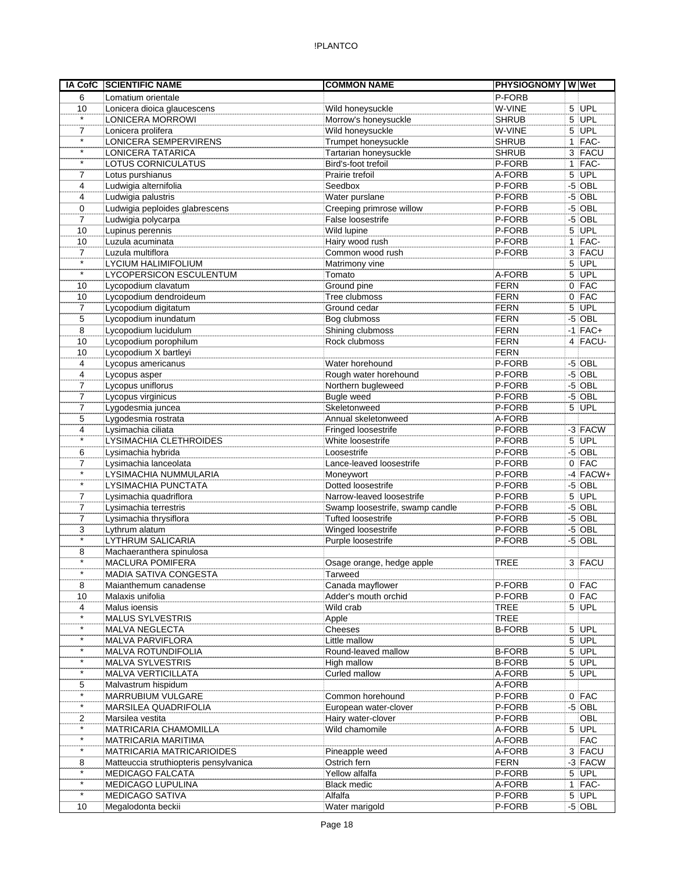| IA CofC                   | <b>SCIENTIFIC NAME</b>                         | <b>COMMON NAME</b>                       | <b>PHYSIOGNOMY WWet</b>    |      |                    |
|---------------------------|------------------------------------------------|------------------------------------------|----------------------------|------|--------------------|
| 6                         | Lomatium orientale                             |                                          | P-FORB                     |      |                    |
| 10                        | Lonicera dioica glaucescens                    | Wild honeysuckle                         | W-VINE                     |      | $5$ UPL            |
| $\star$                   | <b>LONICERA MORROWI</b>                        | Morrow's honeysuckle                     | <b>SHRUB</b>               |      | $5$ UPL            |
| $\overline{7}$            | Lonicera prolifera                             | Wild honeysuckle                         | W-VINE                     |      | $5$ UPL            |
| $\star$                   | LONICERA SEMPERVIRENS                          | Trumpet honeysuckle                      | <b>SHRUB</b>               |      | 1 FAC-             |
| $\star$                   | <b>LONICERA TATARICA</b>                       | Tartarian honeysuckle                    | <b>SHRUB</b>               |      | 3 FACU             |
| $\star$                   | LOTUS CORNICULATUS                             | Bird's-foot trefoil                      | P-FORB                     |      | $1$  FAC-          |
| 7                         | Lotus purshianus                               | Prairie trefoil                          | A-FORB                     |      | $5$ UPL            |
| 4                         | Ludwigia alternifolia                          | Seedbox                                  | P-FORB                     |      | $-5$ OBL           |
| 4                         | Ludwigia palustris                             | Water purslane                           | P-FORB                     |      | $-5$ OBL           |
| 0                         | Ludwigia peploides glabrescens                 | Creeping primrose willow                 | P-FORB                     |      | $-5$ OBL           |
| $\overline{7}$            | Ludwigia polycarpa                             | False loosestrife                        | P-FORB                     |      | $-5$ OBL           |
| 10                        | Lupinus perennis                               | Wild lupine                              | P-FORB                     |      | $5$ UPL            |
| 10                        | Luzula acuminata                               | Hairy wood rush                          | P-FORB                     |      | $1$ FAC-           |
| $\overline{7}$<br>$\star$ | Luzula multiflora                              | Common wood rush                         | P-FORB                     |      | 3 FACU             |
| $\star$                   | <b>LYCIUM HALIMIFOLIUM</b>                     | Matrimony vine                           |                            |      | $5$ UPL<br>$5$ UPL |
|                           | LYCOPERSICON ESCULENTUM                        | Tomato                                   | A-FORB<br>FERN             |      | $0$ FAC            |
| 10                        | Lycopodium clavatum                            | Ground pine                              |                            |      |                    |
| 10<br>$\overline{7}$      | Lycopodium dendroideum<br>Lycopodium digitatum | Tree clubmoss<br>Ground cedar            | <b>FERN</b><br><b>FERN</b> |      | $0$ FAC<br>$5$ UPL |
| 5                         | Lycopodium inundatum                           | Bog clubmoss                             | <b>FERN</b>                |      | $-5$ OBL           |
| 8                         | Lycopodium lucidulum                           | Shining clubmoss                         | <b>FERN</b>                |      | $-1$ FAC+          |
| 10                        | Lycopodium porophilum                          | Rock clubmoss                            | <b>FERN</b>                |      | 4 FACU-            |
| 10                        | Lycopodium X bartleyi                          |                                          | <b>FERN</b>                |      |                    |
| 4                         | Lycopus americanus                             | Water horehound                          | P-FORB                     |      | $-5$ OBL           |
| 4                         | Lycopus asper                                  | Rough water horehound                    | P-FORB                     |      | $-5$ OBL           |
| 7                         | Lycopus uniflorus                              | Northern bugleweed                       | P-FORB                     |      | $-5$ OBL           |
| $\overline{7}$            | Lycopus virginicus                             | Bugle weed                               | P-FORB                     |      | $-5$ OBL           |
| $\overline{7}$            | Lygodesmia juncea                              | Skeletonweed                             | P-FORB                     | 5    | UPL                |
| 5                         | Lygodesmia rostrata                            | Annual skeletonweed                      | A-FORB                     |      |                    |
| 4                         | Lysimachia ciliata                             | Fringed loosestrife                      | P-FORB                     |      | $-3$ FACW          |
| $\star$                   | LYSIMACHIA CLETHROIDES                         | White loosestrife                        | P-FORB                     |      | $5$ UPL            |
| 6                         | Lysimachia hybrida                             | Loosestrife                              | P-FORB                     |      | $-5$ OBL           |
| $\overline{7}$            | Lysimachia lanceolata                          | Lance-leaved loosestrife                 | P-FORB                     |      | $0$ FAC            |
| $\star$                   | LYSIMACHIA NUMMULARIA                          | Moneywort                                | P-FORB                     |      | $-4$ FACW+         |
| $\star$                   | LYSIMACHIA PUNCTATA                            | Dotted loosestrife                       | P-FORB                     |      | $-5$ OBL           |
| $\overline{7}$            | Lysimachia quadriflora                         | Narrow-leaved loosestrife                | P-FORB                     |      | $5$ UPL            |
| $\overline{7}$            | Lysimachia terrestris                          | Swamp loosestrife, swamp candle          | P-FORB                     |      | $-5$ OBL           |
| $\overline{7}$            | Lysimachia thrysiflora                         | Tufted loosestrife                       | P-FORB                     | $-5$ | <b>OBL</b>         |
| 3                         | Lythrum alatum                                 | Winged loosestrife                       | P-FORB                     | -5   | OBL                |
| $\star$                   | LYTHRUM SALICARIA                              | Purple loosestrife                       | P-FORB                     |      | $-5$ OBL           |
| 8<br>$\star$              | Machaeranthera spinulosa                       |                                          |                            |      |                    |
|                           | <b>MACLURA POMIFERA</b>                        | Osage orange, hedge apple                | <b>TREE</b>                |      | 3 FACU             |
|                           | <b>MADIA SATIVA CONGESTA</b>                   | Tarweed                                  |                            |      |                    |
| 8                         | Maianthemum canadense                          | Canada mayflower<br>Adder's mouth orchid | P-FORB<br>P-FORB           |      | $0$ FAC            |
| 10<br>$\overline{4}$      | Malaxis unifolia<br>Malus ioensis              | Wild crab                                | <b>TREE</b>                |      | $0$ FAC<br>$5$ UPL |
| $\star$                   | <b>MALUS SYLVESTRIS</b>                        | Apple                                    | <b>TREE</b>                |      |                    |
| $\star$                   | MALVA NEGLECTA                                 | Cheeses                                  | <b>B-FORB</b>              |      | $5$ UPL            |
| $\star$                   | <b>MALVA PARVIFLORA</b>                        | Little mallow                            |                            |      | $5$ UPL            |
| $\star$                   | <b>MALVA ROTUNDIFOLIA</b>                      | Round-leaved mallow                      | <b>B-FORB</b>              |      | $5$ UPL            |
| $\star$                   | MALVA SYLVESTRIS                               | High mallow                              | <b>B-FORB</b>              |      | $5$ UPL            |
| $\star$                   | MALVA VERTICILLATA                             | Curled mallow                            | A-FORB                     |      | $5$ UPL            |
| 5                         | Malvastrum hispidum                            |                                          | A-FORB                     |      |                    |
| $\star$                   | MARRUBIUM VULGARE                              | Common horehound                         | P-FORB                     |      | $0$ FAC            |
| $\star$                   | MARSILEA QUADRIFOLIA                           | European water-clover                    | P-FORB                     |      | $-5$ OBL           |
| 2                         | Marsilea vestita                               | Hairy water-clover                       | P-FORB                     |      | OBL                |
| $\star$                   | MATRICARIA CHAMOMILLA                          | Wild chamomile                           | A-FORB                     |      | $5$ UPL            |
| $\star$                   | <b>MATRICARIA MARITIMA</b>                     |                                          | A-FORB                     |      | <b>FAC</b>         |
| $\star$                   | MATRICARIA MATRICARIOIDES                      | Pineapple weed                           | A-FORB                     |      | 3 FACU             |
| 8                         | Matteuccia struthiopteris pensylvanica         | Ostrich fern                             | <b>FERN</b>                |      | $-3$ FACW          |
|                           | <b>MEDICAGO FALCATA</b>                        | Yellow alfalfa                           | P-FORB                     |      | $5$ UPL            |
| $\star$                   | MEDICAGO LUPULINA                              | <b>Black medic</b>                       | A-FORB                     |      | $1$ FAC-           |
| $\star$                   | <b>MEDICAGO SATIVA</b>                         | Alfalfa                                  | P-FORB                     |      | $5$ UPL            |
| 10                        | Megalodonta beckii                             | Water marigold                           | P-FORB                     |      | $-5$ OBL           |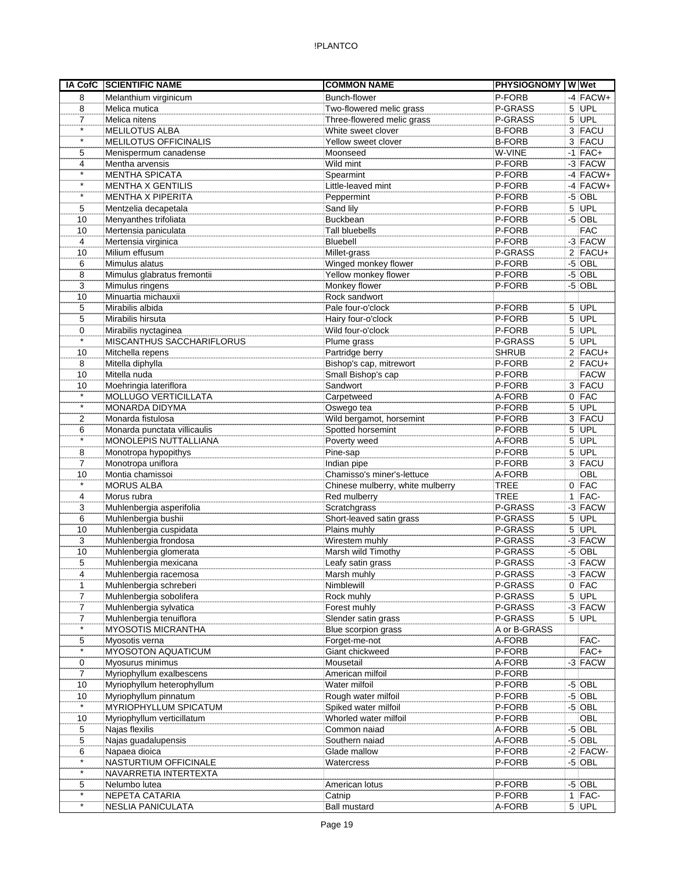|                | IA CofC SCIENTIFIC NAME          | <b>COMMON NAME</b>               | <b>PHYSIOGNOMY WWet</b> |             |
|----------------|----------------------------------|----------------------------------|-------------------------|-------------|
| 8              | Melanthium virginicum            | Bunch-flower                     | P-FORB                  | $-4$ FACW+  |
| 8              | Melica mutica                    | Two-flowered melic grass         | P-GRASS                 | $5$ UPL     |
| 7              | Melica nitens                    | Three-flowered melic grass       | P-GRASS                 | $5$ UPL     |
| $\star$        | MELILOTUS ALBA                   | White sweet clover               | <b>B-FORB</b>           | 3 FACU      |
| $\star$        | <b>MELILOTUS OFFICINALIS</b>     | Yellow sweet clover              | <b>B-FORB</b>           | 3 FACU      |
| 5              | Menispermum canadense            | Moonseed                         | W-VINE                  | $-1$ FAC+   |
| 4              | Mentha arvensis                  | Wild mint                        | P-FORB                  | $-3$ FACW   |
| $\star$        | <b>MENTHA SPICATA</b>            | Spearmint                        | P-FORB                  | $-4$ FACW+  |
| $\star$        | <b>MENTHA X GENTILIS</b>         | Little-leaved mint               | P-FORB                  | $-4$ FACW+  |
| $\star$        | <b>MENTHA X PIPERITA</b>         | Peppermint                       | P-FORB                  | $-5$ OBL    |
| 5              | Mentzelia decapetala             | Sand lily                        | P-FORB                  | $5$ UPL     |
| 10             | Menyanthes trifoliata            | <b>Buckbean</b>                  | P-FORB                  | $-5$ OBL    |
| 10             | Mertensia paniculata             | Tall bluebells                   | P-FORB                  | <b>FAC</b>  |
| $\overline{4}$ | Mertensia virginica              | Bluebell                         | P-FORB                  | $-3$ FACW   |
| 10             | Milium effusum                   | Millet-grass                     | P-GRASS                 | $2$ FACU+   |
| 6              | Mimulus alatus                   | Winged monkey flower             | P-FORB                  | $-5$ OBL    |
| 8              | Mimulus glabratus fremontii      | Yellow monkey flower             | P-FORB                  | $-5$ OBL    |
| 3              | Mimulus ringens                  | Monkey flower                    | P-FORB                  | $-5$ OBL    |
| 10             | Minuartia michauxii              | Rock sandwort                    |                         |             |
| 5              | Mirabilis albida                 | Pale four-o'clock                | P-FORB                  | $5$ UPL     |
| 5              | Mirabilis hirsuta                | Hairy four-o'clock               | P-FORB                  | $5$ UPL     |
| 0              | Mirabilis nyctaginea             | Wild four-o'clock                | P-FORB                  | $5$ UPL     |
| $\star$        | <b>MISCANTHUS SACCHARIFLORUS</b> | Plume grass                      | P-GRASS                 | $5$ UPL     |
| 10             | Mitchella repens                 | Partridge berry                  | SHRUB                   | $2$ FACU+   |
| 8              | Mitella diphylla                 | Bishop's cap, mitrewort          | P-FORB                  | $2$ FACU+   |
| 10             | Mitella nuda                     | Small Bishop's cap               | P-FORB                  | <b>FACW</b> |
| 10             | Moehringia lateriflora           | Sandwort                         | P-FORB                  | 3 FACU      |
| $\star$        | <b>MOLLUGO VERTICILLATA</b>      | Carpetweed                       | A-FORB                  | $0$ FAC     |
| $\star$        | MONARDA DIDYMA                   |                                  | P-FORB                  | $5$ UPL     |
|                |                                  | Oswego tea                       | P-FORB                  | 3 FACU      |
| 2              | Monarda fistulosa                | Wild bergamot, horsemint         |                         |             |
| 6<br>$\star$   | Monarda punctata villicaulis     | Spotted horsemint                | P-FORB                  | $5$ UPL     |
|                | MONOLEPIS NUTTALLIANA            | Poverty weed                     | A-FORB                  | $5$ UPL     |
| 8              | Monotropa hypopithys             | Pine-sap                         | P-FORB                  | $5$ UPL     |
| 7              | Monotropa uniflora               | Indian pipe                      | P-FORB                  | 3 FACU      |
| 10<br>$\star$  | Montia chamissoi                 | Chamisso's miner's-lettuce       | A-FORB                  | OBL         |
|                | <b>MORUS ALBA</b>                | Chinese mulberry, white mulberry | <b>TREE</b>             | $0$ FAC     |
| 4              | Morus rubra                      | Red mulberry                     | <b>TREE</b>             | $1$ FAC-    |
| 3              | Muhlenbergia asperifolia         | Scratchgrass                     | P-GRASS                 | $-3$ FACW   |
| 6              | Muhlenbergia bushii              | Short-leaved satin grass         | P-GRASS                 | $5$ UPL     |
| 10             | Muhlenbergia cuspidata           | Plains muhly                     | P-GRASS                 | 5 UPL       |
| 3              | Muhlenbergia frondosa            | Wirestem muhly                   | P-GRASS                 | $-3$ FACW   |
| 10             | Muhlenbergia glomerata           | Marsh wild Timothy               | P-GRASS                 | $-5$ OBL    |
| 5              | Muhlenbergia mexicana            | Leafy satin grass                | P-GRASS                 | $-3$ FACW   |
| 4              | Muhlenbergia racemosa            | Marsh muhly                      | P-GRASS                 | $-3$ FACW   |
| $\mathbf{1}$   | Muhlenbergia schreberi           | Nimblewill                       | P-GRASS                 | $0$ FAC     |
| 7              | Muhlenbergia sobolifera          | Rock muhly                       | P-GRASS                 | $5$ UPL     |
| 7              | Muhlenbergia sylvatica           | Forest muhly                     | P-GRASS                 | $-3$ FACW   |
| $\overline{7}$ | Muhlenbergia tenuiflora          | Slender satin grass              | P-GRASS                 | $5$ UPL     |
| $\star$        | <b>MYOSOTIS MICRANTHA</b>        | Blue scorpion grass              | A or B-GRASS            |             |
| 5              | Myosotis verna                   | Forget-me-not                    | A-FORB                  | FAC-        |
| $\star$        | MYOSOTON AQUATICUM               | Giant chickweed                  | P-FORB                  | FAC+        |
| 0              | Myosurus minimus                 | Mousetail                        | A-FORB                  | $-3$ FACW   |
| 7              | Myriophyllum exalbescens         | American milfoil                 | P-FORB                  |             |
| 10             | Myriophyllum heterophyllum       | Water milfoil                    | P-FORB                  | $-5$ OBL    |
| 10             | Myriophyllum pinnatum            | Rough water milfoil              | P-FORB                  | $-5$ OBL    |
| $\star$        | MYRIOPHYLLUM SPICATUM            | Spiked water milfoil             | P-FORB                  | $-5$ OBL    |
| 10             | Myriophyllum verticillatum       | Whorled water milfoil            | P-FORB                  | OBL         |
| 5              | Najas flexilis                   | Common naiad                     | A-FORB                  | $-5$ OBL    |
| 5              | Najas guadalupensis              | Southern naiad                   | A-FORB                  | $-5$ OBL    |
| 6              | Napaea dioica                    | Glade mallow                     | P-FORB                  | $-2$ FACW-  |
| $\star$        | NASTURTIUM OFFICINALE            | Watercress                       | P-FORB                  | $-5$ OBL    |
| $\star$        | NAVARRETIA INTERTEXTA            |                                  |                         |             |
| 5              | Nelumbo lutea                    | American lotus                   | P-FORB                  | $-5$ OBL    |
| $\star$        | NEPETA CATARIA                   | Catnip                           | P-FORB                  | $1$ FAC-    |
| $\star$        | <b>NESLIA PANICULATA</b>         | <b>Ball mustard</b>              | A-FORB                  | $5$ UPL     |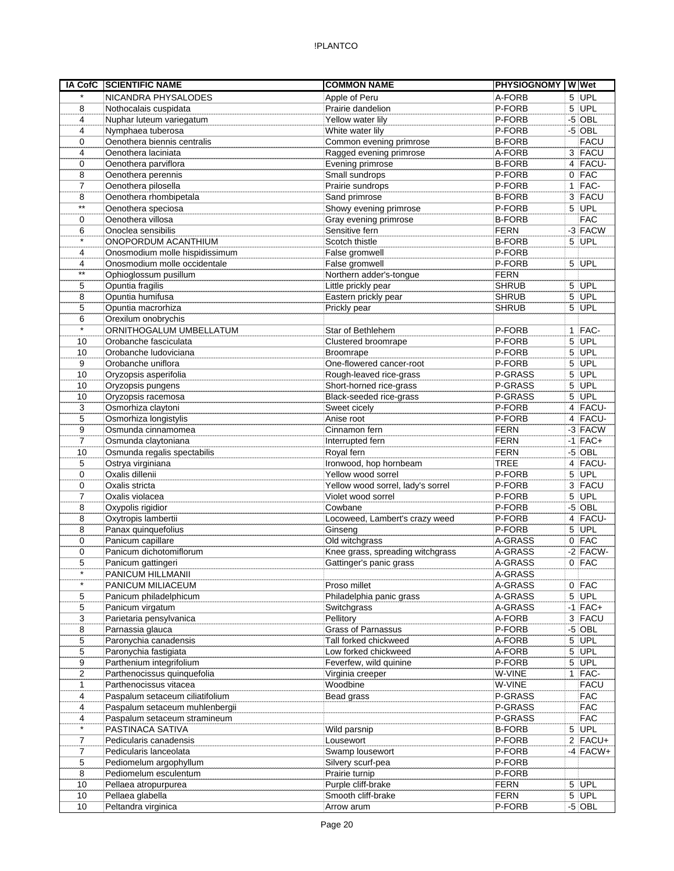| <b>IA CofC</b>       | <b>SCIENTIFIC NAME</b>                                | <b>COMMON NAME</b>                | <b>PHYSIOGNOMY WWet</b> |                |              |
|----------------------|-------------------------------------------------------|-----------------------------------|-------------------------|----------------|--------------|
| $\star$              | NICANDRA PHYSALODES                                   | Apple of Peru                     | A-FORB                  |                | 5 UPL        |
| 8                    | Nothocalais cuspidata                                 | Prairie dandelion                 | P-FORB                  |                | $5$ UPL      |
| 4                    | Nuphar luteum variegatum                              | Yellow water lily                 | P-FORB                  | $-5$           | <b>OBL</b>   |
| 4                    | Nymphaea tuberosa                                     | White water lily                  | P-FORB                  |                | $-5$ OBL     |
| $\Omega$             | Oenothera biennis centralis                           | Common evening primrose           | <b>B-FORB</b>           |                | <b>FACU</b>  |
| 4                    | Oenothera laciniata                                   | Ragged evening primrose           | A-FORB                  |                | 3 FACU       |
| 0                    | Oenothera parviflora                                  | Evening primrose                  | <b>B-FORB</b>           |                | 4 FACU-      |
| 8                    | Oenothera perennis                                    | Small sundrops                    | P-FORB                  |                | $0$ FAC      |
| $\overline{7}$       | Oenothera pilosella                                   | Prairie sundrops                  | P-FORB                  |                | $1$  FAC-    |
| 8                    | Oenothera rhombipetala                                | Sand primrose                     | <b>B-FORB</b>           |                | 3 FACU       |
| $\star\star$         | Oenothera speciosa                                    | Showy evening primrose            | P-FORB                  |                | $5$ UPL      |
| $\Omega$             | Oenothera villosa                                     | Gray evening primrose             | <b>B-FORB</b>           |                | <b>FAC</b>   |
| 6                    | Onoclea sensibilis                                    | Sensitive fern                    | <b>FERN</b>             |                | $-3$ FACW    |
| $\star$              | ONOPORDUM ACANTHIUM                                   | Scotch thistle                    | <b>B-FORB</b>           |                | $5$ UPL      |
|                      |                                                       |                                   | P-FORB                  |                |              |
| 4                    | Onosmodium molle hispidissimum                        | False gromwell                    |                         |                |              |
| 4<br>$^{\star\star}$ | Onosmodium molle occidentale                          | False gromwell                    | P-FORB                  |                | $5$ UPL      |
|                      | Ophioglossum pusillum                                 | Northern adder's-tongue           | <b>FERN</b>             |                |              |
| 5                    | Opuntia fragilis                                      | Little prickly pear               | <b>SHRUB</b>            |                | 5 UPL        |
| 8                    | Opuntia humifusa                                      | Eastern prickly pear              | <b>SHRUB</b>            |                | $5$ UPL      |
| 5                    | Opuntia macrorhiza                                    | Prickly pear                      | <b>SHRUB</b>            |                | $5$ UPL      |
| 6                    | Orexilum onobrychis                                   |                                   |                         |                |              |
| $\star$              | ORNITHOGALUM UMBELLATUM                               | Star of Bethlehem                 | P-FORB                  |                | $1$  FAC-    |
| 10                   | Orobanche fasciculata                                 | Clustered broomrape               | P-FORB                  |                | $5$ UPL      |
| 10                   | Orobanche ludoviciana                                 | Broomrape                         | P-FORB                  |                | $5$ UPL      |
| 9                    | Orobanche uniflora                                    | One-flowered cancer-root          | P-FORB                  |                | $5$ UPL      |
| 10                   | Oryzopsis asperifolia                                 | Rough-leaved rice-grass           | P-GRASS                 |                | $5$ UPL      |
| 10                   | Oryzopsis pungens                                     | Short-horned rice-grass           | P-GRASS                 |                | 5 UPL        |
| 10                   | Oryzopsis racemosa                                    | Black-seeded rice-grass           | P-GRASS                 |                | $5$ UPL      |
| 3                    | Osmorhiza claytoni                                    | Sweet cicely                      | P-FORB                  |                | $4$ FACU-    |
| 5                    | Osmorhiza longistylis                                 | Anise root                        | P-FORB                  |                | 4 FACU-      |
| 9                    | Osmunda cinnamomea                                    | Cinnamon fern                     | <b>FERN</b>             |                | $-3$ FACW    |
| $\overline{7}$       | Osmunda claytoniana                                   | Interrupted fern                  | <b>FERN</b>             |                | $-1$ FAC+    |
| 10                   | Osmunda regalis spectabilis                           | Royal fern                        | <b>FERN</b>             |                | $-5$ OBL     |
| 5                    | Ostrya virginiana                                     | Ironwood, hop hornbeam            | <b>TREE</b>             |                | $4$ FACU-    |
| 0                    | Oxalis dillenii                                       | Yellow wood sorrel                | P-FORB                  |                | $5$ UPL      |
| 0                    | Oxalis stricta                                        | Yellow wood sorrel, lady's sorrel | P-FORB                  |                | 3 FACU       |
| $\overline{7}$       | Oxalis violacea                                       | Violet wood sorrel                | P-FORB                  |                | $5$ UPL      |
| 8                    | Oxypolis rigidior                                     | Cowbane                           | P-FORB                  |                | $-5$ OBL     |
| 8                    | Oxytropis lambertii                                   | Locoweed, Lambert's crazy weed    | P-FORB                  | $\overline{4}$ | <b>FACU-</b> |
| 8                    | Panax quinquefolius                                   | Ginseng                           | P-FORB                  |                | $5$ UPL      |
| 0                    | Panicum capillare                                     | Old witchgrass                    | A-GRASS                 |                | $0$ FAC      |
| 0                    | Panicum dichotomiflorum                               | Knee grass, spreading witchgrass  | A-GRASS                 |                | $-2$ FACW-   |
| 5                    | Panicum gattingeri                                    | Gattinger's panic grass           | A-GRASS                 |                | $0$ FAC      |
| $\star$              | PANICUM HILLMANII                                     |                                   | A-GRASS                 |                |              |
| $\star$              | PANICUM MILIACEUM                                     | Proso millet                      | A-GRASS                 |                | $0$ FAC      |
| 5                    | Panicum philadelphicum                                | Philadelphia panic grass          | A-GRASS                 |                | $5$ UPL      |
| 5                    | Panicum virgatum                                      | Switchgrass                       | A-GRASS                 |                | $-1$ FAC+    |
| 3                    | Parietaria pensylvanica                               | Pellitory                         | A-FORB                  |                | 3 FACU       |
| 8                    | Parnassia glauca                                      | Grass of Parnassus                | P-FORB                  |                | $-5$ OBL     |
| 5                    | Paronychia canadensis                                 | Tall forked chickweed             | A-FORB                  |                | $5$ UPL      |
| 5                    | Paronychia fastigiata                                 | Low forked chickweed              | A-FORB                  |                | $5$ UPL      |
| 9                    | Parthenium integrifolium                              | Feverfew, wild quinine            | P-FORB                  |                | $5$ UPL      |
|                      |                                                       |                                   | W-VINE                  |                |              |
| 2                    | Parthenocissus quinquefolia<br>Parthenocissus vitacea | Virginia creeper                  | W-VINE                  |                | $1$ FAC-     |
| 1                    | Paspalum setaceum ciliatifolium                       | Woodbine                          |                         |                | <b>FACU</b>  |
| 4                    |                                                       | Bead grass                        | P-GRASS                 |                | <b>FAC</b>   |
| 4                    | Paspalum setaceum muhlenbergii                        |                                   | P-GRASS                 |                | <b>FAC</b>   |
| 4<br>$\star$         | Paspalum setaceum stramineum                          |                                   | P-GRASS                 |                | <b>FAC</b>   |
|                      | PASTINACA SATIVA                                      | Wild parsnip                      | <b>B-FORB</b>           |                | $5$ UPL      |
| $\overline{7}$       | Pedicularis canadensis                                | Lousewort                         | P-FORB                  |                | $2$ FACU+    |
| $\overline{7}$       | Pedicularis lanceolata                                | Swamp lousewort                   | P-FORB                  |                | $-4$ FACW+   |
| 5                    | Pediomelum argophyllum                                | Silvery scurf-pea                 | P-FORB                  |                |              |
| 8                    | Pediomelum esculentum                                 | Prairie turnip                    | P-FORB                  |                |              |
| 10                   | Pellaea atropurpurea                                  | Purple cliff-brake                | <b>FERN</b>             |                | $5$ UPL      |
| 10                   | Pellaea glabella                                      | Smooth cliff-brake                | <b>FERN</b>             |                | $5$ UPL      |
| 10                   | Peltandra virginica                                   | Arrow arum                        | P-FORB                  |                | $-5$ OBL     |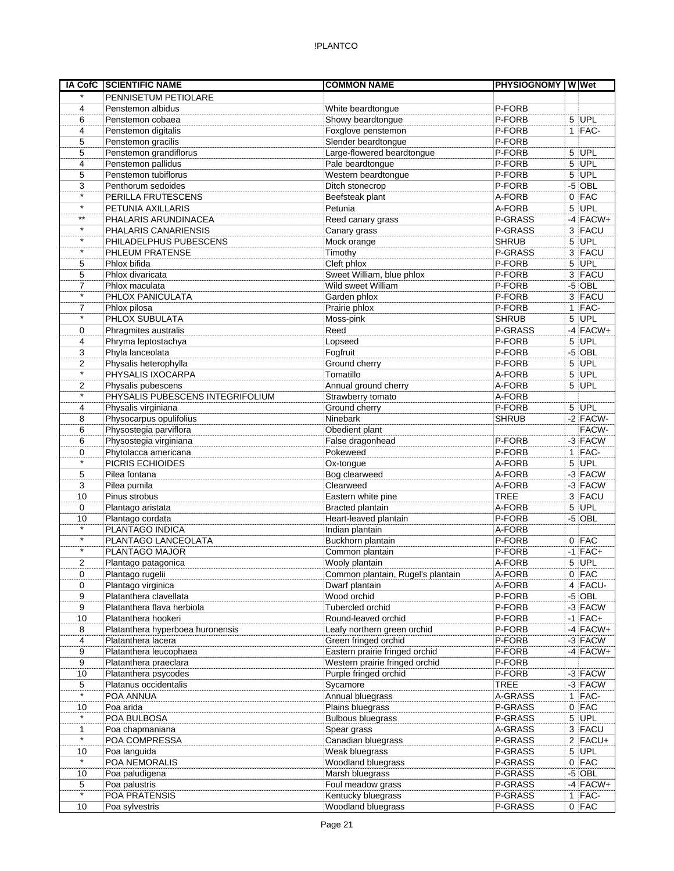| <b>IA CofC</b>                 | <b>SCIENTIFIC NAME</b>                        | <b>COMMON NAME</b>                                      | <b>PHYSIOGNOMY WWW</b> |   |            |
|--------------------------------|-----------------------------------------------|---------------------------------------------------------|------------------------|---|------------|
| $\star$                        | PENNISETUM PETIOLARE                          |                                                         |                        |   |            |
| 4                              | Penstemon albidus                             | White beardtongue                                       | P-FORB                 |   |            |
| 6                              | Penstemon cobaea                              | Showy beardtongue                                       | P-FORB                 |   | $5$ UPL    |
| 4                              | Penstemon digitalis                           | Foxglove penstemon                                      | P-FORB                 |   | $1$ FAC-   |
| 5                              | Penstemon gracilis                            | Slender beardtongue                                     | P-FORB                 |   |            |
| 5                              | Penstemon grandiflorus                        | Large-flowered beardtongue                              | P-FORB                 |   | $5$ UPL    |
| 4                              | Penstemon pallidus                            | Pale beardtongue                                        | P-FORB                 |   | $5$ UPL    |
| 5                              | Penstemon tubiflorus                          | Western beardtongue                                     | P-FORB                 |   | $5$ UPL    |
| 3                              | Penthorum sedoides                            | Ditch stonecrop                                         | P-FORB                 |   | $-5$ OBL   |
| $\star$                        | PERILLA FRUTESCENS                            | Beefsteak plant                                         | A-FORB                 |   | $0$ FAC    |
| $\star$                        | PETUNIA AXILLARIS                             | Petunia                                                 | A-FORB                 |   | $5$ UPL    |
| $***$                          | PHALARIS ARUNDINACEA                          | Reed canary grass                                       | P-GRASS                |   | $-4$ FACW+ |
| $\star$                        | PHALARIS CANARIENSIS                          | Canary grass                                            | P-GRASS                |   | 3 FACU     |
| $\star$                        | PHILADELPHUS PUBESCENS                        | Mock orange                                             | <b>SHRUB</b>           |   | $5$ UPL    |
| $^\star$                       | PHLEUM PRATENSE                               | Timothy                                                 | P-GRASS                |   | 3 FACU     |
| 5                              | Phlox bifida                                  | Cleft phlox                                             | P-FORB                 |   | $5$ UPL    |
| 5                              | Phlox divaricata                              | Sweet William, blue phlox                               | P-FORB                 |   | 3 FACU     |
| 7                              | Phlox maculata                                | Wild sweet William                                      | P-FORB                 |   | $-5$ OBL   |
| $\star$                        | PHLOX PANICULATA                              | Garden phlox                                            | P-FORB                 |   | 3 FACU     |
| $\overline{7}$                 | Phlox pilosa                                  | Prairie phlox                                           | P-FORB                 |   | $1$ FAC-   |
| $\star$                        | PHLOX SUBULATA                                | Moss-pink                                               | <b>SHRUB</b>           |   | 5 UPL      |
| 0                              | Phragmites australis                          | Reed                                                    | P-GRASS                |   | $-4$ FACW+ |
| 4                              | Phryma leptostachya                           | Lopseed                                                 | P-FORB                 | 5 | UPL        |
| 3                              | Phyla lanceolata                              | Fogfruit                                                | P-FORB                 |   | $-5$ OBL   |
| 2                              | Physalis heterophylla                         | Ground cherry                                           | P-FORB                 |   | $5$ UPL    |
| $\star$                        | PHYSALIS IXOCARPA                             | Tomatillo                                               | A-FORB                 | 5 | UPL        |
| $\overline{2}$                 | Physalis pubescens                            | Annual ground cherry                                    | A-FORB                 |   | $5$ UPL    |
|                                | PHYSALIS PUBESCENS INTEGRIFOLIUM              | Strawberry tomato                                       | A-FORB                 |   |            |
| 4                              | Physalis virginiana                           | Ground cherry                                           | P-FORB                 |   | $5$ UPL    |
| 8                              | Physocarpus opulifolius                       | Ninebark                                                | <b>SHRUB</b>           |   | $-2$ FACW- |
| 6                              | Physostegia parviflora                        | Obedient plant                                          |                        |   | FACW-      |
| 6                              | Physostegia virginiana                        | False dragonhead                                        | P-FORB                 |   | -3 FACW    |
| $\Omega$                       | Phytolacca americana                          | Pokeweed                                                | P-FORB                 |   | $1$ FAC-   |
| $\star$                        | PICRIS ECHIOIDES                              | Ox-tongue                                               | A-FORB                 |   | $5$ UPL    |
| 5                              | Pilea fontana                                 | Bog clearweed                                           | A-FORB                 |   | $-3$ FACW  |
| 3                              | Pilea pumila                                  | Clearweed                                               | A-FORB                 |   | $-3$ FACW  |
| 10                             | Pinus strobus                                 | Eastern white pine                                      | <b>TREE</b>            |   | 3 FACU     |
| $\mathbf 0$                    | Plantago aristata                             | Bracted plantain                                        | A-FORB                 |   | $5$ UPL    |
| 10                             | Plantago cordata                              | Heart-leaved plantain                                   | P-FORB                 |   | $-5$ OBL   |
| $\star$                        | PLANTAGO INDICA                               | Indian plantain                                         | A-FORB                 |   |            |
| $\star$                        | PLANTAGO LANCEOLATA                           | Buckhorn plantain                                       | P-FORB                 |   | $0$ FAC    |
| $\star$                        | PLANTAGO MAJOR                                | Common plantain                                         | P-FORB                 |   | $-1$ FAC+  |
| 2                              | Plantago patagonica                           | Wooly plantain                                          | A-FORB                 |   | $5$ UPL    |
|                                |                                               | Common plantain, Rugel's plantain                       |                        |   | $0$ FAC    |
| 0<br>0                         | Plantago rugelii<br>Plantago virginica        | Dwarf plantain                                          | A-FORB<br>A-FORB       |   | 4 FACU-    |
| 9                              | Platanthera clavellata                        | Wood orchid                                             | P-FORB                 |   | $-5$ OBL   |
| 9                              | Platanthera flava herbiola                    | Tubercled orchid                                        | P-FORB                 |   | $-3$ FACW  |
| 10                             | Platanthera hookeri                           | Round-leaved orchid                                     | P-FORB                 |   | $-1$ FAC+  |
| 8                              | Platanthera hyperboea huronensis              | Leafy northern green orchid                             | P-FORB                 |   | $-4$ FACW+ |
| 4                              | Platanthera lacera                            | Green fringed orchid                                    | P-FORB                 |   | $-3$ FACW  |
| 9                              | Platanthera leucophaea                        | Eastern prairie fringed orchid                          | P-FORB                 |   | $-4$ FACW+ |
| 9                              |                                               |                                                         | P-FORB                 |   |            |
|                                | Platanthera praeclara                         | Western prairie fringed orchid<br>Purple fringed orchid | P-FORB                 |   | $-3$ FACW  |
| 10<br>5                        | Platanthera psycodes<br>Platanus occidentalis | Sycamore                                                | <b>TREE</b>            |   | $-3$ FACW  |
| $\star$                        |                                               |                                                         | A-GRASS                |   | $1$ FAC-   |
|                                | POA ANNUA                                     | Annual bluegrass                                        | P-GRASS                |   | $0$ FAC    |
| 10<br>$\star$                  | Poa arida                                     | Plains bluegrass                                        |                        |   |            |
|                                | POA BULBOSA                                   | <b>Bulbous bluegrass</b>                                | P-GRASS                |   | $5$ UPL    |
| $\mathbf{1}$<br>$\star$        | Poa chapmaniana                               | Spear grass                                             | A-GRASS                |   | 3 FACU     |
|                                | POA COMPRESSA                                 | Canadian bluegrass                                      | P-GRASS                |   | $2$ FACU+  |
| 10<br>$\overline{\phantom{a}}$ | Poa languida                                  | Weak bluegrass                                          | P-GRASS                |   | $5$ UPL    |
|                                | POA NEMORALIS                                 | Woodland bluegrass                                      | P-GRASS                |   | $0$ FAC    |
| 10                             | Poa paludigena                                | Marsh bluegrass                                         | P-GRASS                |   | $-5$ OBL   |
| 5<br>$\star$                   | Poa palustris                                 | Foul meadow grass                                       | P-GRASS                |   | $-4$ FACW+ |
|                                | POA PRATENSIS                                 | Kentucky bluegrass                                      | P-GRASS                |   | $1$  FAC-  |
| 10                             | Poa sylvestris                                | Woodland bluegrass                                      | P-GRASS                |   | $0$ FAC    |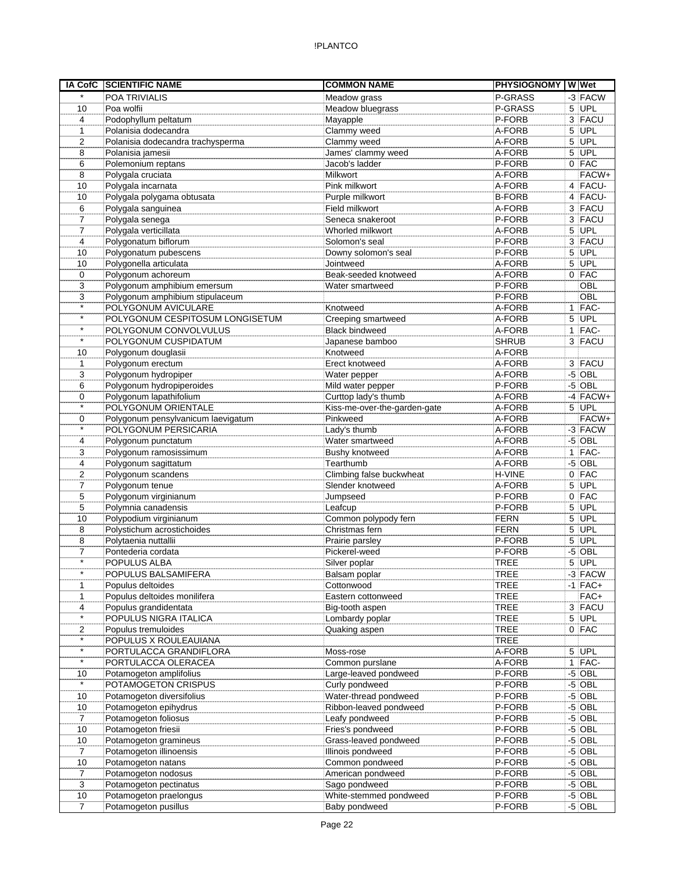| IA CofC        | <b>SCIENTIFIC NAME</b>             | <b>COMMON NAME</b>           | <b>PHYSIOGNOMY WWet</b> |              |            |
|----------------|------------------------------------|------------------------------|-------------------------|--------------|------------|
| $\star$        | <b>POA TRIVIALIS</b>               | Meadow grass                 | P-GRASS                 |              | -3 FACW    |
| 10             | Poa wolfii                         | Meadow bluegrass             | P-GRASS                 |              | $5$ UPL    |
| $\overline{4}$ | Podophyllum peltatum               | Mayapple                     | P-FORB                  |              | 3 FACU     |
| $\mathbf{1}$   | Polanisia dodecandra               | Clammy weed                  | A-FORB                  |              | $5$ UPL    |
| 2              | Polanisia dodecandra trachysperma  | Clammy weed                  | A-FORB                  | 5            | <b>UPL</b> |
| 8              | Polanisia jamesii                  | James' clammy weed           | A-FORB                  | 5            | UPL        |
| 6              | Polemonium reptans                 | Jacob's ladder               | P-FORB                  |              | $0$ FAC    |
| 8              | Polygala cruciata                  | Milkwort                     | A-FORB                  |              | FACW+      |
| 10             | Polygala incarnata                 | Pink milkwort                | A-FORB                  |              | 4 FACU-    |
| 10             | Polygala polygama obtusata         | Purple milkwort              | <b>B-FORB</b>           |              | $4$ FACU-  |
| 6              | Polygala sanguinea                 | Field milkwort               | A-FORB                  |              | 3 FACU     |
| $\overline{7}$ | Polygala senega                    | Seneca snakeroot             | P-FORB                  |              | 3 FACU     |
| $\overline{7}$ | Polygala verticillata              | Whorled milkwort             | A-FORB                  | 5            | UPL        |
| 4              | Polygonatum biflorum               | Solomon's seal               | P-FORB                  |              | 3 FACU     |
| 10             | Polygonatum pubescens              | Downy solomon's seal         | P-FORB                  |              | 5 UPL      |
| 10             | Polygonella articulata             | Jointweed                    | A-FORB                  | 5            | UPL        |
| 0              | Polygonum achoreum                 | Beak-seeded knotweed         | A-FORB                  |              | $0$ FAC    |
| 3              |                                    |                              | P-FORB                  |              | OBL        |
|                | Polygonum amphibium emersum        | Water smartweed              |                         |              |            |
| 3<br>$\star$   | Polygonum amphibium stipulaceum    |                              | P-FORB                  |              | OBL        |
| $\star$        | POLYGONUM AVICULARE                | Knotweed                     | A-FORB                  | $\mathbf{1}$ | FAC-       |
| $\star$        | POLYGONUM CESPITOSUM LONGISETUM    | Creeping smartweed           | A-FORB                  | 5            | <b>UPL</b> |
|                | POLYGONUM CONVOLVULUS              | <b>Black bindweed</b>        | A-FORB                  |              | $1$  FAC-  |
| $\star$        | POLYGONUM CUSPIDATUM               | Japanese bamboo              | <b>SHRUB</b>            |              | 3 FACU     |
| 10             | Polygonum douglasii                | Knotweed                     | A-FORB                  |              |            |
| $\mathbf{1}$   | Polygonum erectum                  | Erect knotweed               | A-FORB                  |              | 3 FACU     |
| 3              | Polygonum hydropiper               | Water pepper                 | A-FORB                  |              | $-5$ OBL   |
| 6              | Polygonum hydropiperoides          | Mild water pepper            | P-FORB                  |              | $-5$ OBL   |
| 0              | Polygonum lapathifolium            | Curttop lady's thumb         | A-FORB                  |              | $-4$ FACW+ |
| $\star$        | POLYGONUM ORIENTALE                | Kiss-me-over-the-garden-gate | A-FORB                  |              | $5$ UPL    |
| 0              | Polygonum pensylvanicum laevigatum | Pinkweed                     | A-FORB                  |              | FACW+      |
| $\star$        | POLYGONUM PERSICARIA               | Lady's thumb                 | A-FORB                  |              | $-3$ FACW  |
| 4              | Polygonum punctatum                | Water smartweed              | A-FORB                  |              | $-5$ OBL   |
| 3              | Polygonum ramosissimum             | Bushy knotweed               | A-FORB                  |              | $1$ FAC-   |
| 4              | Polygonum sagittatum               | Tearthumb                    | A-FORB                  |              | $-5$ OBL   |
| $\overline{2}$ | Polygonum scandens                 | Climbing false buckwheat     | H-VINE                  | 0            | FAC        |
| 7              | Polygonum tenue                    | Slender knotweed             | A-FORB                  | 5            | UPL        |
| 5              | Polygonum virginianum              | Jumpseed                     | P-FORB                  |              | $0$ FAC    |
| 5              | Polymnia canadensis                | Leafcup                      | P-FORB                  | 5            | UPL        |
| 10             | Polypodium virginianum             | Common polypody fern         | <b>FERN</b>             | 5            | UPL        |
| 8              | Polystichum acrostichoides         | Christmas fern               | <b>FERN</b>             | $\,$ 5 $\,$  | UPL        |
| 8              | Polytaenia nuttallii               | Prairie parsley              | P-FORB                  | 5            | UPL        |
| 7              | Pontederia cordata                 | Pickerel-weed                | P-FORB                  |              | $-5$ OBL   |
| $\star$        | POPULUS ALBA                       | Silver poplar                | TREE                    |              | $5$ UPL    |
|                | POPULUS BALSAMIFERA                | Balsam poplar                | <b>TREE</b>             |              | $-3$ FACW  |
| $\mathbf{1}$   | Populus deltoides                  | Cottonwood                   | <b>TREE</b>             |              | $-1$ FAC+  |
| 1              | Populus deltoides monilifera       | Eastern cottonweed           | <b>TREE</b>             |              | FAC+       |
| 4              | Populus grandidentata              |                              | <b>TREE</b>             |              | 3 FACU     |
| $\star$        |                                    | Big-tooth aspen              | <b>TREE</b>             |              |            |
|                | POPULUS NIGRA ITALICA              | Lombardy poplar              |                         |              | $5$ UPL    |
| 2<br>$\star$   | Populus tremuloides                | Quaking aspen                | <b>TREE</b>             |              | 0 FAC      |
| $\star$        | POPULUS X ROULEAUIANA              |                              | <b>TREE</b>             |              |            |
| $\star$        | PORTULACCA GRANDIFLORA             | Moss-rose                    | A-FORB                  |              | $5$ UPL    |
|                | PORTULACCA OLERACEA                | Common purslane              | A-FORB                  |              | $1$ FAC-   |
| 10             | Potamogeton amplifolius            | Large-leaved pondweed        | P-FORB                  |              | $-5$ OBL   |
| $\star$        | POTAMOGETON CRISPUS                | Curly pondweed               | P-FORB                  |              | $-5$ OBL   |
| 10             | Potamogeton diversifolius          | Water-thread pondweed        | P-FORB                  |              | $-5$ OBL   |
| 10             | Potamogeton epihydrus              | Ribbon-leaved pondweed       | P-FORB                  |              | $-5$ OBL   |
| $\overline{7}$ | Potamogeton foliosus               | Leafy pondweed               | P-FORB                  |              | $-5$ OBL   |
| 10             | Potamogeton friesii                | Fries's pondweed             | P-FORB                  |              | $-5$ OBL   |
| 10             | Potamogeton gramineus              | Grass-leaved pondweed        | P-FORB                  |              | $-5$ OBL   |
| $\overline{7}$ | Potamogeton illinoensis            | Illinois pondweed            | P-FORB                  |              | $-5$ OBL   |
| 10             | Potamogeton natans                 | Common pondweed              | P-FORB                  |              | $-5$ OBL   |
| 7              | Potamogeton nodosus                | American pondweed            | P-FORB                  |              | $-5$ OBL   |
| 3              | Potamogeton pectinatus             | Sago pondweed                | P-FORB                  |              | $-5$ OBL   |
| 10             | Potamogeton praelongus             | White-stemmed pondweed       | P-FORB                  |              | $-5$ OBL   |
| 7              | Potamogeton pusillus               | Baby pondweed                | P-FORB                  |              | $-5$ OBL   |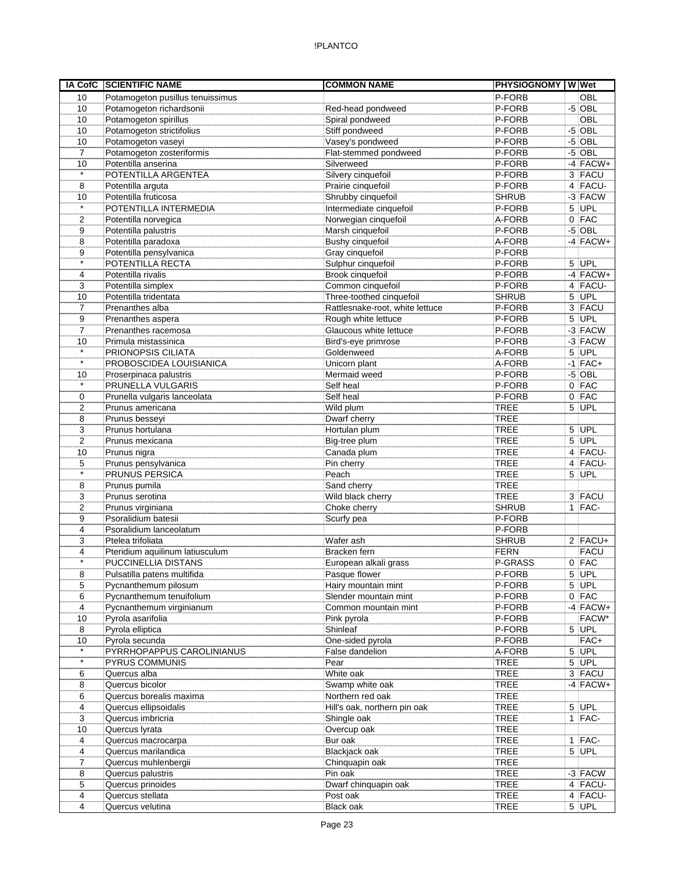| IA CofC        | <b>SCIENTIFIC NAME</b>           | <b>COMMON NAME</b>              | <b>PHYSIOGNOMY WWet</b> |   |             |
|----------------|----------------------------------|---------------------------------|-------------------------|---|-------------|
| 10             | Potamogeton pusillus tenuissimus |                                 | P-FORB                  |   | <b>OBL</b>  |
| 10             | Potamogeton richardsonii         | Red-head pondweed               | P-FORB                  |   | $-5$ OBL    |
| 10             | Potamogeton spirillus            | Spiral pondweed                 | P-FORB                  |   | OBL         |
| 10             | Potamogeton strictifolius        | Stiff pondweed                  | P-FORB                  |   | $-5$ OBL    |
| 10             | Potamogeton vaseyi               | Vasey's pondweed                | P-FORB                  |   | $-5$ OBL    |
| $\overline{7}$ | Potamogeton zosteriformis        | Flat-stemmed pondweed           | P-FORB                  |   | $-5$ OBL    |
| 10             | Potentilla anserina              | Silverweed                      | P-FORB                  |   | $-4$ FACW+  |
| $\star$        | POTENTILLA ARGENTEA              | Silvery cinquefoil              | P-FORB                  |   | 3 FACU      |
| 8              | Potentilla arguta                | Prairie cinquefoil              | P-FORB                  |   | 4 FACU-     |
| 10             | Potentilla fruticosa             | Shrubby cinquefoil              | <b>SHRUB</b>            |   | $-3$ FACW   |
| $\star$        | POTENTILLA INTERMEDIA            | Intermediate cinquefoil         | P-FORB                  |   | 5 UPL       |
| $\overline{2}$ | Potentilla norvegica             | Norwegian cinquefoil            | A-FORB                  |   | $0$ FAC     |
| 9              | Potentilla palustris             | Marsh cinquefoil                | P-FORB                  |   | $-5$ OBL    |
| 8              | Potentilla paradoxa              | Bushy cinquefoil                | A-FORB                  |   | $-4$ FACW+  |
| 9              | Potentilla pensylvanica          | Gray cinquefoil                 | P-FORB                  |   |             |
| $\star$        | POTENTILLA RECTA                 | Sulphur cinquefoil              | P-FORB                  |   | $5$ UPL     |
| 4              | Potentilla rivalis               | Brook cinquefoil                | P-FORB                  |   | $-4$ FACW+  |
| 3              | Potentilla simplex               | Common cinquefoil               | P-FORB                  |   | 4 FACU-     |
| 10             | Potentilla tridentata            | Three-toothed cinquefoil        | <b>SHRUB</b>            |   | $5$ UPL     |
| $\overline{7}$ | Prenanthes alba                  | Rattlesnake-root, white lettuce | P-FORB                  |   | $3$ FACU    |
| 9              | Prenanthes aspera                | Rough white lettuce             | P-FORB                  |   | $5$ UPL     |
| $\overline{7}$ | Prenanthes racemosa              | Glaucous white lettuce          | P-FORB                  |   | $-3$ FACW   |
| 10             | Primula mistassinica             | Bird's-eye primrose             | P-FORB                  |   | -3 FACW     |
| $\star$        | PRIONOPSIS CILIATA               | Goldenweed                      | A-FORB                  |   | $5$ UPL     |
| $\star$        | PROBOSCIDEA LOUISIANICA          | Unicorn plant                   | A-FORB                  |   | $-1$ FAC+   |
| 10             | Proserpinaca palustris           | Mermaid weed                    | P-FORB                  |   | $-5$ OBL    |
| $^\star$       | PRUNELLA VULGARIS                | Self heal                       | P-FORB                  |   | $0$ FAC     |
| $\mathbf 0$    | Prunella vulgaris lanceolata     | Self heal                       | P-FORB                  |   | $0$ FAC     |
| 2              | Prunus americana                 | Wild plum                       | <b>TREE</b>             | 5 | UPL         |
| 8              | Prunus besseyi                   | Dwarf cherry                    | <b>TREE</b>             |   |             |
| 3              | Prunus hortulana                 | Hortulan plum                   | <b>TREE</b>             |   | $5$ UPL     |
| $\overline{2}$ | Prunus mexicana                  | Big-tree plum                   | <b>TREE</b>             |   | $5$ UPL     |
| 10             | Prunus nigra                     | Canada plum                     | <b>TREE</b>             |   | $4$ FACU-   |
| 5              | Prunus pensylvanica              | Pin cherry                      | <b>TREE</b>             |   | $4$ FACU-   |
| $\star$        | PRUNUS PERSICA                   | Peach                           | <b>TREE</b>             |   | $5$ UPL     |
| 8              | Prunus pumila                    | Sand cherry                     | <b>TREE</b>             |   |             |
| 3              | Prunus serotina                  | Wild black cherry               | <b>TREE</b>             |   | 3 FACU      |
| $\overline{2}$ | Prunus virginiana                | Choke cherry                    | <b>SHRUB</b>            |   | $1$  FAC-   |
| 9              | Psoralidium batesii              | Scurfy pea                      | P-FORB                  |   |             |
| 4              | Psoralidium lanceolatum          |                                 | P-FORB                  |   |             |
| 3              | Ptelea trifoliata                | Wafer ash                       | <b>SHRUB</b>            |   | $2$ FACU+   |
| 4              | Pteridium aquilinum latiusculum  | Bracken fern                    | <b>FERN</b>             |   | <b>FACU</b> |
| $\star$        | <b>PUCCINELLIA DISTANS</b>       | European alkali grass           | P-GRASS                 |   | $0$ FAC     |
| 8              | Pulsatilla patens multifida      | Pasque flower                   | P-FORB                  |   | $5$ UPL     |
| 5              | Pycnanthemum pilosum             | Hairy mountain mint             | P-FORB                  |   | $5$ UPL     |
| 6              | Pycnanthemum tenuifolium         | Slender mountain mint           | P-FORB                  |   | $0$ FAC     |
| 4              | Pycnanthemum virginianum         | Common mountain mint            | P-FORB                  |   | $-4$ FACW+  |
| 10             | Pyrola asarifolia                | Pink pyrola                     | P-FORB                  |   | FACW*       |
| 8              | Pyrola elliptica                 | Shinleaf                        | P-FORB                  |   | 5 UPL       |
| 10             | Pyrola secunda                   | One-sided pyrola                | P-FORB                  |   | FAC+        |
| $\star$        | PYRRHOPAPPUS CAROLINIANUS        | False dandelion                 | A-FORB                  |   | $5$ UPL     |
| $\star$        | PYRUS COMMUNIS                   | Pear                            | <b>TREE</b>             |   | $5$ UPL     |
| 6              | Quercus alba                     | White oak                       | <b>TREE</b>             |   | 3 FACU      |
| 8              | Quercus bicolor                  | Swamp white oak                 | <b>TREE</b>             |   | $-4$ FACW+  |
| 6              | Quercus borealis maxima          | Northern red oak                | <b>TREE</b>             |   |             |
| 4              | Quercus ellipsoidalis            | Hill's oak, northern pin oak    | <b>TREE</b>             |   | $5$ UPL     |
| 3              | Quercus imbricria                | Shingle oak                     | <b>TREE</b>             |   | $1$ FAC-    |
| 10             | Quercus lyrata                   | Overcup oak                     | <b>TREE</b>             |   |             |
| 4              | Quercus macrocarpa               | Bur oak                         | <b>TREE</b>             |   | $1$  FAC-   |
| 4              | Quercus marilandica              | Blackjack oak                   | <b>TREE</b>             |   | $5$ UPL     |
| 7              | Quercus muhlenbergii             | Chinquapin oak                  | <b>TREE</b>             |   |             |
| 8              | Quercus palustris                | Pin oak                         | <b>TREE</b>             |   | $-3$ FACW   |
| 5              | Quercus prinoides                | Dwarf chinquapin oak            | <b>TREE</b>             |   | 4 FACU-     |
| 4              | Quercus stellata                 | Post oak                        | <b>TREE</b>             |   | 4 FACU-     |
| 4              | Quercus velutina                 | Black oak                       | <b>TREE</b>             |   | $5$ UPL     |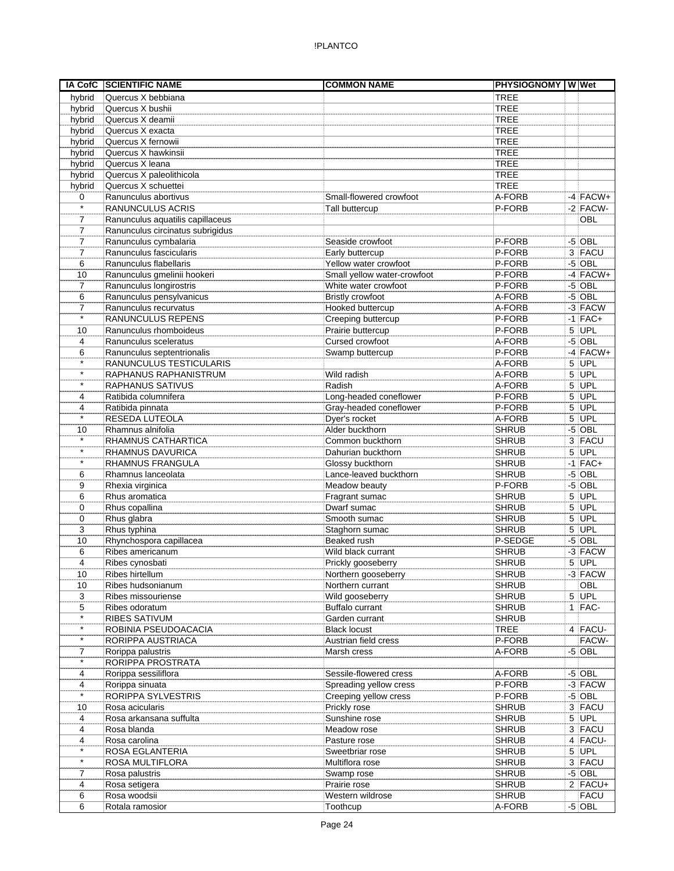| <b>IA CofC</b> | <b>SCIENTIFIC NAME</b>           | <b>COMMON NAME</b>          | <b>PHYSIOGNOMY WWet</b> |             |
|----------------|----------------------------------|-----------------------------|-------------------------|-------------|
| hybrid         | Quercus X bebbiana               |                             | <b>TREE</b>             |             |
| hybrid         | Quercus X bushii                 |                             | <b>TREE</b>             |             |
| hybrid         | Quercus X deamii                 |                             | <b>TREE</b>             |             |
| hybrid         | Quercus X exacta                 |                             | <b>TREE</b>             |             |
| hybrid         | Quercus X fernowii               |                             | <b>TREE</b>             |             |
| hybrid         | Quercus X hawkinsii              |                             | <b>TREE</b>             |             |
| hybrid         | Quercus X leana                  |                             | <b>TREE</b>             |             |
| hybrid         | Quercus X paleolithicola         |                             | <b>TREE</b>             |             |
| hybrid         | Quercus X schuettei              |                             | <b>TREE</b>             |             |
| 0              | Ranunculus abortivus             | Small-flowered crowfoot     | A-FORB                  | $-4$ FACW+  |
| $\star$        | RANUNCULUS ACRIS                 | Tall buttercup              | P-FORB                  | $-2$ FACW-  |
| 7              | Ranunculus aquatilis capillaceus |                             |                         | OBL         |
| $\overline{7}$ | Ranunculus circinatus subrigidus |                             |                         |             |
| 7              | Ranunculus cymbalaria            | Seaside crowfoot            | P-FORB                  | $-5$ OBL    |
| 7              | Ranunculus fascicularis          | Early buttercup             | P-FORB                  | 3 FACU      |
| 6              | Ranunculus flabellaris           | Yellow water crowfoot       | P-FORB                  | $-5$ OBL    |
| 10             | Ranunculus gmelinii hookeri      | Small yellow water-crowfoot | P-FORB                  | $-4$ FACW+  |
| $\overline{7}$ | Ranunculus longirostris          | White water crowfoot        | P-FORB                  | $-5$ OBL    |
| 6              | Ranunculus pensylvanicus         | <b>Bristly crowfoot</b>     | A-FORB                  | $-5$ OBL    |
| 7              | Ranunculus recurvatus            | Hooked buttercup            | A-FORB                  | $-3$ FACW   |
|                | RANUNCULUS REPENS                | Creeping buttercup          | P-FORB                  | $-1$ FAC+   |
| 10             | Ranunculus rhomboideus           | Prairie buttercup           | P-FORB                  | $5$ UPL     |
| 4              | Ranunculus sceleratus            | Cursed crowfoot             | A-FORB                  | $-5$ OBL    |
| 6              | Ranunculus septentrionalis       | Swamp buttercup             | P-FORB                  | $-4$ FACW+  |
| $\star$        | RANUNCULUS TESTICULARIS          |                             | A-FORB                  | $5$ UPL     |
| $\star$        | RAPHANUS RAPHANISTRUM            | Wild radish                 | A-FORB                  | $5$ UPL     |
| $\star$        | <b>RAPHANUS SATIVUS</b>          | Radish                      | A-FORB                  | 5 UPL       |
| 4              | Ratibida columnifera             | Long-headed coneflower      | P-FORB                  | $5$ UPL     |
| 4              | Ratibida pinnata                 | Gray-headed coneflower      | P-FORB                  | $5$ UPL     |
| $\star$        | RESEDA LUTEOLA                   | Dyer's rocket               | A-FORB                  | 5 UPL       |
| 10             | Rhamnus alnifolia                | Alder buckthorn             | <b>SHRUB</b>            | $-5$ OBL    |
| $\star$        | RHAMNUS CATHARTICA               | Common buckthorn            | <b>SHRUB</b>            | 3 FACU      |
| $\star$        | RHAMNUS DAVURICA                 | Dahurian buckthorn          | <b>SHRUB</b>            | $5$ UPL     |
| $\star$        | RHAMNUS FRANGULA                 | Glossy buckthorn            | <b>SHRUB</b>            | $-1$ FAC+   |
| 6              | Rhamnus lanceolata               | Lance-leaved buckthorn      | <b>SHRUB</b>            | $-5$ OBL    |
| 9              | Rhexia virginica                 | Meadow beauty               | P-FORB                  | $-5$ OBL    |
| 6              | Rhus aromatica                   | Fragrant sumac              | <b>SHRUB</b>            | $5$ UPL     |
| 0              | Rhus copallina                   | Dwarf sumac                 | <b>SHRUB</b>            | $5$ UPL     |
| 0              | Rhus glabra                      | Smooth sumac                | <b>SHRUB</b>            | $5$ UPL     |
| 3              | Rhus typhina                     | Staghorn sumac              | <b>SHRUB</b>            | $5$ UPL     |
| 10             | Rhynchospora capillacea          | Beaked rush                 | P-SEDGE                 | $-5$ OBL    |
| 6              | Ribes americanum                 | Wild black currant          | <b>SHRUB</b>            | -3 FACW     |
| 4              | Ribes cynosbati                  | Prickly gooseberry          | <b>SHRUB</b>            | $5$ UPL     |
| 10             | Ribes hirtellum                  | Northern gooseberry         | <b>SHRUB</b>            | $-3$ FACW   |
| 10             | Ribes hudsonianum                | Northern currant            | <b>SHRUB</b>            | <b>OBL</b>  |
| 3              | Ribes missouriense               | Wild gooseberry             | <b>SHRUB</b>            | $5$ UPL     |
| 5              | Ribes odoratum                   | Buffalo currant             | <b>SHRUB</b>            | $1$ FAC-    |
| $\star$        | <b>RIBES SATIVUM</b>             | Garden currant              | <b>SHRUB</b>            |             |
| $\star$        | ROBINIA PSEUDOACACIA             | <b>Black locust</b>         | <b>TREE</b>             | 4 FACU-     |
| $\star$        | RORIPPA AUSTRIACA                | Austrian field cress        | P-FORB                  | FACW-       |
| $\overline{7}$ | Rorippa palustris                | Marsh cress                 | A-FORB                  | $-5$ OBL    |
|                | RORIPPA PROSTRATA                |                             |                         |             |
| 4              | Rorippa sessiliflora             | Sessile-flowered cress      | A-FORB                  | $-5$ OBL    |
| 4              | Rorippa sinuata                  | Spreading yellow cress      | P-FORB                  | $-3$ FACW   |
| $\star$        | RORIPPA SYLVESTRIS               | Creeping yellow cress       | P-FORB                  | $-5$ OBL    |
| 10             | Rosa acicularis                  | Prickly rose                | <b>SHRUB</b>            | 3 FACU      |
| 4              | Rosa arkansana suffulta          | Sunshine rose               | <b>SHRUB</b>            | $5$ UPL     |
| 4              | Rosa blanda                      | Meadow rose                 | <b>SHRUB</b>            | 3 FACU      |
| 4              | Rosa carolina                    | Pasture rose                | <b>SHRUB</b>            | 4 FACU-     |
| $\star$        | ROSA EGLANTERIA                  | Sweetbriar rose             | <b>SHRUB</b>            | $5$ UPL     |
| $\star$        | ROSA MULTIFLORA                  | Multiflora rose             | <b>SHRUB</b>            | 3 FACU      |
| 7              | Rosa palustris                   | Swamp rose                  | <b>SHRUB</b>            | $-5$ OBL    |
| 4              | Rosa setigera                    | Prairie rose                | <b>SHRUB</b>            | $2$ FACU+   |
| 6              | Rosa woodsii                     | Western wildrose            | <b>SHRUB</b>            | <b>FACU</b> |
| 6              | Rotala ramosior                  | Toothcup                    | A-FORB                  | $-5$ OBL    |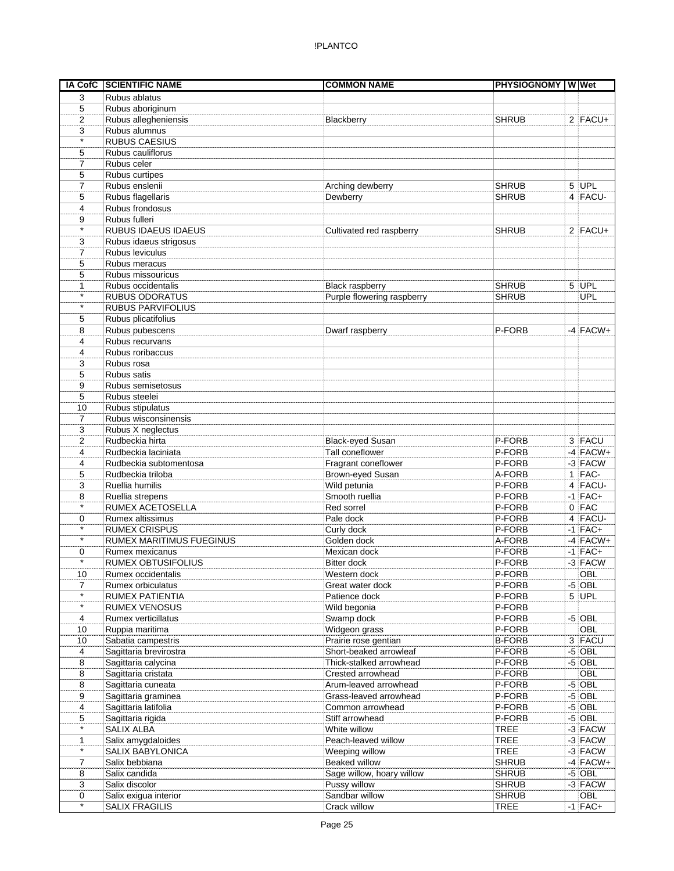|                | IA CofC SCIENTIFIC NAME                     | <b>COMMON NAME</b>               | <b>PHYSIOGNOMY WWW</b> |                       |
|----------------|---------------------------------------------|----------------------------------|------------------------|-----------------------|
| 3              | Rubus ablatus                               |                                  |                        |                       |
| 5              | Rubus aboriginum                            |                                  |                        |                       |
| $\overline{2}$ | Rubus allegheniensis                        | Blackberry                       | <b>SHRUB</b>           | $2$ FACU+             |
| 3              | Rubus alumnus                               |                                  |                        |                       |
| $\star$        | <b>RUBUS CAESIUS</b>                        |                                  |                        |                       |
| 5              | Rubus cauliflorus                           |                                  |                        |                       |
| 7              | Rubus celer                                 |                                  |                        |                       |
| 5              | Rubus curtipes                              |                                  |                        |                       |
| 7              | Rubus enslenii                              | Arching dewberry                 | <b>SHRUB</b>           | $5$ UPL               |
| 5              | Rubus flagellaris                           | Dewberry                         | <b>SHRUB</b>           | 4 FACU-               |
| 4              | Rubus frondosus                             |                                  |                        |                       |
| 9              | Rubus fulleri                               |                                  |                        |                       |
| $\star$        | <b>RUBUS IDAEUS IDAEUS</b>                  | Cultivated red raspberry         | <b>SHRUB</b>           | $2$ FACU+             |
| 3              | Rubus idaeus strigosus                      |                                  |                        |                       |
| 7              | Rubus leviculus                             |                                  |                        |                       |
| 5              | Rubus meracus                               |                                  |                        |                       |
| 5              | Rubus missouricus                           |                                  |                        |                       |
| 1              | Rubus occidentalis                          | <b>Black raspberry</b>           | <b>SHRUB</b>           | 5 UPL                 |
| $\star$        | <b>RUBUS ODORATUS</b>                       | Purple flowering raspberry       | <b>SHRUB</b>           | <b>UPL</b>            |
| $\star$        | <b>RUBUS PARVIFOLIUS</b>                    |                                  |                        |                       |
| 5              | Rubus plicatifolius                         |                                  |                        |                       |
| 8              | Rubus pubescens                             | Dwarf raspberry                  | P-FORB                 | $-4$ FACW+            |
| 4              | Rubus recurvans                             |                                  |                        |                       |
| 4              | Rubus roribaccus                            |                                  |                        |                       |
| 3              | Rubus rosa                                  |                                  |                        |                       |
| 5              | Rubus satis                                 |                                  |                        |                       |
| 9              | Rubus semisetosus                           |                                  |                        |                       |
| 5              | Rubus steelei                               |                                  |                        |                       |
| 10             | Rubus stipulatus                            |                                  |                        |                       |
| 7              | Rubus wisconsinensis                        |                                  |                        |                       |
| 3              | Rubus X neglectus                           |                                  |                        |                       |
| 2              | Rudbeckia hirta                             | <b>Black-eyed Susan</b>          | P-FORB                 | 3 FACU                |
| 4              | Rudbeckia laciniata                         | Tall coneflower                  | P-FORB                 | $-4$ FACW+            |
| 4              | Rudbeckia subtomentosa                      | Fragrant coneflower              | P-FORB                 | $-3$ FACW<br>$1$ FAC- |
| 5              | Rudbeckia triloba<br>Ruellia humilis        | Brown-eyed Susan<br>Wild petunia | A-FORB<br>P-FORB       | $4$ FACU-             |
| 3<br>8         |                                             | Smooth ruellia                   | P-FORB                 | $-1$ FAC+             |
| $^\star$       | Ruellia strepens<br><b>RUMEX ACETOSELLA</b> | Red sorrel                       | P-FORB                 | $0$ FAC               |
| 0              | Rumex altissimus                            | Pale dock                        | P-FORB                 | $4$ FACU-             |
| $\star$        | <b>RUMEX CRISPUS</b>                        | Curly dock                       | P-FORB                 | $-1$ FAC+             |
| $\star$        | <b>RUMEX MARITIMUS FUEGINUS</b>             | Golden dock                      | A-FORB                 | $-4$ FACW+            |
| 0              | Rumex mexicanus                             | Mexican dock                     | P-FORB                 | $-1$ FAC+             |
| $\star$        | <b>RUMEX OBTUSIFOLIUS</b>                   | <b>Bitter dock</b>               | P-FORB                 | $-3$ FACW             |
| 10             | Rumex occidentalis                          | Western dock                     | P-FORB                 | OBL                   |
| $\overline{7}$ | Rumex orbiculatus                           | Great water dock                 | P-FORB                 | $-5$ OBL              |
|                | RUMEX PATIENTIA                             | Patience dock                    | P-FORB                 | $5$ UPL               |
| $\star$        | <b>RUMEX VENOSUS</b>                        | Wild begonia                     | P-FORB                 |                       |
| 4              | Rumex verticillatus                         | Swamp dock                       | P-FORB                 | $-5$ OBL              |
| 10             | Ruppia maritima                             | Widgeon grass                    | P-FORB                 | OBL                   |
| 10             | Sabatia campestris                          | Prairie rose gentian             | <b>B-FORB</b>          | 3 FACU                |
| 4              | Sagittaria brevirostra                      | Short-beaked arrowleaf           | P-FORB                 | $-5$ OBL              |
| 8              | Sagittaria calycina                         | Thick-stalked arrowhead          | P-FORB                 | $-5$ OBL              |
| 8              | Sagittaria cristata                         | Crested arrowhead                | P-FORB                 | OBL                   |
| 8              | Sagittaria cuneata                          | Arum-leaved arrowhead            | P-FORB                 | $-5$ OBL              |
| 9              | Sagittaria graminea                         | Grass-leaved arrowhead           | P-FORB                 | $-5$ OBL              |
| 4              | Sagittaria latifolia                        | Common arrowhead                 | P-FORB                 | $-5$ OBL              |
| 5              | Sagittaria rigida                           | Stiff arrowhead                  | P-FORB                 | $-5$ OBL              |
| $\star$        | SALIX ALBA                                  | White willow                     | TREE                   | $-3$ FACW             |
| 1              | Salix amygdaloides                          | Peach-leaved willow              | <b>TREE</b>            | $-3$ FACW             |
| $\star$        | SALIX BABYLONICA                            | Weeping willow                   | <b>TREE</b>            | $-3$ FACW             |
| 7              | Salix bebbiana                              | <b>Beaked willow</b>             | <b>SHRUB</b>           | $-4$ FACW+            |
| 8              | Salix candida                               | Sage willow, hoary willow        | <b>SHRUB</b>           | $-5$ OBL              |
| 3              | Salix discolor                              | Pussy willow                     | <b>SHRUB</b>           | $-3$ FACW             |
| 0              | Salix exigua interior                       | Sandbar willow                   | <b>SHRUB</b>           | OBL                   |
| $\star$        | <b>SALIX FRAGILIS</b>                       | Crack willow                     | <b>TREE</b>            | $-1$ FAC+             |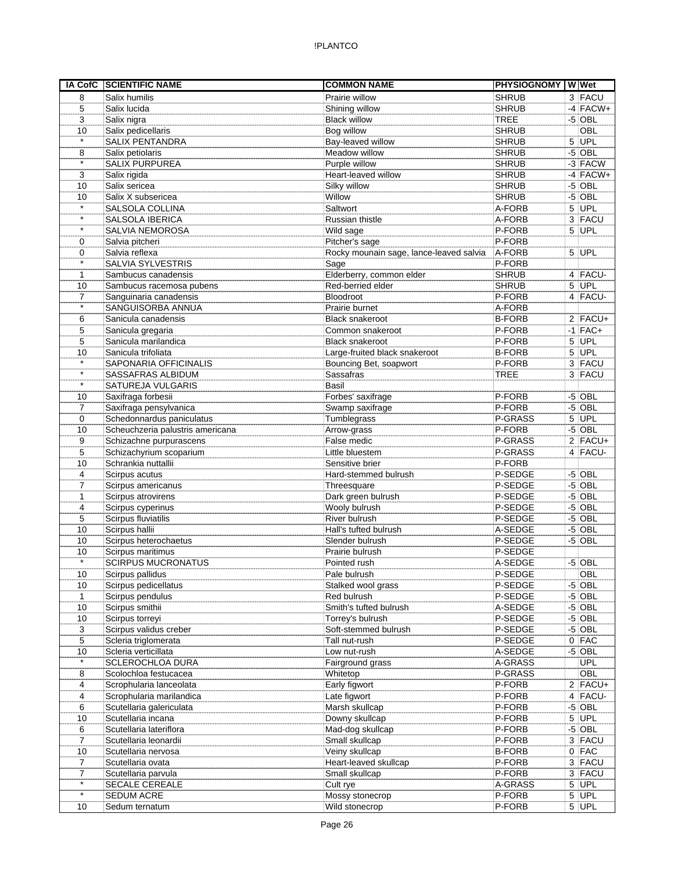| IA CofC                  | <b>SCIENTIFIC NAME</b>                   | <b>COMMON NAME</b>                              | <b>PHYSIOGNOMY WWW</b> |                      |
|--------------------------|------------------------------------------|-------------------------------------------------|------------------------|----------------------|
| 8                        | Salix humilis                            | Prairie willow                                  | <b>SHRUB</b>           | 3 FACU               |
| 5                        | Salix lucida                             | Shining willow                                  | <b>SHRUB</b>           | $-4$ FACW+           |
| 3                        | Salix nigra                              | <b>Black willow</b>                             | <b>TREE</b>            | $-5$ OBL             |
| 10                       | Salix pedicellaris                       | Bog willow                                      | <b>SHRUB</b>           | OBL                  |
| $\star$                  | <b>SALIX PENTANDRA</b>                   | Bay-leaved willow                               | <b>SHRUB</b>           | 5 UPL                |
| 8                        | Salix petiolaris                         | Meadow willow                                   | <b>SHRUB</b>           | $-5$ OBL             |
| $\star$                  | SALIX PURPUREA                           | Purple willow                                   | <b>SHRUB</b>           | -3 FACW              |
| 3                        | Salix rigida                             | Heart-leaved willow                             | <b>SHRUB</b>           | $-4$ FACW+           |
| 10                       | Salix sericea                            | Silky willow                                    | <b>SHRUB</b>           | $-5$ OBL             |
| 10<br>$\star$            | Salix X subsericea                       | Willow                                          | <b>SHRUB</b>           | $-5$ OBL             |
| $\star$                  | SALSOLA COLLINA                          | Saltwort                                        | A-FORB                 | $5$ UPL              |
| $\star$                  | SALSOLA IBERICA                          | Russian thistle                                 | A-FORB                 | 3 FACU               |
|                          | SALVIA NEMOROSA                          | Wild sage                                       | P-FORB<br>P-FORB       | $5$ UPL              |
| 0<br>0                   | Salvia pitcheri<br>Salvia reflexa        | Pitcher's sage                                  | A-FORB                 | $5$ UPL              |
| $\star$                  | SALVIA SYLVESTRIS                        | Rocky mounain sage, lance-leaved salvia<br>Sage | P-FORB                 |                      |
| $\mathbf{1}$             | Sambucus canadensis                      | Elderberry, common elder                        | <b>SHRUB</b>           | 4 FACU-              |
| 10                       | Sambucus racemosa pubens                 | Red-berried elder                               | <b>SHRUB</b>           | $5$ UPL              |
| $\overline{7}$           | Sanguinaria canadensis                   | Bloodroot                                       | P-FORB                 | $4$ FACU-            |
| $\star$                  | SANGUISORBA ANNUA                        | Prairie burnet                                  | A-FORB                 |                      |
| 6                        | Sanicula canadensis                      | <b>Black snakeroot</b>                          | <b>B-FORB</b>          | $2$ FACU+            |
| 5                        | Sanicula gregaria                        | Common snakeroot                                | P-FORB                 | $-1$ FAC+            |
| 5                        | Sanicula marilandica                     | <b>Black snakeroot</b>                          | P-FORB                 | $5$ UPL              |
| 10                       | Sanicula trifoliata                      | Large-fruited black snakeroot                   | <b>B-FORB</b>          | $5$ UPL              |
| $\star$                  | SAPONARIA OFFICINALIS                    | Bouncing Bet, soapwort                          | P-FORB                 | 3 FACU               |
| $\overline{\phantom{a}}$ | SASSAFRAS ALBIDUM                        | Sassafras                                       | <b>TREE</b>            | 3 FACU               |
| $\star$                  | SATUREJA VULGARIS                        | Basil                                           |                        |                      |
| 10                       | Saxifraga forbesii                       | Forbes' saxifrage                               | P-FORB                 | $-5$ OBL             |
| $\overline{7}$           | Saxifraga pensylvanica                   | Swamp saxifrage                                 | P-FORB                 | $-5$ OBL             |
| 0                        | Schedonnardus paniculatus                | Tumblegrass                                     | P-GRASS                | 5 UPL                |
| 10                       | Scheuchzeria palustris americana         | Arrow-grass                                     | P-FORB                 | $-5$ OBL             |
| 9                        | Schizachne purpurascens                  | False medic                                     | P-GRASS                | $2$ FACU+            |
| 5                        | Schizachyrium scoparium                  | Little bluestem                                 | P-GRASS                | 4 FACU-              |
| 10                       | Schrankia nuttallii                      | Sensitive brier                                 | P-FORB                 |                      |
| 4                        | Scirpus acutus                           | Hard-stemmed bulrush                            | P-SEDGE                | $-5$ OBL             |
| 7                        | Scirpus americanus                       | Threesquare                                     | P-SEDGE                | $-5$ OBL             |
| $\mathbf{1}$             | Scirpus atrovirens                       | Dark green bulrush                              | P-SEDGE                | $-5$ OBL             |
| 4                        | Scirpus cyperinus                        | Wooly bulrush                                   | P-SEDGE                | $-5$ OBL             |
| 5                        | Scirpus fluviatilis                      | River bulrush                                   | P-SEDGE                | $-5$ OBL             |
| 10                       | Scirpus hallii                           | Hall's tufted bulrush                           | A-SEDGE                | $-5$ OBL             |
| 10                       | Scirpus heterochaetus                    | Slender bulrush                                 | P-SEDGE                | $-5$ OBL             |
| 10<br>$\star$            | Scirpus maritimus                        | Prairie bulrush                                 | P-SEDGE                |                      |
|                          | <b>SCIRPUS MUCRONATUS</b>                | Pointed rush                                    | A-SEDGE                | $-5$ OBL             |
| 10                       | Scirpus pallidus                         | Pale bulrush                                    | P-SEDGE                | OBL                  |
| 10                       | Scirpus pedicellatus<br>Scirpus pendulus | Stalked wool grass<br>Red bulrush               | P-SEDGE<br>P-SEDGE     | $-5$ OBL<br>$-5$ OBL |
| 1<br>10                  | Scirpus smithii                          | Smith's tufted bulrush                          | A-SEDGE                | $-5$ OBL             |
| 10                       | Scirpus torreyi                          | Torrey's bulrush                                | P-SEDGE                | $-5$ OBL             |
| 3                        | Scirpus validus creber                   | Soft-stemmed bulrush                            | P-SEDGE                | $-5$ OBL             |
| $\,$ 5 $\,$              | Scleria triglomerata                     | Tall nut-rush                                   | P-SEDGE                | $0$ FAC              |
| 10                       | Scleria verticillata                     | Low nut-rush                                    | A-SEDGE                | $-5$ OBL             |
|                          | <b>SCLEROCHLOA DURA</b>                  | Fairground grass                                | A-GRASS                | <b>UPL</b>           |
| 8                        | Scolochloa festucacea                    | Whitetop                                        | P-GRASS                | OBL                  |
| 4                        | Scrophularia lanceolata                  | Early figwort                                   | P-FORB                 | $2$ FACU+            |
| 4                        | Scrophularia marilandica                 | Late figwort                                    | P-FORB                 | $4$ FACU-            |
| 6                        | Scutellaria galericulata                 | Marsh skullcap                                  | P-FORB                 | $-5$ OBL             |
| 10                       | Scutellaria incana                       | Downy skullcap                                  | P-FORB                 | $5$ UPL              |
| 6                        | Scutellaria lateriflora                  | Mad-dog skullcap                                | P-FORB                 | $-5$ OBL             |
| 7                        | Scutellaria leonardii                    | Small skullcap                                  | P-FORB                 | 3 FACU               |
| 10                       | Scutellaria nervosa                      | Veiny skullcap                                  | <b>B-FORB</b>          | $0$ FAC              |
| 7                        | Scutellaria ovata                        | Heart-leaved skullcap                           | P-FORB                 | 3 FACU               |
| $\overline{7}$           | Scutellaria parvula                      | Small skullcap                                  | P-FORB                 | 3 FACU               |
| $\star$                  | SECALE CEREALE                           | Cult rye                                        | A-GRASS                | $5$ UPL              |
| $\star$                  | SEDUM ACRE                               | Mossy stonecrop                                 | P-FORB                 | $5$ UPL              |
| 10                       | Sedum ternatum                           | Wild stonecrop                                  | P-FORB                 | $5$ UPL              |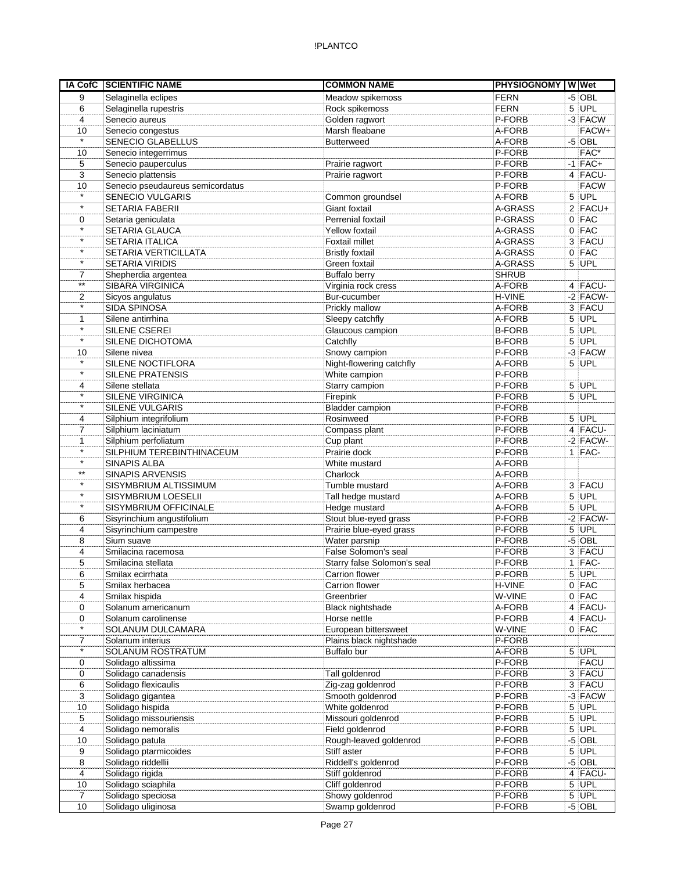|                         | IA CofC SCIENTIFIC NAME                  | <b>COMMON NAME</b>                     | <b>PHYSIOGNOMY WWet</b> |                     |
|-------------------------|------------------------------------------|----------------------------------------|-------------------------|---------------------|
| 9                       | Selaginella eclipes                      | Meadow spikemoss                       | <b>FERN</b>             | $-5$ OBL            |
| 6                       | Selaginella rupestris                    | Rock spikemoss                         | <b>FERN</b>             | $5$ UPL             |
| 4                       | Senecio aureus                           | Golden ragwort                         | P-FORB                  | $-3$ FACW           |
| 10                      | Senecio congestus                        | Marsh fleabane                         | A-FORB                  | FACW+               |
| $\star$                 | SENECIO GLABELLUS                        | <b>Butterweed</b>                      | A-FORB                  | $-5$ OBL            |
| 10                      | Senecio integerrimus                     |                                        | P-FORB                  | FAC*                |
| 5                       | Senecio pauperculus                      | Prairie ragwort                        | P-FORB                  | $-1$ FAC+           |
| 3                       | Senecio plattensis                       | Prairie ragwort                        | P-FORB                  | 4 FACU-             |
| 10                      | Senecio pseudaureus semicordatus         |                                        | P-FORB                  | <b>FACW</b>         |
| $\star$                 | <b>SENECIO VULGARIS</b>                  | Common groundsel                       | A-FORB                  | $5$ UPL             |
| $\star$                 | <b>SETARIA FABERII</b>                   | <b>Giant foxtail</b>                   | A-GRASS                 | $2$ FACU+           |
| 0                       | Setaria geniculata                       | Perrenial foxtail                      | P-GRASS                 | $0$ FAC             |
| $\star$                 | SETARIA GLAUCA                           | <b>Yellow foxtail</b>                  | A-GRASS                 | $0$ FAC             |
| $\star$                 | <b>SETARIA ITALICA</b>                   | Foxtail millet                         | A-GRASS                 | 3 FACU              |
| $\star$                 | SETARIA VERTICILLATA                     | <b>Bristly foxtail</b>                 | A-GRASS                 | $0$ FAC             |
| $\star$                 | SETARIA VIRIDIS                          | Green foxtail                          | A-GRASS                 | $5$ UPL             |
| $\overline{7}$<br>$***$ | Shepherdia argentea                      | <b>Buffalo berry</b>                   | <b>SHRUB</b>            |                     |
|                         | <b>SIBARA VIRGINICA</b>                  | Virginia rock cress                    | A-FORB                  | 4 FACU-             |
| 2<br>$\star$            | Sicyos angulatus                         | Bur-cucumber                           | H-VINE<br>A-FORB        | $-2$ FACW-          |
| 1                       | <b>SIDA SPINOSA</b><br>Silene antirrhina | Prickly mallow<br>Sleepy catchfly      | A-FORB                  | 3 FACU<br>$5$ UPL   |
| $\star$                 | SILENE CSEREI                            | Glaucous campion                       | <b>B-FORB</b>           | $5$ UPL             |
| $\star$                 | SILENE DICHOTOMA                         | Catchfly                               | <b>B-FORB</b>           | $5$ UPL             |
| 10                      | Silene nivea                             | Snowy campion                          | P-FORB                  | $-3$ FACW           |
| $\star$                 | SILENE NOCTIFLORA                        | Night-flowering catchfly               | A-FORB                  | $5$ UPL             |
| $\star$                 | <b>SILENE PRATENSIS</b>                  | White campion                          | P-FORB                  |                     |
| 4                       | Silene stellata                          | Starry campion                         | P-FORB                  | 5 UPL               |
| $\star$                 | <b>SILENE VIRGINICA</b>                  | Firepink                               | P-FORB                  | $5$ UPL             |
| $\star$                 | <b>SILENE VULGARIS</b>                   | <b>Bladder campion</b>                 | P-FORB                  |                     |
| 4                       | Silphium integrifolium                   | Rosinweed                              | P-FORB                  | $5$ UPL             |
| 7                       | Silphium laciniatum                      | Compass plant                          | P-FORB                  | $4$ FACU-           |
| 1                       | Silphium perfoliatum                     | Cup plant                              | P-FORB                  | $-2$ FACW-          |
| $\star$                 | SILPHIUM TEREBINTHINACEUM                | Prairie dock                           | P-FORB                  | $1$ FAC-            |
| $\star$                 | SINAPIS ALBA                             | White mustard                          | A-FORB                  |                     |
| $***$                   | <b>SINAPIS ARVENSIS</b>                  | Charlock                               | A-FORB                  |                     |
| $\star$                 | SISYMBRIUM ALTISSIMUM                    | Tumble mustard                         | A-FORB                  | 3 FACU              |
| $\star$                 | SISYMBRIUM LOESELII                      | Tall hedge mustard                     | A-FORB                  | $5$ UPL             |
| $\star$                 | SISYMBRIUM OFFICINALE                    | Hedge mustard                          | A-FORB                  | 5 UPL               |
| 6                       | Sisyrinchium angustifolium               | Stout blue-eyed grass                  | P-FORB                  | $-2$ FACW-          |
| 4                       | Sisyrinchium campestre                   | Prairie blue-eyed grass                | P-FORB                  | $5$ UPL             |
| 8                       | Sium suave                               | Water parsnip                          | P-FORB                  | $-5$ OBL            |
| 4                       | Smilacina racemosa                       | False Solomon's seal                   | P-FORB                  | 3 FACU              |
| 5                       | Smilacina stellata                       | Starry false Solomon's seal            | P-FORB                  | $1$ FAC-            |
| 6                       | Smilax ecirrhata                         | Carrion flower                         | P-FORB                  | $5$ UPL             |
| 5                       | Smilax herbacea                          | Carrion flower                         | H-VINE                  | $0$ FAC             |
| 4                       | Smilax hispida                           | Greenbrier                             | W-VINE                  | $0$ FAC             |
| 0                       | Solanum americanum                       | Black nightshade                       | A-FORB                  | 4 FACU-             |
| 0                       | Solanum carolinense                      | Horse nettle                           | P-FORB                  | 4 FACU-             |
| $\star$                 | <b>SOLANUM DULCAMARA</b>                 | European bittersweet                   | W-VINE                  | $0$ FAC             |
| 7                       | Solanum interius                         | Plains black nightshade                | P-FORB                  |                     |
| $\star$                 | SOLANUM ROSTRATUM                        | Buffalo bur                            | A-FORB                  | 5 UPL               |
| 0                       | Solidago altissima                       |                                        | P-FORB                  | <b>FACU</b>         |
| 0                       | Solidago canadensis                      | Tall goldenrod                         | P-FORB                  | 3 FACU              |
| 6                       | Solidago flexicaulis                     | Zig-zag goldenrod                      | P-FORB                  | $3$ FACU            |
| 3                       | Solidago gigantea                        | Smooth goldenrod                       | P-FORB                  | $-3$ FACW           |
| 10                      | Solidago hispida                         | White goldenrod                        | P-FORB                  | $5$ UPL             |
| 5                       | Solidago missouriensis                   | Missouri goldenrod                     | P-FORB                  | $5$ UPL             |
| 4                       | Solidago nemoralis                       | Field goldenrod                        | P-FORB                  | $5$ UPL             |
| 10                      | Solidago patula                          | Rough-leaved goldenrod                 | P-FORB                  | $-5$ OBL            |
| 9                       | Solidago ptarmicoides                    | Stiff aster                            | P-FORB<br>P-FORB        | $5$ UPL             |
| 8<br>4                  | Solidago riddellii<br>Solidago rigida    | Riddell's goldenrod<br>Stiff goldenrod | P-FORB                  | $-5$ OBL<br>4 FACU- |
| 10                      | Solidago sciaphila                       | Cliff goldenrod                        | P-FORB                  | $5$ UPL             |
| 7                       | Solidago speciosa                        | Showy goldenrod                        | P-FORB                  | $5$ UPL             |
| 10                      | Solidago uliginosa                       | Swamp goldenrod                        | P-FORB                  | $-5$ OBL            |
|                         |                                          |                                        |                         |                     |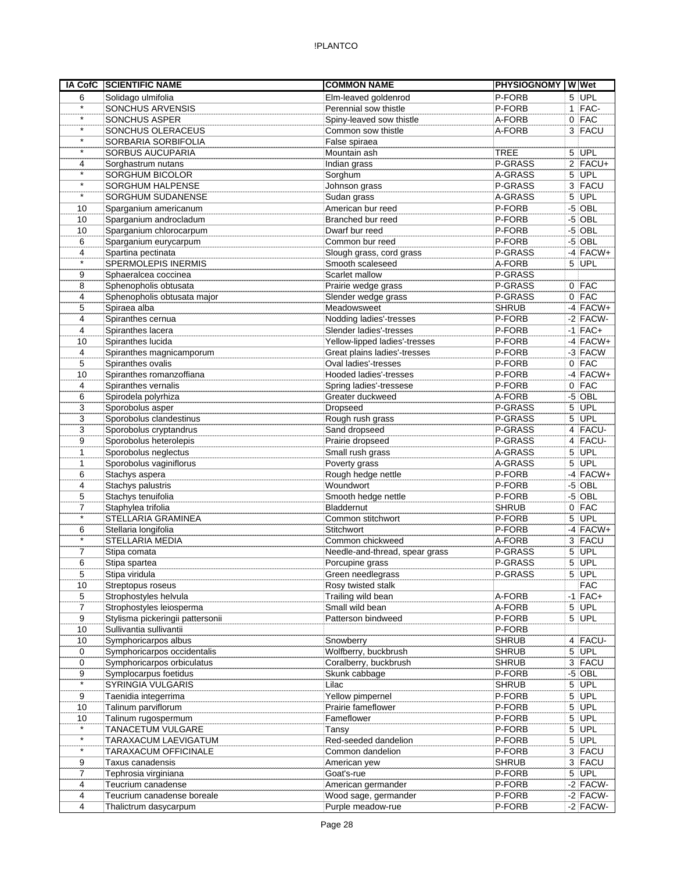|                     | <b>IA CofC SCIENTIFIC NAME</b>   | <b>COMMON NAME</b>             | PHYSIOGNOMY W Wet |            |
|---------------------|----------------------------------|--------------------------------|-------------------|------------|
| 6                   | Solidago ulmifolia               | Elm-leaved goldenrod           | P-FORB            | $5$ UPL    |
| $\star$             | SONCHUS ARVENSIS                 | Perennial sow thistle          | P-FORB            | $1$ FAC-   |
| $\star$             | <b>SONCHUS ASPER</b>             | Spiny-leaved sow thistle       | A-FORB            | $0$   FAC  |
| $\star$             | SONCHUS OLERACEUS                | Common sow thistle             | A-FORB            | 3 FACU     |
| $\star$             | SORBARIA SORBIFOLIA              | False spiraea                  |                   |            |
| $\star$             | SORBUS AUCUPARIA                 | Mountain ash                   | <b>TREE</b>       | $5$ UPL    |
| 4                   | Sorghastrum nutans               | Indian grass                   | P-GRASS           | $2$ FACU+  |
| $\star$             | SORGHUM BICOLOR                  | Sorghum                        | A-GRASS           | 5 UPL      |
| $\star$             | SORGHUM HALPENSE                 | Johnson grass                  | P-GRASS           | 3 FACU     |
| $\star$             | SORGHUM SUDANENSE                | Sudan grass                    | A-GRASS           | $5$ UPL    |
| 10                  | Sparganium americanum            | American bur reed              | P-FORB            | $-5$ OBL   |
| 10                  | Sparganium androcladum           | Branched bur reed              | P-FORB            | $-5$ OBL   |
| 10                  | Sparganium chlorocarpum          | Dwarf bur reed                 | P-FORB            | $-5$ OBL   |
| 6                   | Sparganium eurycarpum            | Common bur reed                | P-FORB            | $-5$ OBL   |
| 4                   | Spartina pectinata               | Slough grass, cord grass       | P-GRASS           | $-4$ FACW+ |
| $\star$             | SPERMOLEPIS INERMIS              | Smooth scaleseed               | A-FORB            | $5$ UPL    |
| 9                   | Sphaeralcea coccinea             | Scarlet mallow                 | P-GRASS           |            |
| 8                   | Sphenopholis obtusata            | Prairie wedge grass            | P-GRASS           | $0$ FAC    |
| 4                   | Sphenopholis obtusata major      | Slender wedge grass            | P-GRASS           | $0$ FAC    |
| 5                   | Spiraea alba                     | Meadowsweet                    | <b>SHRUB</b>      | $-4$ FACW+ |
| 4                   | Spiranthes cernua                | Nodding ladies'-tresses        | P-FORB            | $-2$ FACW- |
| 4                   | Spiranthes lacera                | Slender ladies'-tresses        | P-FORB            | $-1$ FAC+  |
| 10                  | Spiranthes lucida                | Yellow-lipped ladies'-tresses  | P-FORB            | $-4$ FACW+ |
| 4                   | Spiranthes magnicamporum         | Great plains ladies'-tresses   | P-FORB            | $-3$ FACW  |
| 5                   | Spiranthes ovalis                | Oval ladies'-tresses           | P-FORB            | $0$ FAC    |
| 10                  | Spiranthes romanzoffiana         | Hooded ladies'-tresses         | P-FORB            | $-4$ FACW+ |
| 4                   | Spiranthes vernalis              | Spring ladies'-tressese        | P-FORB            | $0$ FAC    |
| 6                   | Spirodela polyrhiza              | Greater duckweed               | A-FORB            | $-5$ OBL   |
| 3                   | Sporobolus asper                 | Dropseed                       | P-GRASS           | $5$ UPL    |
| 3                   | Sporobolus clandestinus          | Rough rush grass               | P-GRASS           | 5 UPL      |
| 3                   | Sporobolus cryptandrus           | Sand dropseed                  | P-GRASS           | $4$ FACU-  |
| 9                   | Sporobolus heterolepis           | Prairie dropseed               | P-GRASS           | $4$ FACU-  |
|                     |                                  |                                |                   | $5$ UPL    |
| 1                   | Sporobolus neglectus             | Small rush grass               | A-GRASS           |            |
| 1                   | Sporobolus vaginiflorus          | Poverty grass                  | A-GRASS           | $5$ UPL    |
| 6                   | Stachys aspera                   | Rough hedge nettle             | P-FORB            | $-4$ FACW+ |
| 4                   | Stachys palustris                | Woundwort                      | P-FORB            | $-5$ OBL   |
| 5<br>$\overline{7}$ | Stachys tenuifolia               | Smooth hedge nettle            | P-FORB            | $-5$ OBL   |
| $\star$             | Staphylea trifolia               | Bladdernut                     | <b>SHRUB</b>      | $0$ FAC    |
|                     | STELLARIA GRAMINEA               | Common stitchwort              | P-FORB            | $5$ UPL    |
| 6<br>$\star$        | Stellaria longifolia             | Stitchwort                     | P-FORB            | $-4$ FACW+ |
|                     | STELLARIA MEDIA                  | Common chickweed               | A-FORB            | 3 FACU     |
| $\overline{7}$      | Stipa comata                     | Needle-and-thread, spear grass | P-GRASS           | 5 UPL      |
| 6                   | Stipa spartea                    | Porcupine grass                | P-GRASS           | $5$ UPL    |
| 5                   | Stipa viridula                   | Green needlegrass              | P-GRASS           | $5$ UPL    |
| 10                  | Streptopus roseus                | Rosy twisted stalk             |                   | <b>FAC</b> |
| 5                   | Strophostyles helvula            | Trailing wild bean             | A-FORB            | $-1$ FAC+  |
| 7                   | Strophostyles leiosperma         | Small wild bean                | A-FORB            | 5 UPL      |
| 9                   | Stylisma pickeringii pattersonii | Patterson bindweed             | P-FORB            | $5$ UPL    |
| 10                  | Sullivantia sullivantii          |                                | P-FORB            |            |
| 10                  | Symphoricarpos albus             | Snowberry                      | <b>SHRUB</b>      | $4$ FACU-  |
| 0                   | Symphoricarpos occidentalis      | Wolfberry, buckbrush           | <b>SHRUB</b>      | 5 UPL      |
| 0                   | Symphoricarpos orbiculatus       | Coralberry, buckbrush          | <b>SHRUB</b>      | 3 FACU     |
| 9                   | Symplocarpus foetidus            | Skunk cabbage                  | P-FORB            | $-5$ OBL   |
| $\star$             | SYRINGIA VULGARIS                | Lilac                          | <b>SHRUB</b>      | 5 UPL      |
| 9                   | Taenidia integerrima             | Yellow pimpernel               | P-FORB            | $5$ UPL    |
| 10                  | Talinum parviflorum              | Prairie fameflower             | P-FORB            | $5$ UPL    |
| 10                  | Talinum rugospermum              | Fameflower                     | P-FORB            | $5$ UPL    |
| $\star$             | TANACETUM VULGARE                | Tansy                          | P-FORB            | $5$ UPL    |
| $\star$             | TARAXACUM LAEVIGATUM             | Red-seeded dandelion           | P-FORB            | $5$ UPL    |
| $\star$             | TARAXACUM OFFICINALE             | Common dandelion               | P-FORB            | 3 FACU     |
| 9                   | Taxus canadensis                 | American yew                   | <b>SHRUB</b>      | 3 FACU     |
| 7                   | Tephrosia virginiana             | Goat's-rue                     | P-FORB            | $5$ UPL    |
| 4                   | Teucrium canadense               | American germander             | P-FORB            | $-2$ FACW- |
| 4                   | Teucrium canadense boreale       | Wood sage, germander           | P-FORB            | $-2$ FACW- |
| 4                   | Thalictrum dasycarpum            | Purple meadow-rue              | P-FORB            | $-2$ FACW- |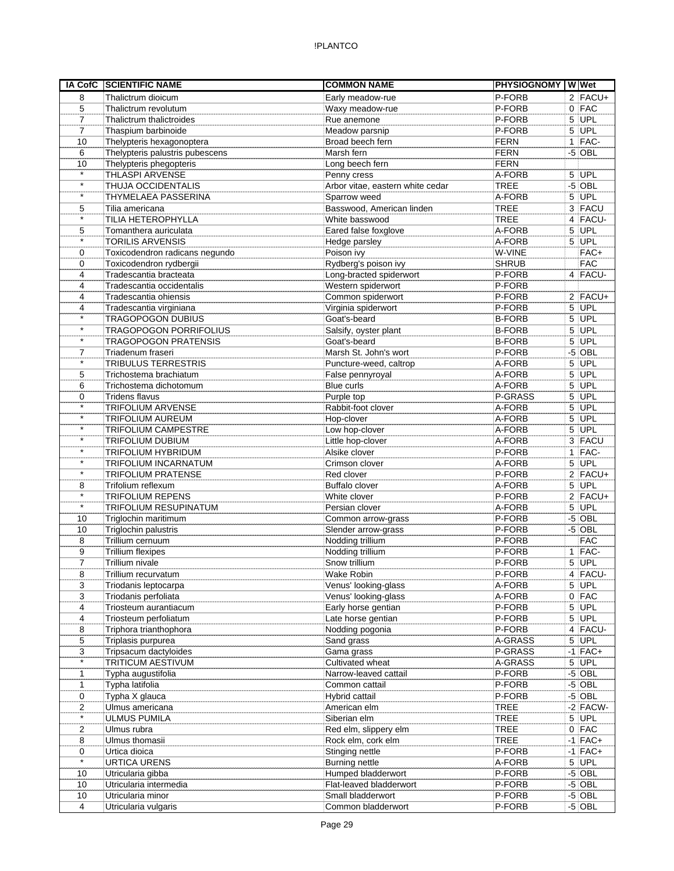|                   | IA CofC SCIENTIFIC NAME                        | <b>COMMON NAME</b>                 | PHYSIOGNOMY W Wet |   |                   |
|-------------------|------------------------------------------------|------------------------------------|-------------------|---|-------------------|
| 8                 | Thalictrum dioicum                             | Early meadow-rue                   | P-FORB            |   | $2$ FACU+         |
| 5                 | Thalictrum revolutum                           | Waxy meadow-rue                    | P-FORB            |   | $0$ FAC           |
| $\overline{7}$    | Thalictrum thalictroides                       | Rue anemone                        | P-FORB            |   | $5$ UPL           |
| $\overline{7}$    | Thaspium barbinoide                            | Meadow parsnip                     | P-FORB            |   | $5$ UPL           |
| 10                | Thelypteris hexagonoptera                      | Broad beech fern                   | <b>FERN</b>       |   | 1 FAC-            |
| 6                 | Thelypteris palustris pubescens                | Marsh fern                         | <b>FERN</b>       |   | $-5$ OBL          |
| 10                | Thelypteris phegopteris                        | Long beech fern                    | <b>FERN</b>       |   |                   |
| $\star$           | THLASPI ARVENSE                                | Penny cress                        | A-FORB            |   | 5 UPL             |
| $\star$           | THUJA OCCIDENTALIS                             | Arbor vitae, eastern white cedar   | <b>TREE</b>       |   | $-5$ OBL          |
| $\star$           | THYMELAEA PASSERINA                            | Sparrow weed                       | A-FORB            |   | $5$ UPL           |
| 5                 | Tilia americana                                | Basswood, American linden          | <b>TREE</b>       |   | 3 FACU            |
| $\star$           | TILIA HETEROPHYLLA                             | White basswood                     | <b>TREE</b>       |   | 4 FACU-           |
| 5                 | Tomanthera auriculata                          | Eared false foxglove               | A-FORB            |   | $5$ UPL           |
| $\star$           | <b>TORILIS ARVENSIS</b>                        | Hedge parsley                      | A-FORB            |   | $5$ UPL           |
| 0                 | Toxicodendron radicans negundo                 | Poison ivy                         | W-VINE            |   | FAC+              |
| 0                 | Toxicodendron rydbergii                        | Rydberg's poison ivy               | <b>SHRUB</b>      |   | <b>FAC</b>        |
| 4                 | Tradescantia bracteata                         | Long-bracted spiderwort            | P-FORB            |   | $4$ FACU-         |
| 4                 | Tradescantia occidentalis                      | Western spiderwort                 | P-FORB            |   |                   |
| 4                 | Tradescantia ohiensis                          | Common spiderwort                  | P-FORB            |   | $2$ FACU+         |
| 4<br>$\star$      | Tradescantia virginiana                        | Virginia spiderwort                | P-FORB            |   | $5$ UPL           |
| $\star$           | <b>TRAGOPOGON DUBIUS</b>                       | Goat's-beard                       | <b>B-FORB</b>     |   | $5$ UPL           |
| $\star$           | <b>TRAGOPOGON PORRIFOLIUS</b>                  | Salsify, oyster plant              | <b>B-FORB</b>     |   | $5$ UPL           |
|                   | TRAGOPOGON PRATENSIS                           | Goat's-beard                       | <b>B-FORB</b>     |   | $5$ UPL           |
| 7<br>$\star$      | Triadenum fraseri                              | Marsh St. John's wort              | P-FORB            |   | $-5$ OBL          |
|                   | <b>TRIBULUS TERRESTRIS</b>                     | Puncture-weed, caltrop             | A-FORB            |   | $5$ UPL<br>5 UPL  |
| 5                 | Trichostema brachiatum                         | False pennyroyal                   | A-FORB            |   |                   |
| 6                 | Trichostema dichotomum                         | Blue curls                         | A-FORB            |   | 5 UPL             |
| 0<br>$\star$      | <b>Tridens flavus</b>                          | Purple top                         | P-GRASS           |   | $5$ UPL           |
| $\star$           | <b>TRIFOLIUM ARVENSE</b>                       | Rabbit-foot clover                 | A-FORB            | 5 | UPL<br>5 UPL      |
| $\star$           | <b>TRIFOLIUM AUREUM</b>                        | Hop-clover                         | A-FORB            |   |                   |
| $\star$           | TRIFOLIUM CAMPESTRE<br><b>TRIFOLIUM DUBIUM</b> | Low hop-clover                     | A-FORB<br>A-FORB  |   | $5$ UPL<br>3 FACU |
| $\star$           | <b>TRIFOLIUM HYBRIDUM</b>                      | Little hop-clover<br>Alsike clover | P-FORB            |   | $1$ FAC-          |
| $\star$           | TRIFOLIUM INCARNATUM                           | Crimson clover                     | A-FORB            |   | $5$ UPL           |
| $\star$           | <b>TRIFOLIUM PRATENSE</b>                      | Red clover                         | P-FORB            |   | $2$ FACU+         |
| 8                 | Trifolium reflexum                             | <b>Buffalo clover</b>              | A-FORB            |   | $5$ UPL           |
| $\overline{\ast}$ | <b>TRIFOLIUM REPENS</b>                        | White clover                       | P-FORB            |   | $2$ FACU+         |
| $\star$           | TRIFOLIUM RESUPINATUM                          | Persian clover                     | A-FORB            |   | 5 UPL             |
| 10                | Triglochin maritimum                           | Common arrow-grass                 | P-FORB            |   | $-5$ OBL          |
| 10                | Triglochin palustris                           | Slender arrow-grass                | P-FORB            |   | $-5$ OBL          |
| 8                 | Trillium cernuum                               | Nodding trillium                   | P-FORB            |   | <b>FAC</b>        |
| 9                 | <b>Trillium flexipes</b>                       | Nodding trillium                   | P-FORB            |   | $1$ FAC-          |
| 7                 | Trillium nivale                                | Snow trillium                      | P-FORB            |   | $5$ UPL           |
| 8                 | Trillium recurvatum                            | Wake Robin                         | P-FORB            |   | 4 FACU-           |
| 3                 | Triodanis leptocarpa                           | Venus' looking-glass               | A-FORB            |   | $5$ UPL           |
| 3                 | Triodanis perfoliata                           | Venus' looking-glass               | A-FORB            |   | $0$ FAC           |
| 4                 | Triosteum aurantiacum                          | Early horse gentian                | P-FORB            |   | $5$ UPL           |
| 4                 | Triosteum perfoliatum                          | Late horse gentian                 | P-FORB            |   | $5$ UPL           |
| 8                 | Triphora trianthophora                         | Nodding pogonia                    | P-FORB            |   | 4 FACU-           |
| 5                 | Triplasis purpurea                             | Sand grass                         | A-GRASS           |   | $5$ UPL           |
| 3                 | Tripsacum dactyloides                          | Gama grass                         | P-GRASS           |   | $-1$ FAC+         |
| $\star$           | TRITICUM AESTIVUM                              | Cultivated wheat                   | A-GRASS           |   | $5$ UPL           |
| 1                 | Typha augustifolia                             | Narrow-leaved cattail              | P-FORB            |   | $-5$ OBL          |
| $\mathbf{1}$      | Typha latifolia                                | Common cattail                     | P-FORB            |   | $-5$ OBL          |
| 0                 | Typha X glauca                                 | Hybrid cattail                     | P-FORB            |   | $-5$ OBL          |
| $\overline{2}$    | Ulmus americana                                | American elm                       | <b>TREE</b>       |   | $-2$ FACW-        |
| $\star$           | <b>ULMUS PUMILA</b>                            | Siberian elm                       | <b>TREE</b>       |   | $5$ UPL           |
| 2                 | Ulmus rubra                                    | Red elm, slippery elm              | <b>TREE</b>       |   | $0$ FAC           |
| 8                 | Ulmus thomasii                                 | Rock elm, cork elm                 | <b>TREE</b>       |   | $-1$ FAC+         |
| 0                 | Urtica dioica                                  | Stinging nettle                    | P-FORB            |   | $-1$ FAC+         |
| $\star$           | <b>URTICA URENS</b>                            | <b>Burning nettle</b>              | A-FORB            |   | $5$ UPL           |
| 10                | Utricularia gibba                              | Humped bladderwort                 | P-FORB            |   | $-5$ OBL          |
| 10                | Utricularia intermedia                         | Flat-leaved bladderwort            | P-FORB            |   | $-5$ OBL          |
| 10                | Utricularia minor                              | Small bladderwort                  | P-FORB            |   | $-5$ OBL          |
| 4                 | Utricularia vulgaris                           | Common bladderwort                 | P-FORB            |   | $-5$ OBL          |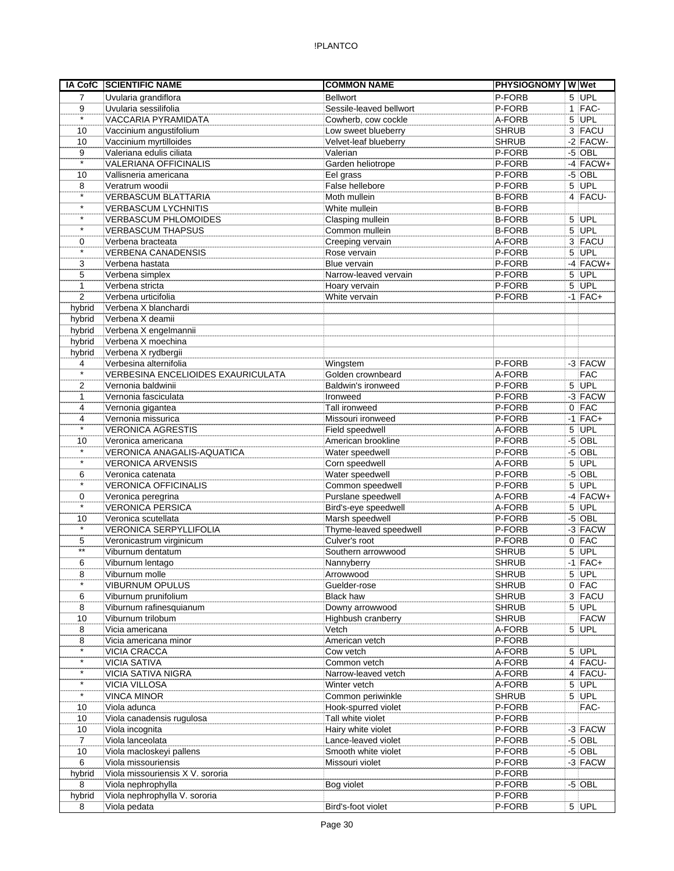|                   | IA CofC SCIENTIFIC NAME                   | <b>COMMON NAME</b>                  | <b>PHYSIOGNOMY WWet</b> |                      |
|-------------------|-------------------------------------------|-------------------------------------|-------------------------|----------------------|
| $\overline{7}$    | Uvularia grandiflora                      | <b>Bellwort</b>                     | P-FORB                  | $5$ UPL              |
| 9                 | Uvularia sessilifolia                     | Sessile-leaved bellwort             | P-FORB                  | $1$ FAC-             |
| $\star$           | VACCARIA PYRAMIDATA                       | Cowherb, cow cockle                 | A-FORB                  | $5$ UPL              |
| 10                | Vaccinium angustifolium                   | Low sweet blueberry                 | <b>SHRUB</b>            | $3$ FACU             |
| 10                | Vaccinium myrtilloides                    | Velvet-leaf blueberry               | SHRUB                   | $-2$ FACW-           |
| 9                 | Valeriana edulis ciliata                  | Valerian                            | P-FORB                  | $-5$ OBL             |
| $\star$           | <b>VALERIANA OFFICINALIS</b>              | Garden heliotrope                   | P-FORB                  | $-4$ FACW+           |
| 10                | Vallisneria americana                     | Eel grass                           | P-FORB                  | $-5$ OBL             |
| 8                 | Veratrum woodii                           | False hellebore                     | P-FORB                  | $5$ UPL              |
| $\star$           | <b>VERBASCUM BLATTARIA</b>                | Moth mullein                        | <b>B-FORB</b>           | 4 FACU-              |
| $\star$           | <b>VERBASCUM LYCHNITIS</b>                | White mullein                       | <b>B-FORB</b>           |                      |
| $\star$           | <b>VERBASCUM PHLOMOIDES</b>               | Clasping mullein                    | <b>B-FORB</b>           | $5$ UPL              |
| $\star$           | <b>VERBASCUM THAPSUS</b>                  | Common mullein                      | <b>B-FORB</b>           | $5$ UPL              |
| 0                 | Verbena bracteata                         | Creeping vervain                    | A-FORB                  | 3 FACU               |
| $\star$           | <b>VERBENA CANADENSIS</b>                 | Rose vervain                        | P-FORB                  | $5$ UPL              |
| 3                 | Verbena hastata                           | Blue vervain                        | P-FORB                  | $-4$ FACW+           |
| 5                 | Verbena simplex                           | Narrow-leaved vervain               | P-FORB                  | $5$ UPL              |
| 1                 | Verbena stricta                           | Hoary vervain                       | P-FORB                  | 5 UPL                |
| $\overline{2}$    | Verbena urticifolia                       | White vervain                       | P-FORB                  | $-1$ FAC+            |
|                   | Verbena X blanchardi                      |                                     |                         |                      |
| hybrid            |                                           |                                     |                         |                      |
| hybrid            | Verbena X deamii                          |                                     |                         |                      |
| hybrid            | Verbena X engelmannii                     |                                     |                         |                      |
| hybrid            | Verbena X moechina                        |                                     |                         |                      |
| hybrid            | Verbena X rydbergii                       |                                     |                         |                      |
| 4                 | Verbesina alternifolia                    | Wingstem                            | P-FORB                  | $-3$ FACW            |
| $\overline{\ast}$ | <b>VERBESINA ENCELIOIDES EXAURICULATA</b> | Golden crownbeard                   | A-FORB                  | <b>FAC</b>           |
| 2                 | Vernonia baldwinii                        | Baldwin's ironweed                  | P-FORB                  | 5 UPL                |
| 1                 | Vernonia fasciculata                      | Ironweed                            | P-FORB                  | $-3$ FACW            |
| 4                 | Vernonia gigantea                         | Tall ironweed                       | P-FORB                  | $0$ FAC              |
| 4                 | Vernonia missurica                        | Missouri ironweed                   | P-FORB                  | $-1$ FAC+            |
| $\star$           | <b>VERONICA AGRESTIS</b>                  | Field speedwell                     | A-FORB                  | $5$ UPL              |
| 10                | Veronica americana                        | American brookline                  | P-FORB                  | $-5$ OBL             |
| $\star$           | VERONICA ANAGALIS-AQUATICA                | Water speedwell                     | P-FORB                  | $-5$ OBL             |
| $\star$           | <b>VERONICA ARVENSIS</b>                  | Corn speedwell                      | A-FORB                  | $5$ UPL              |
| 6                 | Veronica catenata                         | Water speedwell                     | P-FORB                  | $-5$ OBL             |
| $\star$           | <b>VERONICA OFFICINALIS</b>               | Common speedwell                    | P-FORB                  | $5$ UPL              |
| 0                 | Veronica peregrina                        | Purslane speedwell                  | A-FORB                  | $-4$ FACW+           |
| $\star$           | <b>VERONICA PERSICA</b>                   | Bird's-eye speedwell                | A-FORB                  | $5$ UPL              |
| 10                | Veronica scutellata                       | Marsh speedwell                     | P-FORB                  | $-5$ OBL             |
| $\star$           | VERONICA SERPYLLIFOLIA                    | Thyme-leaved speedwell              | P-FORB                  | $-3$ FACW            |
| 5                 | Veronicastrum virginicum                  | Culver's root                       | P-FORB                  | $0$ FAC              |
| $***$             | Viburnum dentatum                         | Southern arrowwood                  | <b>SHRUB</b>            | $5$ UPL              |
| 6                 | Viburnum lentago                          | Nannyberry                          | <b>SHRUB</b>            | $-1$ FAC+            |
| 8                 | Viburnum molle                            | Arrowwood                           | <b>SHRUB</b>            | $5$ UPL              |
| $\star$           | VIBURNUM OPULUS                           | Guelder-rose                        | <b>SHRUB</b>            | $0$ FAC              |
| 6                 | Viburnum prunifolium                      | <b>Black haw</b>                    | <b>SHRUB</b>            | $3$ FACU             |
| 8                 | Viburnum rafinesquianum                   | Downy arrowwood                     | <b>SHRUB</b>            | $5$ UPL              |
| 10                | Viburnum trilobum                         | Highbush cranberry                  | <b>SHRUB</b>            | <b>FACW</b>          |
| 8                 | Vicia americana                           | Vetch                               | A-FORB                  | 5 UPL                |
| 8                 | Vicia americana minor                     | American vetch                      | P-FORB                  |                      |
| $\star$           | VICIA CRACCA                              | Cow vetch                           | A-FORB                  | $5$ UPL              |
| $\star$           | <b>VICIA SATIVA</b>                       | Common vetch                        | A-FORB                  | $4$ FACU-            |
| $\star$           |                                           |                                     |                         |                      |
| $\star$           | <b>VICIA SATIVA NIGRA</b>                 | Narrow-leaved vetch<br>Winter vetch | A-FORB                  | $4$ FACU-<br>$5$ UPL |
| $\star$           | <b>VICIA VILLOSA</b>                      |                                     | A-FORB                  |                      |
|                   | <b>VINCA MINOR</b>                        | Common periwinkle                   | <b>SHRUB</b>            | $5$ UPL              |
| 10                | Viola adunca                              | Hook-spurred violet                 | P-FORB                  | FAC-                 |
| 10                | Viola canadensis rugulosa                 | Tall white violet                   | P-FORB                  |                      |
| 10                | Viola incognita                           | Hairy white violet                  | P-FORB                  | $-3$ FACW            |
| $\overline{7}$    | Viola lanceolata                          | Lance-leaved violet                 | P-FORB                  | $-5$ OBL             |
| 10                | Viola macloskeyi pallens                  | Smooth white violet                 | P-FORB                  | $-5$ OBL             |
| 6                 | Viola missouriensis                       | Missouri violet                     | P-FORB                  | $-3$ FACW            |
| hybrid            | Viola missouriensis X V. sororia          |                                     | P-FORB                  |                      |
| 8                 | Viola nephrophylla                        | Bog violet                          | P-FORB                  | $-5$ OBL             |
| hybrid            | Viola nephrophylla V. sororia             |                                     | P-FORB                  |                      |
| 8                 | Viola pedata                              | Bird's-foot violet                  | P-FORB                  | $5$ UPL              |